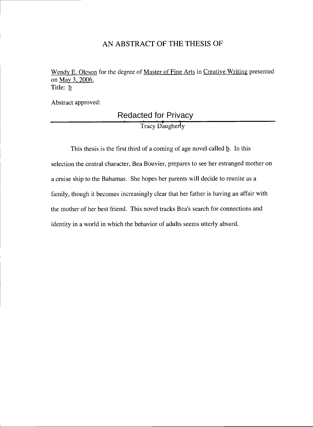## AN ABSTRACT OF THE THESIS OF

Wendy E. Oleson for the degree of Master of Fine Arts in Creative Writing presented on May 3, 2006. Title: **b** 

Abstract approved:

# **Tracy Daugherty** Redacted for Privacy

This thesis is the first third of a coming of age novel called  $\underline{b}$ . In this selection the central character, Bea Bouvier, prepares to see her estranged mother on a cruise ship to the Bahamas. She hopes her parents will decide to reunite as a family, though it becomes increasingly clear that her father is having an affair with the mother of her best friend. This novel tracks Bea's search for connections and identity in a world in which the behavior of adults seems utterly absurd.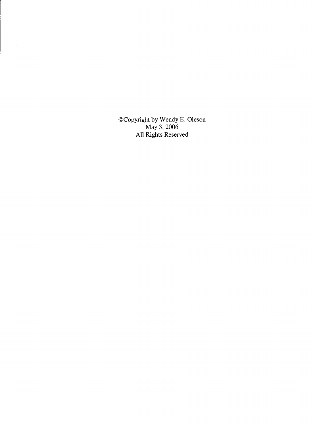©Copyright by Wendy E. Oleson May 3, 2006 All Rights Reserved

 $\mathcal{L}^{\mathcal{L}}$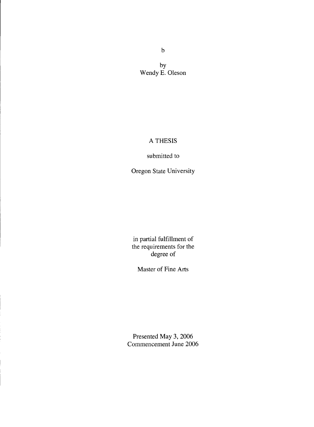by Wendy E. Oleson

## A THESIS

### submitted to

Oregon State University

in partial fulfillment of the requirements for the degree of

Master of Fine Arts

Presented May 3, 2006 Commencement June 2006

 $\mathbf b$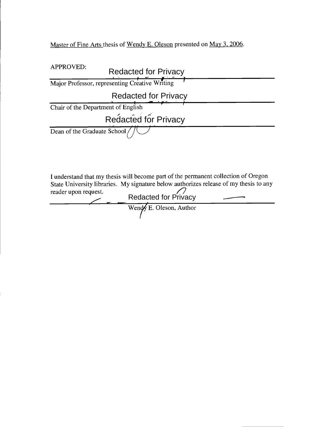Master of Fine Arts thesis of Wendy E. Oleson presented on May 3, 2006.

| <b>APPROVED:</b>                   | <b>Redacted for Privacy</b>                                                                                                                                                                         |
|------------------------------------|-----------------------------------------------------------------------------------------------------------------------------------------------------------------------------------------------------|
|                                    | Major Professor, representing Creative Writing                                                                                                                                                      |
|                                    | <b>Redacted for Privacy</b>                                                                                                                                                                         |
| Chair of the Department of English |                                                                                                                                                                                                     |
|                                    | Redacted for Privacy                                                                                                                                                                                |
| Dean of the Graduate School        |                                                                                                                                                                                                     |
| reader upon request.               | I understand that my thesis will become part of the permanent collection of Oregon<br>State University libraries. My signature below authorizes release of my thesis to any<br>Redacted for Privacy |
|                                    | Wendy E. Oleson, Author                                                                                                                                                                             |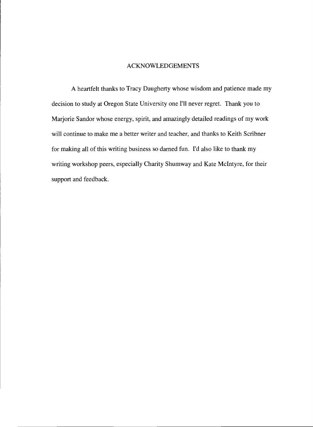### ACKNOWLEDGEMENTS

A heartfelt thanks to Tracy Daugherty whose wisdom and patience made my decision to study at Oregon State University one I'll never regret. Thank you to Marjorie Sandor whose energy, spirit, and amazingly detailed readings of my work will continue to make me a better writer and teacher, and thanks to Keith Scribner for making all of this writing business so darned fun. I'd also like to thank my writing workshop peers, especially Charity Shumway and Kate McIntyre, for their support and feedback.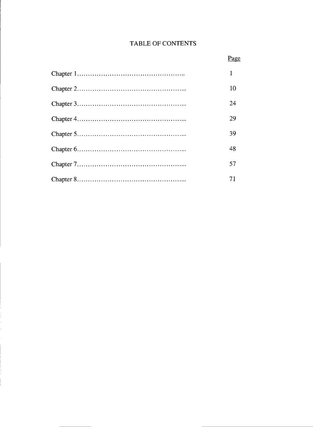## TABLE OF CONTENTS

| 10 |
|----|
| 24 |
| 29 |
| 39 |
| 48 |
| 57 |
| 71 |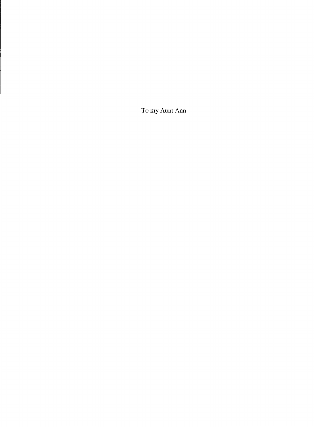To my Aunt Ann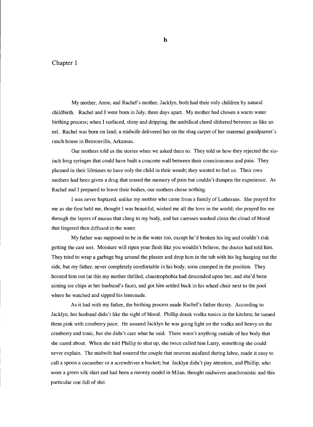#### Chapter 1

My mother, Anne, and Rachel's mother, Jacklyn, both had their only children by natural childbirth. Rachel and I were born in July, three days apart. My mother had chosen a warm water birthing process; when I surfaced, shiny and dripping, the umbilical chord slithered between us like an eel. Rachel was born on land; a midwife delivered her on the shag carpet of her maternal grandparent's ranch house in Bentonville, Arkansas.

Our mothers told us the stories when we asked them to. They told us how they rejected the sixinch long syringes that could have built a concrete wall between their consciousness and pain. They planned in their lifetimes to have only the child in their womb; they wanted to feel us. Their own mothers had been given a drug that erased the memory of pain but couldn't dampen the experience. As Rachel and I prepared to leave their bodies, our mothers chose nothing.

I was never baptized, unlike my mother who came from a family of Lutherans. She prayed for me as she first held me, thought I was beautiful, wished me all the love in the world; she prayed for me through the layers of mucus that clung to my body, and her caresses washed clean the cloud of blood that lingered then diffused in the water.

My father was supposed to be in the water too, except he'd broken his leg and couldn't risk getting the cast wet. Moisture will ripen your flesh like you wouldn't believe, the doctor had told him. They tried to wrap a garbage bag around the plaster and drop him in the tub with his leg hanging out the side, but my father, never completely comfortable in his body, soon cramped in the position. They hoisted him out (at this my mother thrilled, claustrophobia had descended upon her, and she'd been aiming ice chips at her husband's face), and got him settled back in his wheel chair next to the pool where he watched and sipped his lemonade.

As it had with my father, the birthing process made Rachel's father thirsty. According to Jacklyn, her husband didn't like the sight of blood. Phillip drank vodka tonics in the kitchen; he turned them pink with cranberry juice. He assured Jacklyn he was going light on the vodka and heavy on the cranberry and tonic, but she didn't care what he said. There wasn't anything outside of her body that she cared about. When she told Phillip to shut up, she twice called him Larry, something she could never explain. The midwife had assured the couple that neurons misfired during labor, made it easy to call a spoon a cucumber or a screwdriver a bucket; but Jacklyn didn't pay attention, and Phillip, who wore a green silk shirt and had been a runway model in Milan, thought midwives anachronistic and this particular one full of shit.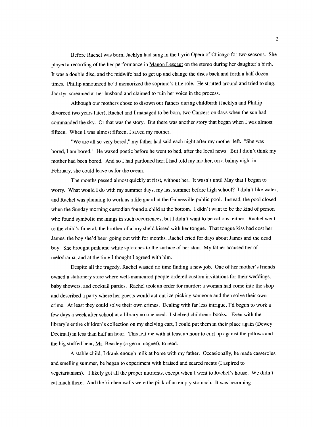Before Rachel was born, Jacklyn had sung in the Lyric Opera of Chicago for two seasons. She played a recording of the her performance in Manon Lescaut on the stereo during her daughter's birth. It was a double disc, and the midwife had to get up and change the discs back and forth a half dozen times. Phillip announced he'd memorized the soprano's title role. He strutted around and tried to sing. Jacklyn screamed at her husband and claimed to ruin her voice in the process.

Although our mothers chose to disown our fathers during childbirth (Jacklyn and Phillip divorced two years later), Rachel and I managed to be born, two Cancers on days when the sun had commanded the sky. Or that was the story. But there was another story that began when I was almost fifteen. When I was almost fifteen, I saved my mother.

"We are all so very bored," my father had said each night after my mother left. "She was bored, I am bored." He waxed poetic before he went to bed, after the local news. But I didn't think my mother had been bored. And so I had pardoned her; I had told my mother, on a balmy night in February, she could leave us for the ocean.

The months passed almost quickly at first, without her. It wasn't until May that I began to worry. What would I do with my summer days, my last summer before high school? I didn't like water, and Rachel was planning to work as a life guard at the Gainesville public pool. Instead, the pool closed when the Sunday morning custodian found a child at the bottom. I didn't want to be the kind of person who found symbolic meanings in such occurrences, but I didn't want to be callous, either. Rachel went to the child's funeral, the brother of a boy she'd kissed with her tongue. That tongue kiss had cost her James, the boy she'd been going out with for months. Rachel cried for days about James and the dead boy. She brought pink and white splotches to the surface of her skin. My father accused her of melodrama, and at the time I thought I agreed with him.

Despite all the tragedy, Rachel wasted no time finding a new job. One of her mother's friends owned a stationery store where well-manicured people ordered custom invitations for their weddings, baby showers, and cocktail parties. Rachel took an order for murder: a woman had come into the shop and described a party where her guests would act out ice-picking someone and then solve their own crime. At least they could solve their own crimes. Dealing with far less intrigue, I'd begun to work a few days a week after school at a library no one used. I shelved children's books. Even with the library's entire children's collection on my shelving cart, I could put them in their place again (Dewey Decimal) in less than half an hour. This left me with at least an hour to curl up against the pillows and the big stuffed bear, Mr. Beasley (a germ magnet), to read.

A stable child, I drank enough milk at home with my father. Occasionally, he made casseroles, and smelling summer, he began to experiment with braised and seared meats (I aspired to vegetarianism). I likely got all the proper nutrients, except when I went to Rachel's house. We didn't eat much there. And the kitchen walls were the pink of an empty stomach. It was becoming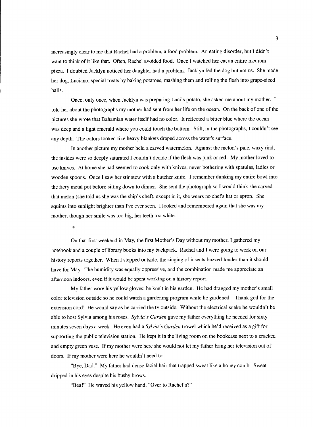increasingly clear to me that Rachel had a problem, a food problem. An eating disorder, but I didn't want to think of it like that. Often, Rachel avoided food. Once I watched her eat an entire medium pizza. I doubted Jacklyn noticed her daughter had a problem. Jacklyn fed the dog but not us. She made her dog, Luciano, special treats by baking potatoes, mashing them and rolling the flesh into grape-sized balls.

Once, only once, when Jacklyn was preparing Luci's potato, she asked me about my mother. I told her about the photographs my mother had sent from her life on the ocean. On the back of one of the pictures she wrote that Bahamian water itself had no color. It reflected a bitter blue where the ocean was deep and a light emerald where you could touch the bottom. Still, in the photographs, I couldn't see any depth. The colors looked like heavy blankets draped across the water's surface.

In another picture my mother held a carved watermelon. Against the melon's pale, waxy rind, the insides were so deeply saturated I couldn't decide if the flesh was pink or red. My mother loved to use knives. At home she had seemed to cook only with knives, never bothering with spatulas, ladles or wooden spoons. Once I saw her stir stew with a butcher knife. I remember dunking my entire bowl into the fiery metal pot before sitting down to dinner. She sent the photograph so I would think she carved that melon (she told us she was the ship's chef), except in it, she wears no chefs hat or apron. She squints into sunlight brighter than I've ever seen. I looked and remembered again that she was my mother, though her smile was too big, her teeth too white.

\*

On that first weekend in May, the first Mother's Day without my mother, I gathered my notebook and a couple of library books into my backpack. Rachel and I were going to work on our history reports together. When I stepped outside, the singing of insects buzzed louder than it should have for May. The humidity was equally oppressive, and the combination made me appreciate an afternoon indoors, even if it would be spent working on a history report.

My father wore his yellow gloves; he knelt in his garden. He had dragged my mother's small color television outside so he could watch a gardening program while he gardened. Thank god for the extension cord! He would say as he carried the tv outside. Without the electrical snake he wouldn't be able to host Sylvia among his roses. Sylvia's Garden gave my father everything he needed for sixty minutes seven days a week. He even had a Sylvia's Garden trowel which he'd received as a gift for supporting the public television station. He kept it in the living room on the bookcase next to a cracked and empty green vase. If my mother were here she would not let my father bring her television out of doors. If my mother were here he wouldn't need to.

"Bye, Dad." My father had dense facial hair that trapped sweat like a honey comb. Sweat dripped in his eyes despite his bushy brows.

"Bea!" He waved his yellow hand. "Over to Rachel's?"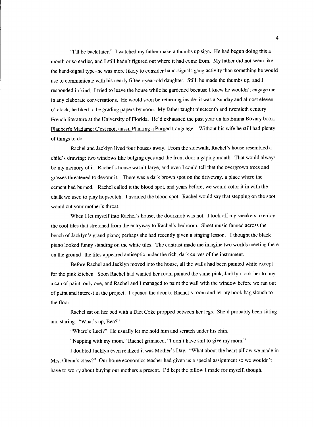"I'll be back later." I watched my father make a thumbs up sign. He had begun doing this a month or so earlier, and I still hadn't figured out where it had come from. My father did not seem like the hand-signal type-he was more likely to consider hand-signals gang activity than something he would use to communicate with his nearly fifteen-year-old daughter. Still, he made the thumbs up, and I responded in kind. I tried to leave the house while he gardened because I knew he wouldn't engage me in any elaborate conversations. He would soon be returning inside; it was a Sunday and almost eleven o' clock; he liked to be grading papers by noon. My father taught nineteenth and twentieth century French literature at the University of Florida. He'd exhausted the past year on his Emma Bovary book: Flaubert's Madame: C'est moi, aussi, Planting a Purged Language. Without his wife he still had plenty of things to do.

Rachel and Jacklyn lived four houses away. From the sidewalk, Rachel's house resembled a child's drawing: two windows like bulging eyes and the front door a gaping mouth. That would always be my memory of it. Rachel's house wasn't large, and even I could tell that the overgrown trees and grasses threatened to devour it. There was a dark brown spot on the driveway, a place where the cement had burned. Rachel called it the blood spot, and years before, we would color it in with the chalk we used to play hopscotch. I avoided the blood spot. Rachel would say that stepping on the spot would cut your mother's throat.

When I let myself into Rachel's house, the doorknob was hot. I took off my sneakers to enjoy the cool tiles that stretched from the entryway to Rachel's bedroom. Sheet music fanned across the bench of Jacklyn's grand piano; perhaps she had recently given a singing lesson. I thought the black piano looked funny standing on the white tiles. The contrast made me imagine two worlds meeting there on the ground--the tiles appeared antiseptic under the rich, dark curves of the instrument.

Before Rachel and Jacklyn moved into the house, all the walls had been painted white except for the pink kitchen. Soon Rachel had wanted her room painted the same pink; Jacklyn took her to buy a can of paint, only one, and Rachel and I managed to paint the wall with the window before we ran out of paint and interest in the project. I opened the door to Rachel's room and let my book bag slouch to the floor.

Rachel sat on her bed with a Diet Coke propped between her legs. She'd probably been sitting and staring. "What's up, Bea?"

"Where's Luci?" He usually let me hold him and scratch under his chin.

"Napping with my mom," Rachel grimaced, "I don't have shit to give my mom."

I doubted Jacklyn even realized it was Mother's Day. "What about the heart pillow we made in Mrs. Glenn's class?" Our home economics teacher had given us a special assigmnent so we wouldn't have to worry about buying our mothers a present. I'd kept the pillow I made for myself, though.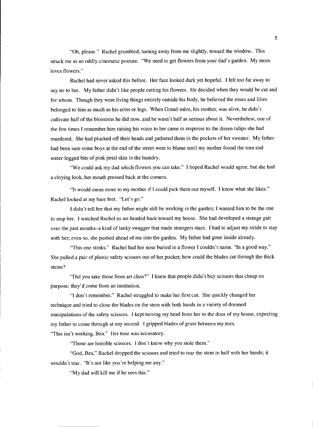"Oh, please." Rachel grumbled, turning away from me slightly, toward the window. This struck me as an oddly cinematic posture. "We need to get flowers from your dad's garden. My mom loves flowers."

Rachel had never asked this before. Her face looked dark yet hopeful. I felt too far away to say no to her. My father didn't like people cutting his flowers. He decided when they would be cut and for whom. Though they were living things entirely outside his body, he believed the roses and lilies belonged to him as much as his arms or legs. When Grand-mère, his mother, was alive, he didn't cultivate half of the blossoms he did now, and he wasn't half as serious about it. Nevertheless, one of the few times I remember him raising his voice to her came in response to the dozen tulips she had murdered. She had plucked off their heads and gathered them in the pockets of her sweater. My father had been sure some boys at the end of the street were to blame until my mother found the torn and water-logged bits of pink petal skin in the laundry.

"We could ask my dad which flowers you can take." I hoped Rachel would agree, but she had a cloying look, her mouth pressed back at the corners.

"It would mean more to my mother if I could pick them out myself. I know what she likes." Rachel looked at my bare feet. "Let's go."

I didn't tell her that my father might still be working in the garden; I wanted him to be the one to stop her. I watched Rachel as we headed back toward my house. She had developed a strange gait over the past months-a kind of lanky swagger that made strangers stare. I had to adjust my stride to stay with her; even so, she pushed ahead of me into the garden. My father had gone inside already.

"This one stinks." Rachel had her nose buried in a flower I couldn't name. "In a good way." She pulled a pair of plastic safety scissors out of her pocket; how could the blades cut through the thick stems?

"Did you take those from art class?" I knew that people didn't buy scissors that cheap on purpose; they'd come from an institution.

"I don't remember." Rachel struggled to make her first cut. She quickly changed her technique and tried to close the blades on the stem with both hands in a variety of doomed manipulations of the safety scissors. I kept turning my head from her to the door of my house, expecting my father to come through at any second. I gripped blades of grass between my toes. "This isn't working, Bea." Her tone was accusatory.

"Those are horrible scissors. I don't know why you stole them."

"God, Bea," Rachel dropped the scissors and tried to tear the stem in half with her hands; it wouldn't tear. "It's not like you're helping me any."

"My dad will kill me if he sees this."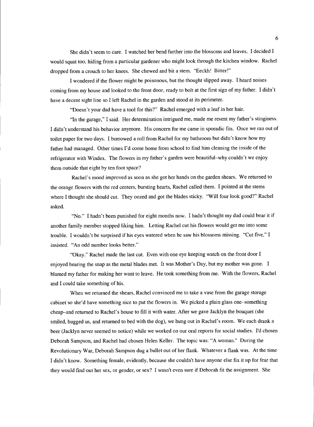She didn't seem to care. I watched her bend further into the blossoms and leaves. I decided I would squat too, hiding from a particular gardener who might look through the kitchen window. Rachel dropped from a crouch to her knees. She chewed and bit a stem. "Eeckh! Bitter!"

I wondered if the flower might be poisonous, but the thought slipped away. I heard noises coming from my house and looked to the front door, ready to bolt at the first sign of my father. I didn't have a decent sight line so I left Rachel in the garden and stood at its perimeter.

"Doesn't your dad have a tool for this?" Rachel emerged with a leaf in her hair.

"In the garage," I said. Her determination intrigued me, made me resent my father's stinginess. I didn't understand his behavior anymore. His concern for me came in sporadic fits. Once we ran out of toilet paper for two days. I borrowed a roll from Rachel for my bathroom but didn't know how my father had managed. Other times I'd come home from school to find him cleaning the inside of the refrigerator with Windex. The flowers in my father's garden were beautiful—why couldn't we enjoy them outside that eight by ten foot space?

Rachel's mood improved as soon as she got her hands on the garden shears. We returned to the orange flowers with the red centers, bursting hearts, Rachel called them. I pointed at the stems where I thought she should cut. They oozed and got the blades sticky. "Will four look good?" Rachel asked.

"No." I hadn't been punished for eight months now. I hadn't thought my dad could bear it if another family member stopped liking him. Letting Rachel cut his flowers would get me into some trouble. I wouldn't be surprised if his eyes watered when he saw his blossoms missing. "Cut five," I insisted. "An odd number looks better."

"Okay." Rachel made the last cut. Even with one eye keeping watch on the front door I enjoyed hearing the snap as the metal blades met, It was Mother's Day, but my mother was gone. I blamed my father for making her want to leave. He took something from me. With the flowers, Rachel and I could take something of his.

When we returned the shears, Rachel convinced me to take a vase from the garage storage cabinet so she'd have something nice to put the flowers in. We picked a plain glass one-something cheap–and returned to Rachel's house to fill it with water. After we gave Jacklyn the bouquet (she smiled, hugged us, and returned to bed with the dog), we hung out in Rachel's room. We each drank a beer (Jacklyn never seemed to notice) while we worked on our oral reports for social studies. I'd chosen Deborah Sampson, and Rachel had chosen Helen Keller. The topic was: "A woman." During the Revolutionary War, Deborah Sampson dug a bullet out of her flank. Whatever a flank was. At the time I didn't know. Something female, evidently, because she couldn't have anyone else fix it up for fear that they would find out her sex, or gender, or sex? I wasn't even sure if Deborah fit the assignment. She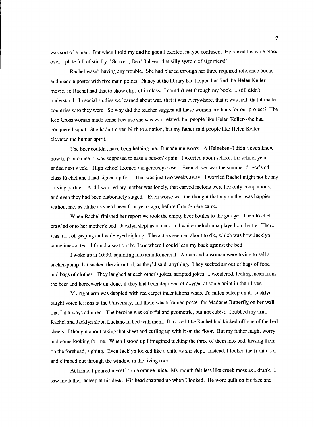was sort of a man. But when I told my dad he got all excited, maybe confused. He raised his wine glass over a plate full of stir-fry: "Subvert, Bea! Subvert that silly system of signifiers!"

Rachel wasn't having any trouble. She had blazed through her three required reference books and made a poster with five main points. Nancy at the library had helped her find the Helen Keller movie, so Rachel had that to show clips of in class. I couldn't get through my book. I still didn't understand. In social studies we learned about war, that it was everywhere, that it was hell, that it made countries who they were. So why did the teacher suggest all these women civilians for our project? The Red Cross woman made sense because she was war-related, but people like Helen Keller--she had conquered squat. She hadn't given birth to a nation, but my father said people like Helen Keller elevated the human spirit.

The beer couldn't have been helping me. It made me worry. A Heineken-I didn't even know how to pronounce it-was supposed to ease a person's pain. I worried about school; the school year ended next week. High school loomed dangerously close. Even closer was the summer driver's ed class Rachel and I had signed up for. That was just two weeks away. I worried Rachel might not be my driving partner. And I worried my mother was lonely, that carved melons were her only companions, and even they had been elaborately staged. Even worse was the thought that my mother was happier without me, as blithe as she'd been four years ago, before Grand-mère came.

When Rachel finished her report we took the empty beer bottles to the garage. Then Rachel crawled onto her mother's bed. Jacklyn slept as a black and white melodrama played on the t.v. There was a lot of gasping and wide-eyed sighing. The actors seemed about to die, which was how Jacklyn sometimes acted. I found a seat on the floor where I could lean my back against the bed.

I woke up at 10:30, squinting into an infomercial. A man and a woman were trying to sell a sucker-pump that sucked the air out of, as they'd said, anything. They sucked air out of bags of food and bags of clothes. They laughed at each other's jokes, scripted jokes. I wondered, feeling mean from the beer and homework un-done, if they had been deprived of oxygen at some point in their lives.

My right arm was dappled with red carpet indentations where I'd fallen asleep on it. Jacklyn taught voice lessons at the University, and there was a framed poster for Madame Butterfly on her wall that I'd always admired. The heroine was colorful and geometric, but not cubist. I rubbed my arm. Rachel and Jacklyn slept, Luciano in bed with them. It looked like Rachel had kicked off one of the bed sheets. I thought about taking that sheet and curling up with it on the floor. But my father might worry and come looking for me. When I stood up I imagined tucking the three of them into bed, kissing them on the forehead, sighing. Even Jacklyn looked like a child as she slept. Instead, I locked the front door and climbed out through the window in the living room.

At home, I poured myself some orange juice. My mouth felt less like creek moss as I drank. I saw my father, asleep at his desk. His head snapped up when I looked. He wore guilt on his face and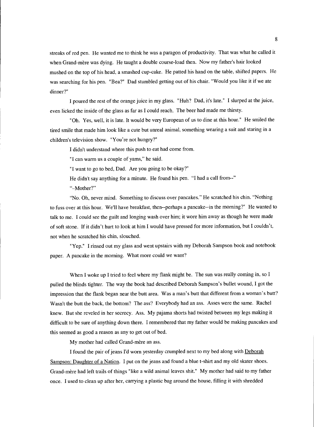streaks of red pen. He wanted me to think he was a paragon of productivity. That was what he called it when Grand-mère was dying. He taught a double course-load then. Now my father's hair looked mushed on the top of his head, a smashed cup-cake. He patted his hand on the table, shifted papers. He was searching for his pen. "Bea?" Dad stumbled getting out of his chair. "Would you like it if we ate dinner?"

I poured the rest of the orange juice in my glass. "Huh? Dad, it's late." I slurped at the juice, even licked the inside of the glass as far as I could reach. The beer had made me thirsty.

"Oh. Yes, well, it is late. It would be very European of us to dine at this hour." He smiled the tired smile that made him look like a cute but unreal animal, something wearing a suit and staring in a children's television show. "You're not hungry?"

I didn't understand where this push to eat had come from.

"I can warm us a couple of yams," he said.

"I want to go to bed, Dad. Are you going to be okay?"

He didn't say anything for a minute. He found his pen. "I had a call from--"

"-Mother?"

"No. Oh, never mind. Something to discuss over pancakes." He scratched his chin. "Nothing to fuss over at this hour. We'll have breakfast, then--perhaps a pancake--in the morning?" He wanted to talk to me. I could see the guilt and longing wash over him; it wore him away as though he were made of soft stone. If it didn't hurt to look at him I would have pressed for more information, but I couldn't, not when he scratched his chin, slouched.

"Yep." I rinsed out my glass and went upstairs with my Deborah Sampson book and notebook paper. A pancake in the morning. What more could we want?

When I woke up I tried to feel where my flank might be. The sun was really coming in, so I pulled the blinds tighter. The way the book had described Deborah Sampson's bullet wound, I got the impression that the flank began near the butt area. Was a man's butt that different from a woman's butt? Wasn't the butt the back, the bottom? The ass? Everybody had an ass. Asses were the same. Rachel knew. But she reveled in her secrecy. Ass. My pajama shorts had twisted between my legs making it difficult to be sure of anything down there. I remembered that my father would be making pancakes and this seemed as good a reason as any to get out of bed.

My mother had called Grand-mère an ass.

I found the pair of jeans I'd worn yesterday crumpled next to my bed along with Deborah Sampson: Daughter of a Nation. I put on the jeans and found a blue t-shirt and my old skater shoes. Grand-mere had left trails of things "like a wild animal leaves shit." My mother had said to my father once. I used to clean up after her, carrying a plastic bag around the house, filling it with shredded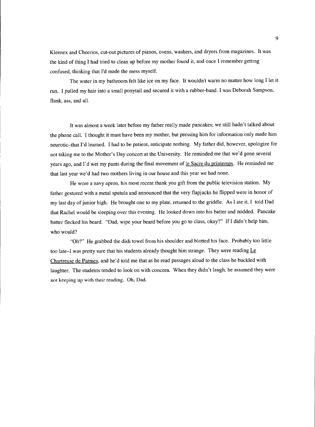Kleenex and Cheerios, cut-out pictures of pianos, ovens, washers, and dryers from magazines. It was the kind of thing I had tried to clean up before my mother found it, and once I remember getting confused, thinking that I'd made the mess myself.

The water in my bathroom felt like ice on my face. It wouldn't warm no matter how long I let it run. I pulled my hair into a small ponytail and secured it with a rubber-band. I was Deborah Sampson, flank, ass, and all.

It was almost a week later before my father really made pancakes; we still hadn't talked about the phone call. I thought it must have been my mother, but pressing him for information only made him neurotic-that I'd learned. I had to be patient, anticipate nothing. My father did, however, apologize for not taking me to the Mother's Day concert at the University. He reminded me that we'd gone several years ago, and I'd wet my pants during the final movement of le Sacre du printemps. He reminded me that last year we'd had two mothers living in our house and this year we had none.

He wore a navy apron, his most recent thank you gift from the public television station. My father gestured with a metal spatula and announced that the very flapjacks he flipped were in honor of my last day of junior high. He brought one to my plate, returned to the griddle. As I ate it, I told Dad that Rachel would be sleeping over this evening. He looked down into his batter and nodded. Pancake batter flecked his beard. "Dad, wipe your beard before you go to class, okay?" If I didn't help him, who would?

"Oh?" He grabbed the dish towel from his shoulder and blotted his face. Probably too little too late-I was pretty sure that his students already thought him strange. They were reading  $L\epsilon$ Chartreuse de Parmes, and he'd told me that as he read passages aloud to the class he buckled with laughter. The students tended to look on with concern. When they didn't laugh, he assumed they were not keeping up with their reading. Oh, Dad.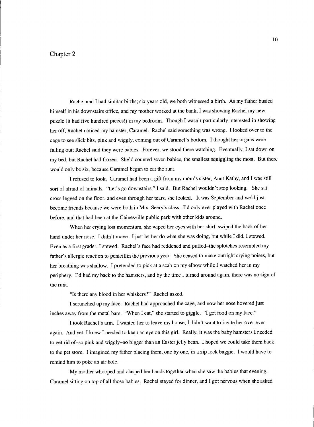#### Chapter 2

Rachel and I had similar births; six years old, we both witnessed a birth. As my father busied himself in his downstairs office, and my mother worked at the bank, I was showing Rachel my new puzzle (it had five hundred pieces!) in my bedroom. Though I wasn't particularly interested in showing her off, Rachel noticed my hamster, Caramel. Rachel said something was wrong. I looked over to the cage to see slick bits, pink and wiggly, coming out of Caramel's bottom. I thought her organs were falling out; Rachel said they were babies. Forever, we stood there watching. Eventually, I sat down on my bed, but Rachel had frozen. She'd counted seven babies, the smallest squiggling the most. But there would only be six, because Caramel began to eat the runt.

I refused to look. Caramel had been a gift from my mom's sister, Aunt Kathy, and I was still sort of afraid of animals. "Let's go downstairs," I said. But Rachel wouldn't stop looking. She sat cross-legged on the floor, and even through her tears, she looked. It was September and we'd just become friends because we were both in Mrs. Seery's class. I'd only ever played with Rachel once before, and that had been at the Gainesville public park with other kids around.

When her crying lost momentum, she wiped her eyes with her shirt, swiped the back of her hand under her nose. I didn't move. I just let her do what she was doing, but while I did, I stewed. Even as a first grader, I stewed. Rachel's face had reddened and puffed-the splotches resembled my father's allergic reaction to penicillin the previous year. She ceased to make outright crying noises, but her breathing was shallow. I pretended to pick at a scab on my elbow while I watched her in my periphery. I'd had my back to the hamsters, and by the time I turned around again, there was no sign of the runt.

"Is there any blood in her whiskers?" Rachel asked.

I scrunched up my face. Rachel had approached the cage, and now her nose hovered just inches away from the metal bars. "When I eat," she started to giggle. "I get food on my face."

I took Rachel's arm. I wanted her to leave my house; I didn't want to invite her over ever again. And yet, I knew I needed to keep an eye on this girl. Really, it was the baby hamsters I needed to get rid of-so pink and wiggly-no bigger than an Easter jelly bean. I hoped we could take them back to the pet store. I imagined my father placing them, one by one, in a zip lock baggie. I would have to remind him to poke an air hole.

My mother whooped and clasped her hands together when she saw the babies that evening. Caramel sitting on top of all those babies. Rachel stayed for dinner, and I got nervous when she asked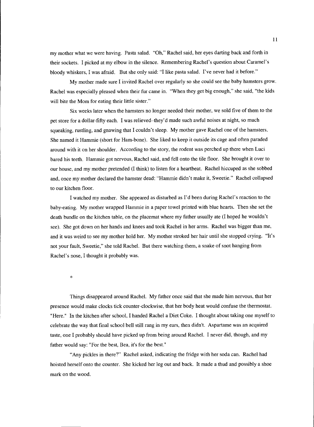my mother what we were having. Pasta salad. "Oh," Rachel said, her eyes darting back and forth in their sockets. I picked at my elbow in the silence. Remembering Rachel's question about Caramel's bloody whiskers, I was afraid. But she only said: "I like pasta salad. I've never had it before."

My mother made sure I invited Rachel over regularly so she could see the baby hamsters grow. Rachel was especially pleased when their fur came in. "When they get big enough," she said, "the kids will bite the Mom for eating their little sister."

Six weeks later when the hamsters no longer needed their mother, we sold five of them to the pet store for a dollar-fifty each. I was relieved-they'd made such awful noises at night, so much squeaking, rustling, and gnawing that I couldn't sleep. My mother gave Rachel one of the hamsters. She named it Hammie (short for Ham-bone). She liked to keep it outside its cage and often paraded around with it on her shoulder. According to the story, the rodent was perched up there when Luci bared his teeth. Hammie got nervous, Rachel said, and fell onto the tile floor. She brought it over to our house, and my mother pretended (I think) to listen for a heartbeat. Rachel hiccuped as she sobbed and, once my mother declared the hamster dead: "Hammie didn't make it, Sweetie." Rachel collapsed to our kitchen floor.

I watched my mother. She appeared as disturbed as I'd been during Rachel's reaction to the baby-eating. My mother wrapped Hammie in a paper towel printed with blue hearts. Then she set the death bundle on the kitchen table, on the placemat where my father usually ate (I hoped he wouldn't see). She got down on her hands and knees and took Rachel in her arms. Rachel was bigger than me, and it was weird to see my mother hold her. My mother stroked her hair until she stopped crying. "It's not your fault, Sweetie," she told Rachel. But there watching them, a snake of snot hanging from Rachel's nose, I thought it probably was.

\*

Things disappeared around Rachel. My father once said that she made him nervous, that her presence would make clocks tick counter-clockwise, that her body heat would confuse the thermostat. "Here." In the kitchen after school, I handed Rachel a Diet Coke. I thought about taking one myself to celebrate the way that final school bell still rang in my ears, then didn't. Aspartame was an acquired taste, one I probably should have picked up from being around Rachel. I never did, though, and my father would say: "For the best, Bea, it's for the best."

"Any pickles in there?" Rachel asked, indicating the fridge with her soda can. Rachel had hoisted herself onto the counter. She kicked her leg out and back. It made a thud and possibly a shoe mark on the wood.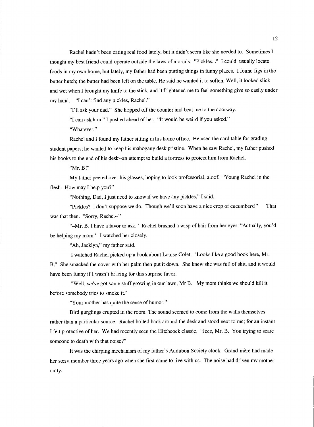Rachel hadn't been eating real food lately, but it didn't seem like she needed to. Sometimes I thought my best friend could operate outside the laws of mortals. "Pickles..." I could usually locate foods in my own home, but lately, my father had been putting things in funny places. I found figs in the butter hutch; the butter had been left on the table. He said he wanted it to soften. Well, it looked slick and wet when I brought my knife to the stick, and it frightened me to feel something give so easily under my hand. "I can't find any pickles, Rachel."

"I'll ask your dad." She hopped off the counter and beat me to the doorway.

"I can ask him." I pushed ahead of her. "It would be weird if you asked."

"Whatever."

Rachel and I found my father sitting in his home office. He used the card table for grading student papers; he wanted to keep his mahogany desk pristine. When he saw Rachel, my father pushed his books to the end of his desk--an attempt to build a fortress to protect him from Rachel.

"Mr. B!"

My father peered over his glasses, hoping to look professorial, aloof. "Young Rachel in the flesh. How may I help you?"

"Nothing, Dad, I just need to know if we have any pickles," I said.

"Pickles? I don't suppose we do. Though we'll soon have a nice crop of cucumbers!" That was that then. "Sorry, Rachel--"

"-Mr. B, I have a favor to ask." Rachel brushed a wisp of hair from her eyes. "Actually, you'd be helping my mom." I watched her closely

"Ah, Jacklyn," my father said.

I watched Rachel picked up a book about Louise Colet. "Looks like a good book here, Mr.

B." She smacked the cover with her palm then put it down. She knew she was full of shit, and it would have been funny if I wasn't bracing for this surprise favor.

"Well, we've got some stuff growing in our lawn, Mr B. My mom thinks we should kill it before somebody tries to smoke it."

"Your mother has quite the sense of humor."

Bird gurglings erupted in the room. The sound seemed to come from the walls themselves rather than a particular source. Rachel bolted back around the desk and stood next to me; for an instant I felt protective of her. We had recently seen the Hitchcock classic. "Jeez, Mr. B. You trying to scare someone to death with that noise?"

It was the chirping mechanism of my father's Audubon Society clock. Grand-mère had made her son a member three years ago when she first came to live with us. The noise had driven my mother nutty.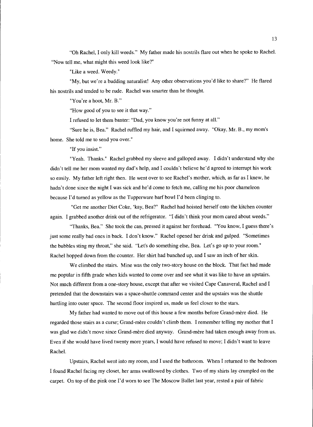"Oh Rachel, I only kill weeds." My father made his nostrils flare out when he spoke to Rachel. "Now tell me, what might this weed look like?"

"Like a weed. Weedy."

'My, but we're a budding naturalist! Any other observations you'd like to share?" He flared his nostrils and tended to be rude. Rachel was smarter than he thought.

"You're a hoot, Mr. B."

"How good of you to see it that way."

I refused to let them banter: "Dad, you know you're not funny at all."

"Sure he is, Bea." Rachel ruffled my hair, and I squirmed away. "Okay, Mr. B., my mom's home. She told me to send you over."

'If you insist."

"Yeah. Thanks." Rachel grabbed my sleeve and galloped away. I didn't understand why she didn't tell me her mom wanted my dad's help, and I couldn't believe he'd agreed to interrupt his work so easily. My father left right then. He went over to see Rachel's mother, which, as far as I knew, he hadn't done since the night I was sick and he'd come to fetch me, calling me his poor chameleon because I'd turned as yellow as the Tupperware barf bowl I'd been clinging to.

"Get me another Diet Coke, 'kay, Bea?" Rachel had hoisted herself onto the kitchen counter again. I grabbed another drink out of the refrigerator. "I didn't think your mom cared about weeds."

"Thanks, Bea." She took the can, pressed it against her forehead. "You know, I guess there's just some really bad ones in back. I don't know." Rachel opened her drink and gulped. "Sometimes the bubbles sting my throat," she said. "Let's do something else, Bea. Let's go up to your room." Rachel hopped down from the counter. Her shirt had bunched up, and I saw an inch of her skin.

We climbed the stairs. Mine was the only two-story house on the block. That fact had made me popular in fifth grade when kids wanted to come over and see what it was like to have an upstairs. Not much different from a one-story house, except that after we visited Cape Canaveral, Rachel and I pretended that the downstairs was a space-shuttle command center and the upstairs was the shuttle hurtling into outer space. The second floor inspired us, made us feel closer to the stars.

My father had wanted to move out of this house a few months before Grand-mère died. He regarded those stairs as a curse; Grand-mère couldn't climb them. I remember telling my mother that I was glad we didn't move since Grand-mère died anyway. Grand-mère had taken enough away from us. Even if she would have lived twenty more years, I would have refused to move; I didn't want to leave Rachel.

Upstairs, Rachel went into my room, and I used the bathroom. When I returned to the bedroom I found Rachel facing my closet, her arms swallowed by clothes. Two of my shirts lay crumpled on the carpet. On top of the pink one I'd worn to see The Moscow Ballet last year, rested a pair of fabric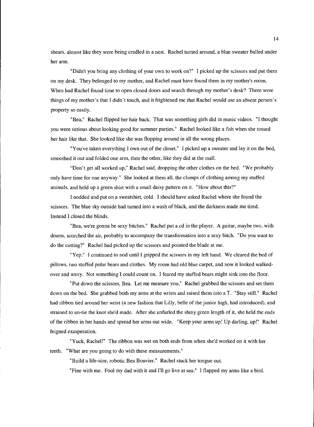shears, almost like they were being cradled in a nest. Rachel turned around, a blue sweater balled under her arm.

"Didn't you bring any clothing of your own to work on?" I picked up the scissors and put them on my desk. They belonged to my mother, and Rachel must have found them in my mother's room. When had Rachel found time to open closed doors and search through my mother's desk? There were things of my mother's that I didn't touch, and it frightened me that Rachel would use an absent person's property so easily.

'Bea," Rachel flipped her hair back. That was something girls did in music videos. "I thought you were serious about looking good for summer parties." Rachel looked like a fish when she tossed her hair like that. She looked like she was flopping around in all the wrong places.

"You've taken everything I own out of the closet." I picked up a sweater and lay it on the bed, smoothed it out and folded one arm, then the other, like they did at the mall.

"Don't get all worked up," Rachel said, dropping the other clothes on the bed. "We probably only have time for one anyway." She looked at them all, the clumps of clothing among my stuffed animals, and held up a green shirt with a small daisy pattern on it. "How about this?"

I nodded and put on a sweatshirt, cold. I should have asked Rachel where she found the scissors. The blue sky outside had turned into a wash of black, and the darkness made me tired. Instead I closed the blinds.

'Bea, we're gonna be sexy bitches." Rachel put a cd in the player. A guitar, maybe two, with drums, scorched the air, probably to accompany the transformation into a sexy bitch. "Do you want to do the cutting?" Rachel had picked up the scissors and pointed the blade at me.

"Yep." I continued to nod until I gripped the scissors in my left hand. We cleared the bed of pillows, two stuffed polar bears and clothes. My room had old blue carpet, and now it looked walkedover and wavy. Not something I could count on. I feared my stuffed bears might sink into the floor.

"Put down the scissors, Bea. Let me measure you." Rachel grabbed the scissors and set them down on the bed. She grabbed both my arms at the wrists and raised them into a T. "Stay still." Rachel had ribbon tied around her wrist (a new fashion that Lilly, belle of the junior high, had introduced), and strained to un-tie the knot she'd made. After she unfurled the shiny green length of it, she held the ends of the ribbon in her hands and spread her arms out wide. "Keep your arms up! Up darling, up!" Rachel feigned exasperation.

"Yuck, Rachel!" The ribbon was wet on both ends from when she'd worked on it with her teeth. "What are you going to do with these measurements."

"Build a life-size, robotic Bea Bouvier." Rachel stuck her tongue out.

"Fine with me. Fool my dad with it and I'll go live at sea." I flapped my arms like a bird.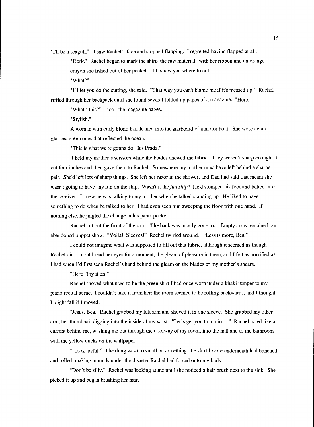"Ill be a seagull." I saw Rachel's face and stopped flapping. I regretted having flapped at all.

Dork." Rachel began to mark the shirt--the raw material--with her ribbon and an orange crayon she fished out of her pocket. "I'll show you where to cut." "What?"

"I'll let you do the cutting, she said. "That way you can't blame me if it's messed up." Rachel riffled through her backpack until she found several folded up pages of a magazine. "Here."

"What's this?" I took the magazine pages.

"Stylish."

A woman with curly blond hair leaned into the starboard of a motor boat. She wore aviator glasses, green ones that reflected the ocean.

"This is what we're gonna do. It's Prada."

I held my mother's scissors while the blades chewed the fabric. They weren't sharp enough. I cut four inches and then gave them to Rachel. Somewhere my mother must have left behind a sharper pair. She'd left lots of sharp things. She left her razor in the shower, and Dad had said that meant she wasn't going to have any fun on the ship. Wasn't it the *fun ship*? He'd stomped his foot and belted into the receiver. I knew he was talking to my mother when he talked standing up. He liked to have something to do when he talked to her. I had even seen him sweeping the floor with one hand. If nothing else, he jingled the change in his pants pocket.

Rachel cut out the front of the shirt. The back was mostly gone too. Empty arms remained, an abandoned puppet show. "Voila! Sleeves!" Rachel twirled around. "Less is more, Bea."

I could not imagine what was supposed to fill out that fabric, although it seemed as though Rachel did. I could read her eyes for a moment, the gleam of pleasure in them, and I felt as horrified as I had when I'd first seen Rachel's hand behind the gleam on the blades of my mother's shears.

"Here! Try it on!"

Rachel shoved what used to be the green shirt I had once worn under a khaki jumper to my piano recital at me. I couldn't take it from her; the room seemed to be rolling backwards, and I thought I might fall if I moved.

"Jesus, Bea," Rachel grabbed my left arm and shoved it in one sleeve. She grabbed my other arm, her thumbnail digging into the inside of my wrist. "Let's get you to a mirror." Rachel acted like a current behind me, washing me out through the doorway of my room, into the hall and to the bathroom with the yellow ducks on the wallpaper.

"I look awful." The thing was too small or something-the shirt I wore underneath had bunched and rolled, making mounds under the disaster Rachel had forced onto my body.

"Don't be silly." Rachel was looking at me until she noticed a hair brush next to the sink. She picked it up and began brushing her hair.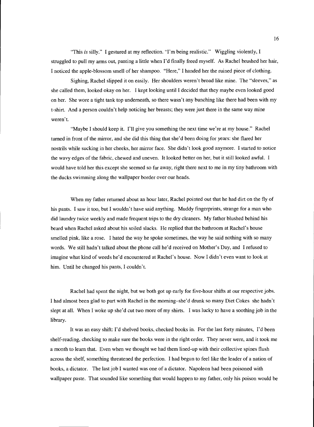"This is silly." I gestured at my reflection. "I'm being realistic." Wiggling violently, I struggled to pull my arms out, panting a little when I'd finally freed myself. As Rachel brushed her hair, I noticed the apple-blossom smell of her shampoo. "Here," I handed her the ruined piece of clothing.

Sighing, Rachel slipped it on easily. Her shoulders weren't broad like mine. The "sleeves," as she called them, looked okay on her. I kept looking until I decided that they maybe even looked good on her. She wore a tight tank top underneath, so there wasn't any bunching like there had been with my t-shirt. And a person couldn't help noticing her breasts; they were just there in the same way mine weren't.

"Maybe I should keep it. I'll give you something the next time we're at my house." Rachel turned in front of the mirror, and she did this thing that she'd been doing for years: she flared her nostrils while sucking in her cheeks, her mirror face. She didn't look good anymore. I started to notice the wavy edges of the fabric, chewed and uneven. It looked better on her, but it still looked awful. I would have told her this except she seemed so far away, right there next to me in my tiny bathroom with the ducks swimming along the wallpaper border over our heads.

When my father returned about an hour later, Rachel pointed out that he had dirt on the fly of his pants. I saw it too, but I wouldn't have said anything. Muddy fingerprints, strange for a man who did laundry twice weekly and made frequent trips to the dry cleaners. My father blushed behind his beard when Rachel asked about his soiled slacks. He replied that the bathroom at Rachel's house smelled pink, like a rose. I hated the way he spoke sometimes, the way he said nothing with so many words. We still hadn't talked about the phone call he'd received on Mother's Day, and I refused to imagine what kind of weeds he'd encountered at Rachel's house. Now I didn't even want to look at him. Until he changed his pants, I couldn't.

Rachel had spent the night, but we both got up early for five-hour shifts at our respective jobs. I had almost been glad to part with Rachel in the morning-she'd drunk so many Diet Cokes she hadn't slept at all. When I woke up she'd cut two more of my shirts. I was lucky to have a soothing job in the library.

It was an easy shift: I'd shelved books, checked books in. For the last forty minutes, I'd been shelf-reading, checking to make sure the books were in the right order. They never were, and it took me a month to learn that. Even when we thought we had them lined-up with their collective spines flush across the shelf, something threatened the perfection. I had begun to feel like the leader of a nation of books, a dictator. The last job I wanted was one of a dictator. Napoleon had been poisoned with wallpaper paste. That sounded like something that would happen to my father, only his poison would be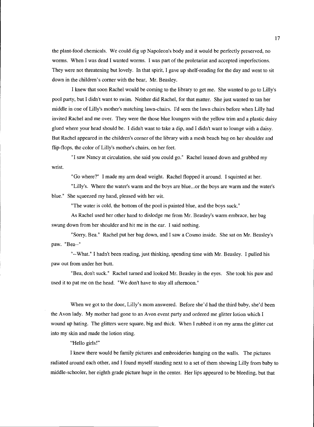the plant-food chemicals. We could dig up Napoleon's body and it would be perfectly preserved, no worms. When I was dead I wanted worms. I was part of the proletariat and accepted imperfections. They were not threatening but lovely. In that spirit, I gave up shelf-reading for the day and went to sit down in the children's corner with the bear, Mr. Beasley.

I knew that soon Rachel would be coming to the library to get me. She wanted to go to Lilly's pool party, but I didn't want to swim. Neither did Rachel, for that matter. She just wanted to tan her middle in one of Lilly's mother's matching lawn-chairs. I'd seen the lawn chairs before when Lilly had invited Rachel and me over. They were the those blue loungers with the yellow trim and a plastic daisy glued where your head should be. I didn't want to take a dip, and I didn't want to lounge with a daisy. But Rachel appeared in the children's corner of the library with a mesh beach bag on her shoulder and flip-flops, the color of Lilly's mother's chairs, on her feet.

wrist. "I saw Nancy at circulation, she said you could go." Rachel leaned down and grabbed my

"Go where?" I made my arm dead weight. Rachel flopped it around. I squinted at her.

"Lilly's. Where the water's warm and the boys are blue.. .or the boys are warm and the water's blue." She squeezed my hand, pleased with her wit.

"The water is cold, the bottom of the pool is painted blue, and the boys suck."

As Rachel used her other hand to dislodge me from Mr. Beasley's warm embrace, her bag swung down from her shoulder and hit me in the ear. I said nothing.

"Sorry, Bea." Rachel put her bag down, and I saw a Cosmo inside. She sat on Mr. Beasley's paw. "Bea--"

"--What." I hadn't been reading, just thinking, spending time with Mr. Beasley. I pulled his paw out from under her butt.

"Bea, don't suck." Rachel turned and looked Mr. Beasley in the eyes. She took his paw and used it to pat me on the head. "We don't have to stay all afternoon."

When we got to the door, Lilly's mom answered. Before she'd had the third baby, she'd been the Avon lady. My mother had gone to an Avon event party and ordered me glitter lotion which I wound up hating. The glitters were square, big and thick. When I rubbed it on my arms the glitter cut into my skin and made the lotion sting.

"Hello girls!"

I knew there would be family pictures and embroideries hanging on the walls. The pictures radiated around each other, and I found myself standing next to a set of them showing Lilly from baby to middle-schooler, her eighth grade picture huge in the center. Her lips appeared to be bleeding, but that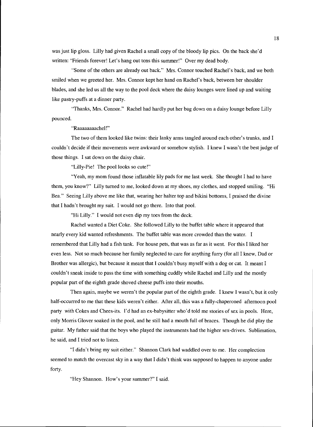was just lip gloss. Lilly had given Rachel a small copy of the bloody lip pics. On the back she'd written: "Friends forever! Let's hang out tons this summer!" Over my dead body.

"Some of the others are already out back." Mrs. Connor touched Rachel's back, and we both smiled when we greeted her. Mrs. Connor kept her hand on Rachel's back, between her shoulder blades, and she led us all the way to the pool deck where the daisy lounges were lined up and waiting like pastry-puffs at a dinner party.

pounced. "Thanks, Mrs. Connor." Rachel had hardly put her bag down on a daisy lounge before Lilly

"Raaaaaaaachel!"

The two of them looked like twins: their lanky arms tangled around each other's trunks, and I couldn't decide if their movements were awkward or somehow stylish. I knew I wasn't the best judge of those things. I sat down on the daisy chair.

"Lilly-Pie! The pool looks so cute!"

"Yeah, my mom found those inflatable lily pads for me last week. She thought I had to have them, you know?" Lilly turned to me, looked down at my shoes, my clothes, and stopped smiling. "Hi Bea." Seeing Lilly above me like that, wearing her halter top and bikini bottoms, I praised the divine that I hadn't brought my suit. I would not go there. Into that pool.

"Hi Lilly." I would not even dip my toes from the deck.

Rachel wanted a Diet Coke. She followed Lilly to the buffet table where it appeared that nearly every kid wanted refreshments. The buffet table was more crowded than the water. I remembered that Lilly had a fish tank. For house pets, that was as far as it went. For this I liked her even less. Not so much because her family neglected to care for anything furry (for all I knew, Dad or Brother was allergic), but because it meant that I couldn't busy myself with a dog or cat. It meant I couldn't sneak inside to pass the time with something cuddly while Rachel and Lilly and the mostly popular part of the eighth grade shoved cheese puffs into their mouths.

Then again, maybe we weren't the popular part of the eighth grade. I knew I wasn't, but it only half-occurred to me that these kids weren't either. After all, this was a fully-chaperoned afternoon pool party with Cokes and Chees-its. I'd had an ex-babysitter who'd told me stories of sex in pools. Here, only Morris Glover soaked in the pool, and he still had a mouth full of braces. Though he did play the guitar. My father said that the boys who played the instruments had the higher sex-drives. Sublimation, he said, and I tried not to listen.

"I didn't bring my suit either." Shannon Clark had waddled over to me. Her complection seemed to match the overcast sky in a way that I didn't think was supposed to happen to anyone under forty.

"Hey Shannon. How's your summer?" I said.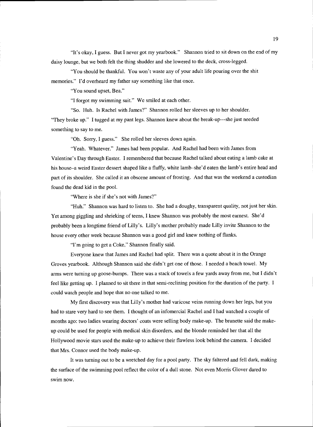"It's okay, I guess. But I never got my yearbook." Shannon tried to sit down on the end of my daisy lounge, but we both felt the thing shudder and she lowered to the deck, cross-legged.

"You should be thankful. You won't waste any of your adult life pouring over the shit memories." I'd overheard my father say something like that once.

"You sound upset, Bea."

"I forgot my swimming suit." We smiled at each other.

"So. Huh. Is Rachel with James?" Shannon rolled her sleeves up to her shoulder. "They broke up." I tugged at my pant legs. Shannon knew about the break-up---she just needed something to say to me.

"Oh. Sorry, I guess." She rolled her sleeves down again.

"Yeah. Whatever." James had been popular. And Rachel had been with James from Valentine's Day through Easter. I remembered that because Rachel talked about eating a lamb cake at his house–a weird Easter dessert shaped like a fluffy, white lamb–she'd eaten the lamb's entire head and part of its shoulder. She called it an obscene amount of frosting. And that was the weekend a custodian found the dead kid in the pool.

"Where is she if she's not with James?"

"Huh." Shannon was hard to listen to. She had a doughy, transparent quality, not just her skin. Yet among giggling and shrieking of teens, I knew Shannon was probably the most earnest. She'd probably been a longtime friend of Lilly's. Lilly's mother probably made Lilly invite Shannon to the house every other week because Shannon was a good girl and knew nothing of flanks.

"I'm going to get a Coke," Shannon finally said.

Everyone knew that James and Rachel had split. There was a quote about it in the Orange Groves yearbook. Although Shannon said she didn't get one of those. I needed a beach towel. My arms were turning up goose-bumps. There was a stack of towels a few yards away from me, but I didn't feel like getting up. I planned to sit there in that semi-reclining position for the duration of the party. I could watch people and hope that no one talked to me.

My first discovery was that Lilly's mother had varicose veins running down her legs, but you had to stare very hard to see them. I thought of an infomercial Rachel and I had watched a couple of months ago: two ladies wearing doctors' coats were selling body make-up. The brunette said the makeup could be used for people with medical skin disorders, and the blonde reminded her that all the Hollywood movie stars used the make-up to achieve their flawless look behind the camera. I decided that Mrs. Connor used the body make-up.

It was turning out to be a wretched day for a pool party. The sky faltered and fell dark, making the surface of the swimming pool reflect the color of a dull stone. Not even Morris Glover dared to swim now.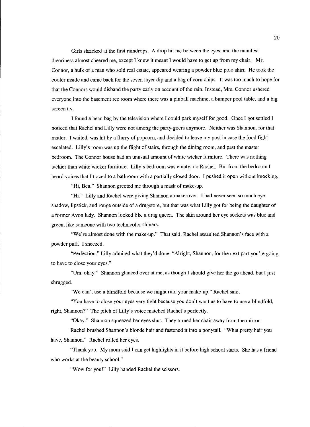Girls shrieked at the first raindrops. A drop hit me between the eyes, and the manifest dreariness almost cheered me, except I knew it meant I would have to get up from my chair. Mr. Connor, a hulk of a man who sold real estate, appeared wearing a powder blue polo shirt. He took the cooler inside and came back for the seven layer dip and a bag of corn chips. It was too much to hope for that the Connors would disband the party early on account of the rain. Instead, Mrs. Connor ushered everyone into the basement rec room where there was a pinball machine, a bumper pool table, and a big screen t.v.

I found a bean bag by the television where I could park myself for good. Once I got settled I noticed that Rachel and Lilly were not among the party-goers anymore. Neither was Shannon, for that matter. I waited, was hit by a flurry of popcorn, and decided to leave my post in case the food fight escalated. Lilly's room was up the flight of stairs, through the dining room, and past the master bedroom. The Connor house had an unusual amount of white wicker furniture. There was nothing tackier than white wicker furniture. Lilly's bedroom was empty, no Rachel. But from the bedroom I heard voices that I traced to a bathroom with a partially closed door. I pushed it open without knocking.

"Hi, Bea." Shannon greeted me through a mask of make-up.

"Hi." Lilly and Rachel were giving Shannon a make-over. I had never seen so much eye shadow, lipstick, and rouge outside of a drugstore, but that was what Lilly got for being the daughter of a former Avon lady. Shannon looked like a drag queen. The skin around her eye sockets was blue and green, like someone with two technicolor shiners.

"We're almost done with the make-up." That said, Rachel assaulted Shannon's face with a powder puff. I sneezed.

"Perfection." Lilly admired what they'd done. "Alright, Shannon, for the next part you're going to have to close your eyes."

"Um, okay." Shannon glanced over at me, as though I should give her the go ahead, but I just shrugged.

"We can't use a blindfold because we might ruin your make-up," Rachel said.

"You have to close your eyes very tight because you don't want us to have to use a blindfold, right, Shannon?" The pitch of Lilly's voice matched Rachel's perfectly.

"Okay." Shannon squeezed her eyes shut. They turned her chair away from the mirror.

Rachel brushed Shannon's blonde hair and fastened it into a ponytail. "What pretty hair you have, Shannon." Rachel rolled her eyes.

"Thank you. My mom said I can get highlights in it before high school starts. She has a friend who works at the beauty school."

"Wow for you!" Lilly handed Rachel the scissors.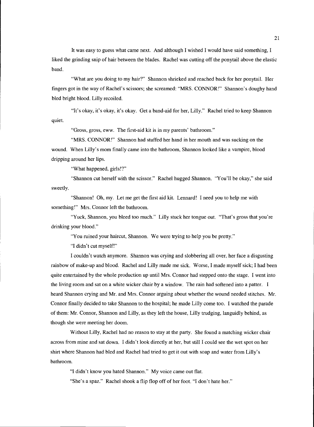It was easy to guess what came next. And although I wished I would have said something, I liked the grinding snip of hair between the blades. Rachel was cutting off the ponytail above the elastic band.

"What are you doing to my hair?" Shannon shrieked and reached back for her ponytail. Her fingers got in the way of Rachel's scissors; she screamed: "MRS. CONNOR!" Shannon's doughy hand bled bright blood. Lilly recoiled.

"It's okay, it's okay, it's okay. Get a band-aid for her, Lilly." Rachel tried to keep Shannon quiet.

"Gross, gross, eww. The first-aid kit is in my parents' bathroom."

"MRS. CONNOR!" Shannon had stuffed her hand in her mouth and was sucking on the wound. When Lilly's mom finally came into the bathroom, Shannon looked like a vampire, blood dripping around her lips.

"What happened, girls!?"

"Shannon cut herself with the scissor." Rachel hugged Shannon. "You'll be okay," she said sweetly.

"Shannon! Oh, my. Let me get the first aid kit. Lennard! I need you to help me with something!" Mrs. Connor left the bathroom.

"Yuck, Shannon, you bleed too much." Lilly stuck her tongue out. "That's gross that you're drinking your blood."

"You ruined your haircut, Shannon. We were trying to help you be pretty."

"I didn't cut myself!"

I couldn't watch anymore. Shannon was crying and slobbering all over, her face a disgusting rainbow of make-up and blood. Rachel and Lilly made me sick. Worse, I made myself sick; I had been quite entertained by the whole production up until Mrs. Connor had stepped onto the stage. I went into the living room and sat on a white wicker chair by a window. The rain had softened into a patter. I heard Shannon crying and Mr. and Mrs. Connor arguing about whether the wound needed stitches. Mr. Connor finally decided to take Shannon to the hospital; he made Lilly come too. I watched the parade of them: Mr. Connor, Shannon and Lilly, as they left the house, Lilly trudging, languidly behind, as though she were meeting her doom.

Without Lilly, Rachel had no reason to stay at the party. She found a matching wicker chair across from mine and sat down. I didn't look directly at her, but still I could see the wet spot on her shirt where Shannon had bled and Rachel had tried to get it out with soap and water from Lilly's bathroom.

"I didn't know you hated Shannon." My voice came out flat. "She's a spaz." Rachel shook a flip flop off of her foot. "I don't hate her."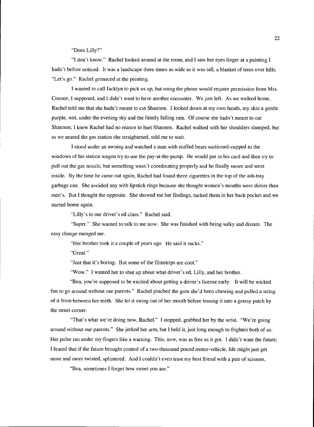"Does Lilly?"

"I don't know." Rachel looked around at the room, and I saw her eyes linger at a painting I hadn't before noticed. It was a landscape three times as wide as it was tall, a blanket of trees over hills. "Let's go." Rachel grimaced at the painting.

I wanted to call Jacklyn to pick us up, but using the phone would require permission from Mrs. Connor, I supposed, and I didn't want to have another encounter. We just left. As we walked home, Rachel told me that she hadn't meant to cut Shannon. I looked down at my own hands, my skin a gentle purple, wet, under the evening sky and the faintly falling rain. Of course she hadn't meant to cut Shannon; I knew Rachel had no reason to hurt Shannon. Rachel walked with her shoulders slumped, but as we neared the gas station she straightened, told me to wait.

I stood under an awning and watched a man with stuffed bears suctioned-cupped to the windows of his station wagon try to use the pay-at-the-pump. He would put in his card and then try to pull out the gas nozzle, but something wasn't coordinating properly and he finally swore and went inside. By the time he came out again, Rachel had found three cigarettes in the top of the ash-tray garbage can. She avoided any with lipstick rings because she thought women's mouths were dirtier than men's. But I thought the opposite. She showed me her findings, tucked them in her back pocket and we started home again.

"Lilly's in our driver's ed class." Rachel said.

"Super." She wanted to talk to me now. She was finished with being sulky and distant. The easy change enraged me.

"Her brother took it a couple of years ago. He said it sucks."

"Great."

"Just that it's boring. But some of the filmstrips are cool."

"Wow." I wanted her to shut up about what driver's ed, Lilly, and her brother.

"Bea, you're supposed to be excited about getting a driver's license early. It will be wicked fun to go around without our parents." Rachel pinched the gum she'd been chewing and pulled a string of it from between her teeth. She let it swing out of her mouth before tossing it into a grassy patch by the street corner.

"That's what we're doing now, Rachel." I stopped, grabbed her by the wrist. "We're going around without our parents." She jerked her arm, but I held it, just long enough to frighten both of us. Her pulse ran under my fingers like a warning. This, now, was as free as it got. I didn't want the future; I feared that if the future brought control of a two-thousand pound motor-vehicle, life might just get more and more twisted, splintered. And I couldn't even trust my best friend with a pair of scissors.

"Bea, sometimes I forget how sweet you are."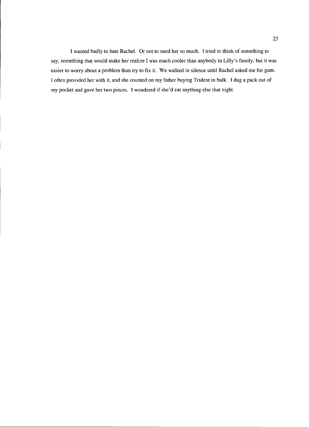I wanted badly to hate Rachel. Or not to need her so much. I tried to think of something to say, something that would make her realize I was much cooler than anybody in Lilly's family, but it was easier to worry about a problem than try to fix it. We walked in silence until Rachel asked me for gum. I often provided her with it, and she counted on my father buying Trident in bulk. I dug a pack out of my pocket and gave her two pieces. I wondered if she'd eat anything else that night.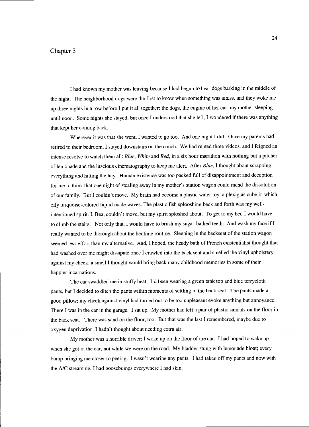#### Chapter 3

I had known my mother was leaving because I had begun to hear dogs barking in the middle of the night. The neighborhood dogs were the first to know when something was amiss, and they woke me up three nights in a row before I put it all together: the dogs, the engine of her car, my mother sleeping until noon. Some nights she stayed, but once I understood that she left, I wondered if there was anything that kept her coming back.

Wherever it was that she went, I wanted to go too. And one night I did. Once my parents had retired to their bedroom, I stayed downstairs on the couch. We had rented three videos, and I feigned an intense resolve to watch them all: Blue, White and Red, in a six hour marathon with nothing but a pitcher of lemonade and the luscious cinematography to keep me alert. After Blue, I thought about scrapping everything and hitting the hay. Human existence was too packed full of disappointment and deception for me to think that one night of stealing away in my mother's station wagon could mend the dissolution of our family. But I couldn't move. My brain had become a plastic water toy: a plexiglas cube in which oily turquoise-colored liquid made waves. The plastic fish splooshing back and forth was my wellintentioned spirit. I, Bea, couldn't move, but my spirit sploshed about. To get to my bed I would have to climb the stairs. Not only that, I would have to brush my sugar-bathed teeth. And wash my face if I really wanted to be thorough about the bedtime routine. Sleeping in the backseat of the station wagon seemed less effort than my alternative. And, I hoped, the heady bath of French existentialist thought that had washed over me might dissipate once I crawled into the back seat and smelled the vinyl upholstery against my cheek, a smell I thought would bring back many childhood memories in some of their happier incarnations.

The car swaddled me in stuffy heat. I'd been wearing a green tank top and blue terrycloth pants, but I decided to ditch the pants within moments of settling in the back seat. The pants made a good pillow; my cheek against vinyl had turned out to be too unpleasant evoke anything but annoyance. There I was in the car in the garage. I sat up. My mother had left a pair of plastic sandals on the floor in the back seat. There was sand on the floor, too. But that was the last I remembered, maybe due to oxygen deprivation-I hadn't thought about needing extra air.

My mother was a horrible driver; I woke up on the floor of the car. I had hoped to wake up when she got in the car, not while we were on the road. My bladder stung with lemonade bloat; every bump bringing me closer to peeing. I wasn't wearing any pants. I had taken off my pants and now with the A/C streaming, I had goosebumps everywhere I had skin.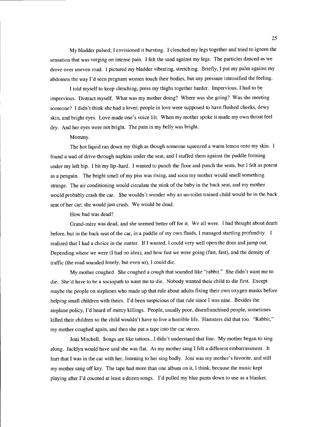My bladder pulsed; I envisioned it bursting. I clenched my legs together and tried to ignore the sensation that was verging on intense pain. I felt the sand against my legs. The particles danced as we drove over uneven road. I pictured my bladder vibrating, stretching. Briefly, I put my palm against my abdomen the way I'd seen pregnant women touch their bodies, but any pressure intensified the feeling.

I told myself to keep clenching, press my thighs together harder. Impervious, I had to be impervious. Distract myself. What was my mother doing? Where was she going? Was she meeting someone? I didn't think she had a lover; people in love were supposed to have flushed cheeks, dewy skin, and bright eyes. Love made one's voice lilt. When my mother spoke it made my own throat feel dry. And her eyes were not bright. The pain in my belly was bright.

#### Mommy.

The hot liquid ran down my thigh as though someone squeezed a warm lemon onto my skin. I found a wad of drive-through napkins under the seat, and I stuffed them against the puddle forming under my left hip. I bit my lip-hard. I wanted to punch the floor and punch the seats, but I felt as potent as a penguin. The bright smell of my piss was rising, and soon my mother would smell something strange. The air conditioning would circulate the stink of the baby in the back seat, and my mother would probably crash the car. She wouldn't wonder why an un-toilet trained child would be in the back seat of her car; she would just crash. We would be dead.

How bad was dead?

Grand-mère was dead, and she seemed better off for it. We all were. I had thought about death before, but in the back seat of the car, in a puddle of my own fluids, I managed startling profundity. I realized that I had a choice in the matter. If I wanted, I could very well open the door and jump out. Depending where we were (I had no idea), and how fast we were going (fast, fast), and the density of traffic (the road sounded lonely, but even so), I could die.

My mother coughed. She coughed a cough that sounded like "rabbit." She didn't want me to die. She'd have to be a sociopath to want me to die. Nobody wanted their child to die first. Except maybe the people on airplanes who made up that rule about adults fixing their own oxygen masks before helping small children with theirs. I'd been suspicious of that rule since I was nine. Besides the airplane policy, I'd heard of mercy killings. People, usually poor, disenfranchised people, sometimes killed their children so the child wouldn't have to live a horrible life. Hamsters did that too. "Rabbit," my mother coughed again, and then she put a tape into the car stereo.

Joni Mitchell. Songs are like tattoos...I didn't understand that line. My mother began to sing along. Jacklyn would have said she was flat. As my mother sang I felt a different embarrassment. It hurt that I was in the car with her, listening to her sing badly. Joni was my mother's favorite, and still my mother sang off key. The tape had more than one album on it, I think, because the music kept playing after I'd counted at least a dozen songs. I'd pulled my blue pants down to use as a blanket.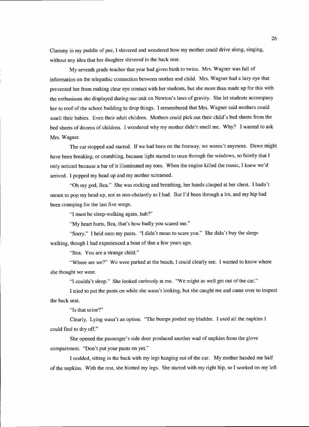Clammy in my puddle of pee, I shivered and wondered how my mother could drive along, singing, without any idea that her daughter shivered in the back seat.

My seventh grade teacher that year had given birth to twins. Mrs. Wagner was full of information on the telepathic connection between mother and child. Mrs. Wagner had a lazy eye that prevented her from making clear eye contact with her students, but she more than made up for this with the enthusiasm she displayed during our unit on Newton's laws of gravity. She let students accompany her to roof of the school building to drop things. I remembered that Mrs. Wagner said mothers could smell their babies. Even their adult children. Mothers could pick out their child's bed sheets from the bed sheets of dozens of children. I wondered why my mother didn't smell me. Why? I wanted to ask Mrs. Wagner.

The car stopped and started. If we had been on the freeway, we weren't anymore. Dawn might have been breaking, or crumbling, because light started to ooze through the windows, so faintly that I only noticed because a bar of it illuminated my toes. When the engine killed the music, I knew we'd arrived. I popped my head up and my mother screamed.

"Oh my god, Bea." She was rocking and breathing, her hands clasped at her chest. I hadn't meant to pop my head up, not as non-chalantly as I had. But I'd been through a lot, and my hip had been cramping for the last five songs.

"I must be sleep-walking again, huh?"

"My heart hurts, Bea, that's how badly you scared me."

"Sorry." I held onto my pants. "I didn't mean to scare you." She didn't buy the sleep-

walking, though I had experienced a bout of that a few years ago.

"Bea. You are a strange child."

"Where are we?" We were parked at the beach, I could clearly see. I wanted to know where she thought we were.

"I couldn't sleep." She looked curiously at me. "We might as well get out of the car."

I tried to put the pants on while she wasn't looking, but she caught me and came over to inspect the back seat.

"Is that urine?"

Clearly. Lying wasn't an option. "The bumps jostled my bladder. I used all the napkins I could find to dry off."

She opened the passenger's side door produced another wad of napkins from the glove compartment. "Don't put your pants on yet."

I nodded, sitting in the back with my legs hanging out of the car. My mother handed me half of the napkins. With the rest, she blotted my legs. She started with my right hip, so I worked on my left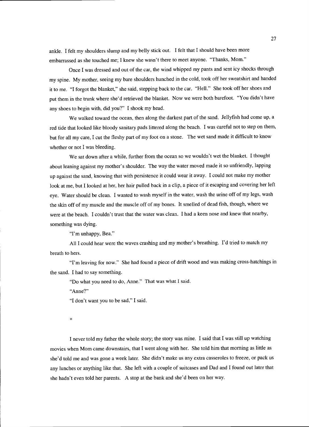ankle. I felt my shoulders slump and my belly stick out. I felt that I should have been more embarrassed as she touched me; I knew she wasn't there to meet anyone. "Thanks, Mom."

Once I was dressed and out of the car, the wind whipped my pants and sent icy shocks through my spine. My mother, seeing my bare shoulders hunched in the cold, took off her sweatshirt and handed it to me. "I forgot the blanket," she said, stepping back to the car. "Hell." She took off her shoes and put them in the trunk where she'd retrieved the blanket. Now we were both barefoot. "You didn't have any shoes to begin with, did you?" I shook my head.

We walked toward the ocean, then along the darkest part of the sand. Jellyfish had come up, a red tide that looked like bloody sanitary pads littered along the beach. I was careful not to step on them, but for all my care, I cut the fleshy part of my foot on a stone. The wet sand made it difficult to know whether or not I was bleeding.

We sat down after a while, further from the ocean so we wouldn't wet the blanket. I thought about leaning against my mother's shoulder. The way the water moved made it so unfriendly, lapping up against the sand, knowing that with persistence it could wear it away. I could not make my mother look at me, but I looked at her, her hair pulled back in a clip, a piece of it escaping and covering her left eye. Water should be clean. I wanted to wash myself in the water, wash the urine off of my legs, wash the skin off of my muscle and the muscle off of my bones. It smelled of dead fish, though, where we were at the beach. I couldn't trust that the water was clean. I had a keen nose and knew that nearby, something was dying.

"I'm unhappy, Bea."

All I could hear were the waves crashing and my mother's breathing. I'd tried to match my breath to hers.

"I'm leaving for now." She had found a piece of drift wood and was making cross-hatchings in the sand. I had to say something.

"Do what you need to do, Anne." That was what I said.

"Anne?"

"I don't want you to be sad," I said.

\*

I never told my father the whole story; the story was mine. I said that I was still up watching movies when Mom came downstairs, that I went along with her. She told him that morning as little as she'd told me and was gone a week later. She didn't make us any extra casseroles to freeze, or pack us any lunches or anything like that. She left with a couple of suitcases and Dad and I found out later that she hadn't even told her parents. A stop at the bank and she'd been on her way.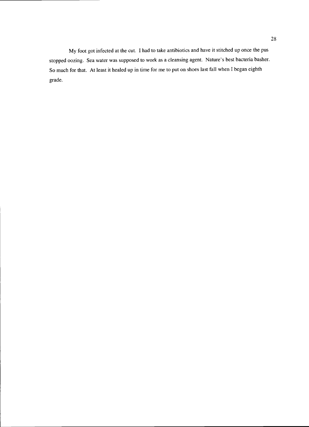My foot got infected at the cut. I had to take antibiotics and have it stitched up once the pus stopped oozing. Sea water was supposed to work as a cleansing agent. Nature's best bacteria basher. So much for that. At least it healed up in time for me to put on shoes last fall when I began eighth grade.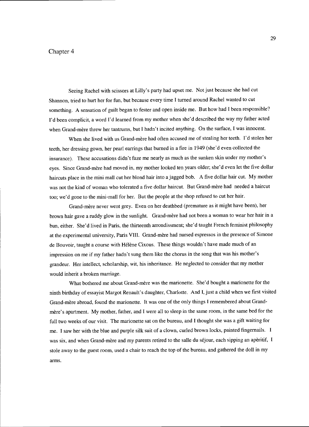### Chapter 4

Seeing Rachel with scissors at Lilly's party had upset me. Not just because she had cut Shannon, tried to hurt her for fun, but because every time I turned around Rachel wanted to cut something. A sensation of guilt began to fester and open inside me. But how had I been responsible? I'd been complicit, a word I'd learned from my mother when she'd described the way my father acted when Grand-mère threw her tantrums, but I hadn't incited anything. On the surface, I was innocent.

When she lived with us Grand-mère had often accused me of stealing her teeth. I'd stolen her teeth, her dressing gown, her pearl earrings that burned in a fire in 1949 (she'd even collected the insurance). These accusations didn't faze me nearly as much as the sunken skin under my mother's eyes. Since Grand-mere had moved in, my mother looked ten years older; she'd even let the five dollar haircuts place in the mini mall cut her blond hair into a jagged bob. A five dollar hair cut. My mother was not the kind of woman who tolerated a five dollar haircut. But Grand-mère had needed a haircut too; we'd gone to the mini-mall for her. But the people at the shop refused to cut her hair.

Grand-mere never went grey. Even on her deathbed (premature as it might have been), her brown hair gave a ruddy glow in the sunlight. Grand-mère had not been a woman to wear her hair in a bun, either. She'd lived in Paris, the thirteenth arrondissment; she'd taught French feminist philosophy at the experimental university, Paris VIII. Grand-mère had nursed espressos in the presence of Simone de Bouvoir, taught a course with Hélène Cixous. These things wouldn't have made much of an impression on me if my father hadn't sung them like the chorus in the song that was his mother's grandeur. Her intellect, scholarship, wit, his inheritance. He neglected to consider that my mother would inherit a broken marriage.

What bothered me about Grand-mère was the marionette. She'd bought a marionette for the ninth birthday of essayist Margot Renault's daughter, Charlotte. And I, just a child when we first visited Grand-mere abroad, found the marionette. It was one of the only things I remembered about Grandmère's apartment. My mother, father, and I were all to sleep in the same room, in the same bed for the full two weeks of our visit. The marionette sat on the bureau, and I thought she was a gift waiting for me. I saw her with the blue and purple silk suit of a clown, curled brown locks, painted fingernails. I was six, and when Grand-mère and my parents retired to the salle du séjour, each sipping an apèritif, I stole away to the guest room, used a chair to reach the top of the bureau, and gathered the doll in my arms.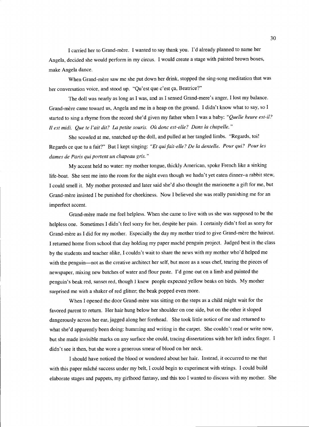I carried her to Grand-mère. I wanted to say thank you. I'd already planned to name her Angela, decided she would perform in my circus. I would create a stage with painted brown boxes, make Angela dance.

When Grand-mère saw me she put down her drink, stopped the sing-song meditation that was her conversation voice, and stood up. "Qu'est que c'est ça, Beatrice?"

The doll was nearly as long as I was, and as I sensed Grand-mere's anger, I lost my balance. Grand-mère came toward us, Angela and me in a heap on the ground. I didn't know what to say, so I started to sing a rhyme from the record she'd given my father when I was a baby: "Quelle heure est-il? Ii est midi. Que te l'ait dit? La petite souris. Oà donc est-elle? Dans la chapelle."

She scowled at me, snatched up the doll, and pulled at her tangled limbs. "Regards, toi! Regards ce que tu a fait?" But I kept singing: "Et qui fait-elle? De la dentelle. Pour qui? Pour les dames de Paris qui portent un chapeau gris."

My accent held no water: my mother tongue, thickly American, spoke French like a sinking life-boat. She sent me into the room for the night even though we hadn't yet eaten dinner-a rabbit stew, I could smell it. My mother protested and later said she'd also thought the marionette a gift for me, but Grand-mere insisted I be punished for cheekiness. Now I believed she was really punishing me for an imperfect accent.

Grand-mere made me feel helpless. When she came to live with us she was supposed to be the helpless one. Sometimes I didn't feel sorry for her, despite her pain. I certainly didn't feel as sorry for Grand-mere as I did for my mother. Especially the day my mother tried to give Grand-mere the haircut. I returned home from school that day holding my paper mache penguin project. Judged best in the class by the students and teacher alike, I couldn't wait to share the news with my mother who'd helped me with the penguin-not as the creative architect her self, but more as a sous chef, tearing the pieces of newspaper, mixing new batches of water and flour paste. I'd gone out on a limb and painted the penguin's beak red, sunset red, though I knew people expected yellow beaks on birds. My mother surprised me with a shaker of red glitter; the beak popped even more.

When I opened the door Grand-mère was sitting on the steps as a child might wait for the favored parent to return. Her hair hung below her shoulder on one side, but on the other it sloped dangerously across her ear, jagged along her forehead. She took little notice of me and returned to what she'd apparently been doing: humming and writing in the carpet. She couldn't read or write now, but she made invisible marks on any surface she could, tracing dissertations with her left index finger. I didn't see it then, but she wore a generous smear of blood on her neck.

I should have noticed the blood or wondered about her hair. Instead, it occurred to me that with this paper mâché success under my belt, I could begin to experiment with strings. I could build elaborate stages and puppets, my girlhood fantasy, and this too I wanted to discuss with my mother. She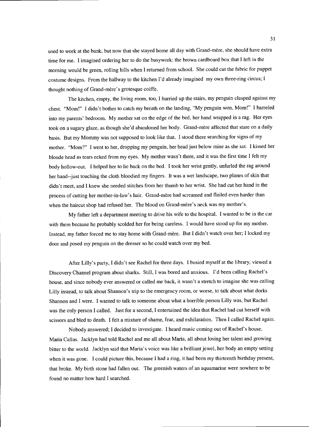used to work at the bank, but now that she stayed home all day with Grand-mère, she should have extra time for me. I imagined ordering her to do the busywork: the brown cardboard box that I left in the morning would be green, rolling hills when I returned from school. She could cut the fabric for puppet costume designs. From the hallway to the kitchen I'd already imagined my own three-ring circus; I thought nothing of Grand-mere's grotesque coiffe.

The kitchen, empty, the living room, too, I hurried up the stairs, my penguin clasped against my chest. "Mom!" I didn't bother to catch my breath on the landing, "My penguin won, Mom!" I barreled into my parents' bedroom. My mother sat on the edge of the bed, her hand wrapped in a rag. Her eyes took on a sugary glaze, as though she'd abandoned her body. Grand-mère affected that stare on a daily basis. But my Mommy was not supposed to look like that. I stood there searching for signs of my mother. "Mom?" I went to her, dropping my penguin, her head just below mine as she sat. I kissed her blonde head as tears eeked from my eyes. My mother wasn't there, and it was the first time I felt my body hollow-out. I helped her to lie back on the bed. I took her wrist gently, unfurled the rag around her hand--just touching the cloth bloodied my fingers. It was a wet landscape, two planes of skin that didn't meet, and I knew she needed stitches from her thumb to her wrist. She had cut her hand in the process of cutting her mother-in-law's hair. Grand-mere had screamed and flailed even harder than when the haircut shop had refused her. The blood on Grand-mère's neck was my mother's.

My father left a department meeting to drive his wife to the hospital. I wanted to be in the car with them because he probably scolded her for being careless. I would have stood up for my mother. Instead, my father forced me to stay home with Grand-mere. But I didn't watch over her; I locked my door and posed my penguin on the dresser so he could watch over my bed.

After Lilly's party, I didn't see Rachel for three days. I busied myself at the library, viewed a Discovery Channel program about sharks. Still, I was bored and anxious. I'd been calling Rachel's house, and since nobody ever answered or called me back, it wasn't a stretch to imagine she was calling Lilly instead, to talk about Shannon's trip to the emergency room, or worse, to talk about what dorks Shannon and I were. I wanted to talk to someone about what a horrible person Lilly was, but Rachel was the only person I called. Just for a second, I entertained the idea that Rachel had cut herself with scissors and bled to death. I felt a mixture of shame, fear, and exhilaration. Then I called Rachel again.

Nobody answered; I decided to investigate. I heard music coming out of Rachel's house. Maria Callas. Jacklyn had told Rachel and me all about Maria, all about losing her talent and growing bitter to the world. Jacklyn said that Maria's voice was like a brilliant jewel, her body an empty setting when it was gone. I could picture this, because I had a ring, it had been my thirteenth birthday present, that broke. My birth stone had fallen out. The greenish waters of an aquamarine were nowhere to be found no matter how hard I searched.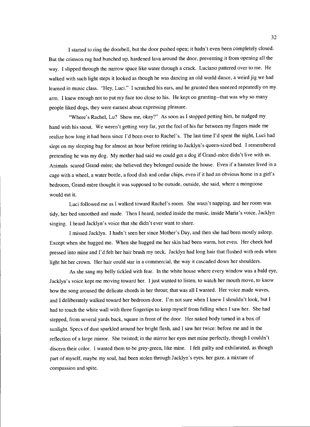I started to ring the doorbell, but the door pushed open; it hadn't even been completely closed. But the crimson rug had bunched up, hardened lava around the door, preventing it from opening all the way. I slipped through the narrow space like water through a crack. Luciano pattered over to me. He walked with such light steps it looked as though he was dancing an old world dance, a weird jig we had learned in music class. "Hey, Luci." I scratched his ears, and he grunted then sneezed repeatedly on my arm. I knew enough not to put my face too close to his. He kept on grunting--that was why so many people liked dogs, they were earnest about expressing pleasure.

"Where's Rachel, Lu? Show me, okay?" As soon as I stopped petting him, he nudged my hand with his snout. We weren't getting very far, yet the feel of his fur between my fingers made me realize how long it had been since I'd been over to Rachel's. The last time I'd spent the night, Luci had slept on my sleeping bag for almost an hour before retiring to Jacklyn's queen-sized bed. I remembered pretending he was my dog. My mother had said we could get a dog if Grand-mère didn't live with us. Animals scared Grand-mere; she believed they belonged outside the house. Even if a hamster lived in a cage with a wheel, a water bottle, a food dish and cedar chips, even if it had an obvious home in a girl's bedroom, Grand-mere thought it was supposed to be outside, outside, she said, where a mongoose would eat it.

Luci followed me as I walked toward Rachel's room. She wasn't napping, and her room was tidy, her bed smoothed and made. Then I heard, nestled inside the music, inside Maria's voice, Jacklyn singing. I heard Jacklyn's voice that she didn't ever want to share.

I missed Jacklyn. I hadn't seen her since Mother's Day, and then she had been mostly asleep. Except when she hugged me. When she hugged me her skin had been warm, hot even. Her cheek had pressed into mine and I'd felt her hair brush my neck. Jacklyn had long hair that flushed with reds when light hit her crown. Her hair could star in a commercial, the way it cascaded down her shoulders.

As she sang my belly tickled with fear. In the white house where every window was a bald eye, Jacklyn's voice kept me moving toward her. I just wanted to listen, to watch her mouth move, to know how the song aroused the delicate chords in her throat; that was all I wanted. Her voice made waves, and I deliberately walked toward her bedroom door. I'm not sure when I knew I shouldn't look, but I had to touch the white wall with three fingertips to keep myself from falling when I saw her. She had stepped, from several yards back, square in front of the door. Her naked body turned in a box of sunlight. Specs of dust sparkled around her bright flesh, and I saw her twice: before me and in the reflection of a large mirror. She twisted; in the mirror her eyes met mine perfectly, though I couldn't discern their color. I wanted them to be grey-green, like mine. I felt guilty and exhilarated, as though part of myself, maybe my soul, had been stolen through Jacklyn's eyes, her gaze, a mixture of compassion and spite.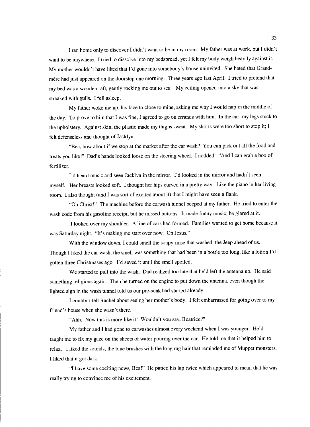I ran home only to discover I didn't want to be in my room. My father was at work, but I didn't want to be anywhere. I tried to dissolve into my bedspread, yet I felt my body weigh heavily against it. My mother wouldn't have liked that I'd gone into somebody's house uninvited. She hated that Grandmere had just appeared on the doorstep one morning. Three years ago last April. I tried to pretend that my bed was a wooden raft, gently rocking me out to sea. My ceiling opened into a sky that was streaked with gulls. I fell asleep.

My father woke me up, his face to close to mine, asking me why I would nap in the middle of the day. To prove to him that I was fine, I agreed to go on errands with him. In the car, my legs stuck to the upholstery. Against skin, the plastic made my thighs sweat. My shorts were too short to stop it; I felt defenseless and thought of Jacklyn.

"Bea, how about if we stop at the market after the car wash? You can pick out all the food and treats you like!" Dad's hands looked loose on the steering wheel. I nodded. "And I can grab a box of fertilizer.

I'd heard music and seen Jacklyn in the mirror. I'd looked in the mirror and hadn't seen myself. Her breasts looked soft. I thought her hips curved in a pretty way. Like the piano in her living room. I also thought (and I was sort of excited about it) that I might have seen a flank.

"Oh Christ!" The machine before the carwash tunnel beeped at my father. He tried to enter the wash code from his gasoline receipt, but he missed buttons. It made funny music; he glared at it.

I looked over my shoulder. A line of cars had formed. Families wanted to get home because it was Saturday night. "It's making me start over now. Oh Jesus."

With the window down, I could smell the soapy rinse that washed the Jeep ahead of us. Though I liked the car wash, the smell was something that had been in a bottle too long, like a lotion I'd gotten three Christmases ago. I'd saved it until the smell spoiled.

We started to pull into the wash. Dad realized too late that he'd left the antenna up. He said something religious again. Then he turned on the engine to put down the antenna, even though the lighted sign in the wash tunnel told us our pre-soak had started already.

I couldn't tell Rachel about seeing her mother's body. I felt embarrassed for going over to my friend's house when she wasn't there.

"Ahh. Now this is more like it! Wouldn't you say, Beatrice?"

My father and I had gone to carwashes almost every weekend when I was younger. He'd taught me to fix my gaze on the sheets of water pouring over the car. He told me that it helped him to relax. I liked the sounds, the blue brushes with the long rag hair that reminded me of Muppet monsters. I liked that it got dark.

"I have some exciting news, Bea!" He patted his lap twice which appeared to mean that he was really trying to convince me of his excitement.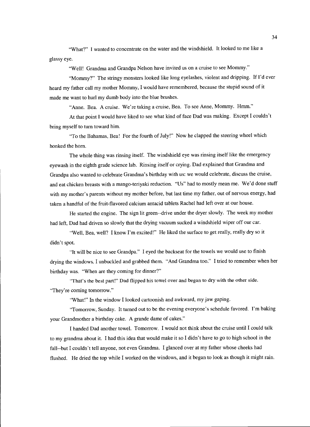"What?" I wanted to concentrate on the water and the windshield. It looked to me like a glassy eye.

"Well! Grandma and Grandpa Nelson have invited us on a cruise to see Mommy."

"Mommy?" The stringy monsters looked like long eyelashes, violent and dripping. If I'd ever heard my father call my mother Mommy, I would have remembered, because the stupid sound of it made me want to hurl my dumb body into the blue brushes.

"Anne. Bea. A cruise. We're taking a cruise, Bea. To see Anne, Mommy. Hmm."

At that point I would have liked to see what kind of face Dad was making. Except I couldn't bring myself to turn toward him.

"To the Bahamas, Bea! For the fourth of July!" Now he clapped the steering wheel which honked the horn.

The whole thing was rinsing itself. The windshield eye was rinsing itself like the emergency eyewash in the eighth grade science lab. Rinsing itself or crying. Dad explained that Grandma and Grandpa also wanted to celebrate Grandma's birthday with us: we would celebrate, discuss the cruise, and eat chicken breasts with a mango-teriyaki reduction. "Us" had to mostly mean me. We'd done stuff with my mother's parents without my mother before, but last time my father, out of nervous energy, had taken a handful of the fruit-flavored calcium antacid tablets Rachel had left over at our house.

He started the engine. The sign lit green--drive under the dryer slowly. The week my mother had left, Dad had driven so slowly that the drying vacuum sucked a windshield wiper off our car.

"Well, Bea, well? I know I'm excited!" He liked the surface to get really, really dry so it didn't spot.

"It will be nice to see Grandpa." I eyed the backseat for the towels we would use to finish drying the windows. I unbuckled and grabbed them. "And Grandma too." I tried to remember when her birthday was. "When are they coming for dinner?"

"That's the best part!" Dad flipped his towel over and began to dry with the other side. "They're coming tomorrow."

"What!" In the window I looked cartoonish and awkward, my jaw gaping.

"Tomorrow, Sunday. It turned out to be the evening everyone's schedule favored. I'm baking your Grandmother a birthday cake. A grande dame of cakes."

I handed Dad another towel. Tomorrow. I would not think about the cruise until I could talk to my grandma about it. I had this idea that would make it so I didn't have to go to high school in the fall--but I couldn't tell anyone, not even Grandma. I glanced over at my father whose cheeks had flushed. He dried the top while I worked on the windows, and it began to look as though it might rain.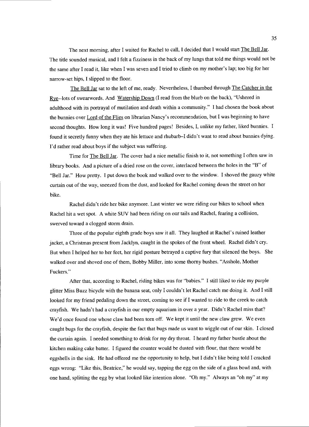The next morning, after I waited for Rachel to call, I decided that I would start The Bell Jar. The title sounded musical, and I felt a fizziness in the back of my lungs that told me things would not be the same after I read it, like when I was seven and I tried to climb on my mother's lap; too big for her narrow-set hips, I slipped to the floor.

The Bell Jar sat to the left of me, ready. Nevertheless, I thumbed through The Catcher in the Rye--lots of swearwords. And Watership Down (I read from the blurb on the back), "Ushered in adulthood with its portrayal of mutilation and death within a community." I had chosen the book about the bunnies over Lord of the Flies on librarian Nancy's recommendation, but I was beginning to have second thoughts. How long it was! Five hundred pages! Besides, I, unlike my father, liked bunnies. I found it secretly funny when they ate his lettuce and rhubarb-I didn't want to read about bunnies dying. I'd rather read about boys if the subject was suffering.

Time for The Bell Jar. The cover had a nice metallic finish to it, not something I often saw in library books. And a picture of a dried rose on the cover, interlaced between the holes in the "B" of "Bell Jar." How pretty. I put down the book and walked over to the window. I shoved the gauzy white curtain out of the way, sneezed from the dust, and looked for Rachel coming down the street on her bike.

Rachel didn't ride her bike anymore. Last winter we were riding our bikes to school when Rachel hit a wet spot. A white SUV had been riding on our tails and Rachel, fearing a collision, swerved toward a clogged storm drain.

Three of the popular eighth grade boys saw it all. They laughed at Rachel's ruined leather jacket, a Christmas present from Jacklyn, caught in the spokes of the front wheel. Rachel didn't cry. But when I helped her to her feet, her rigid posture betrayed a captive fury that silenced the boys. She walked over and shoved one of them, Bobby Miller, into some thorny bushes. "Asshole, Mother Fuckers."

After that, according to Rachel, riding bikes was for "babies." I still liked to ride my purple glitter Miss Buzz bicycle with the banana seat, only I couldn't let Rachel catch me doing it. And I still looked for my friend pedaling down the street, coming to see if I wanted to ride to the creek to catch crayfish. We hadn't had a crayfish in our empty aquarium in over a year. Didn't Rachel miss that? We'd once found one whose claw had been torn off. We kept it until the new claw grew. We even caught bugs for the crayfish, despite the fact that bugs made us want to wiggle out of our skin. I closed the curtain again. I needed something to drink for my dry throat. I heard my father bustle about the kitchen making cake batter. I figured the counter would be dusted with flour, that there would be eggshells in the sink. He had offered me the opportunity to help, but I didn't like being told I cracked eggs wrong: "Like this, Beatrice," he would say, tapping the egg on the side of a glass bowl and, with one hand, splitting the egg by what looked like intention alone. "Oh my." Always an "oh my" at my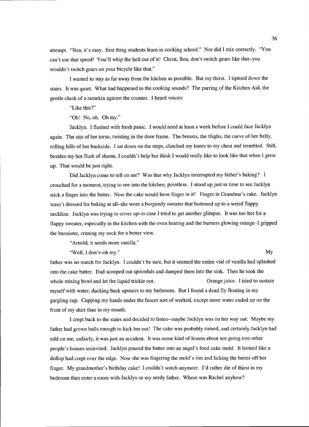attempt. "Bea, it's easy, first thing students learn in cooking school." Nor did I mix correctly. "You can't use that speed! You'll whip the hell out of it! Christ, Bea, don't switch gears like that-you wouldn't switch gears on your bicycle like that."

I wanted to stay as far away from the kitchen as possible. But my thirst. I tiptoed down the stairs. It was quiet. What had happened to the cooking sounds? The purring of the Kitchen Aid, the gentle clunk of a ramekin against the counter. I heard voices:

"Like this?"

"Oh! No, oh. Oh my."

Jacklyn. I flushed with fresh panic. I would need at least a week before I could face Jacklyn again. The site of her torso, twisting in the door frame. The breasts, the thighs, the curve of her belly, rolling hills of her backside. I sat down on the steps, clutched my knees to my chest and trembled. Still, besides my hot flush of shame, I couldn't help but think I would really like to look like that when I grew up. That would be just right.

Did Jacklyn come to tell on me? Was that why Jacklyn interrupted my father's baking? I crouched for a moment, trying to see into the kitchen, pointless. I stood up just in time to see Jacklyn stick a finger into the batter. Now the cake would have finger in it! Finger in Grandma's cake. Jacklyn wasn't dressed for baking at all-she wore a burgundy sweater that buttoned up to a weird flappy neckline. Jacklyn was trying to cover up-in case I tried to get another glimpse. It was too hot for a flappy sweater, especially in the kitchen with the oven heating and the burners glowing orange-I gripped the bannister, craning my neck for a better view.

"Arnold, it needs more vanilla."

"Well, I don't-oh my." My

father was no match for Jacklyn. I couldn't be sure, but it seemed the entire vial of vanilla had splashed into the cake batter. Dad scooped out spoonfuls and dumped them into the sink. Then he took the whole mixing bowl and let the liquid trickle out. Crange juice. I tried to sustain myself with water, ducking back upstairs to my bathroom. But I found a dead fly floating in my gargling cup. Cupping my hands under the faucet sort of worked, except more water ended up on the front of my shirt than in my mouth.

I crept back to the stairs and decided to listen--maybe Jacklyn was on her way out. Maybe my father had grown balls enough to kick her out! The cake was probably ruined, and certainly Jacklyn had told on me, unfairly, it was just an accident. It was some kind of lesson about not going into other people's houses uninvited. Jacklyn poured the batter into an angel's food cake mold. It looked like a dollop had crept over the edge. Now she was fingering the mold's rim and licking the batter off her finger. My grandmother's birthday cake! I couldn't watch anymore. I'd rather die of thirst in my bedroom than enter a room with Jacklyn or my nerdy father. Where was Rachel anyhow?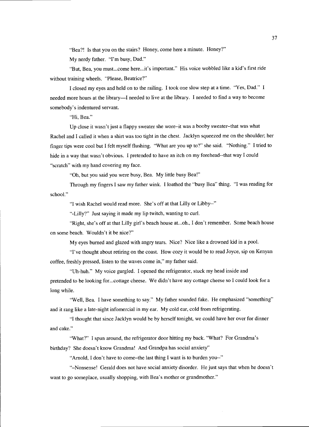"Bea?! Is that you on the stairs? Honey, come here a minute. Honey?"

My nerdy father. "I'm busy, Dad."

"But, Bea, you must...come here...it's important." His voice wobbled like a kid's first ride without training wheels. "Please, Beatrice?"

I closed my eyes and held on to the railing. I took one slow step at a time. "Yes, Dad." I needed more hours at the library—I needed to live at the library. I needed to find a way to become somebody's indentured servant.

"Hi, Bea."

Up close it wasn't just a flappy sweater she wore-it was a booby sweater-that was what Rachel and I called it when a shirt was too tight in the chest. Jacklyn squeezed me on the shoulder; her finger tips were cool but I felt myself flushing. "What are you up to?" she said. "Nothing." I tried to hide in a way that wasn't obvious. I pretended to have an itch on my forehead--that way I could "scratch" with my hand covering my face.

"Oh, but you said you were busy, Bea. My little busy Bea!"

Through my fingers I saw my father wink. I loathed the "busy Bea" thing. "I was reading for school."

"I wish Rachel would read more. She's off at that Lilly or Libby--"

"-Lilly?" Just saying it made my lip twitch, wanting to curl.

"Right, she's off at that Lilly girl's beach house at...oh., I don't remember. Some beach house on some beach. Wouldn't it be nice?"

My eyes burned and glazed with angry tears. Nice? Nice like a drowned kid in a pool.

"I've thought about retiring on the coast. How cozy it would be to read Joyce, sip on Kenyan coffee, freshly pressed, listen to the waves come in," my father said.

"Uh-huh." My voice gurgled. I opened the refrigerator, stuck my head inside and pretended to be looking for.. .cottage cheese. We didn't have any cottage cheese so I could look for a long while.

"Well, Bea. I have something to say." My father sounded fake. He emphasized "something" and it rang like a late-night infomercial in my ear. My cold ear, cold from refrigerating.

"I thought that since Jacklyn would be by herself tonight, we could have her over for dinner and cake."

"What?" I spun around, the refrigerator door hitting my back. "What? For Grandma's birthday? She doesn't know Grandma! And Grandpa has social anxiety"

"Arnold, I don't have to come-the last thing I want is to burden you--"

"-Nonsense! Gerald does not have social anxiety disorder. He just says that when he doesn't want to go someplace, usually shopping, with Bea's mother or grandmother."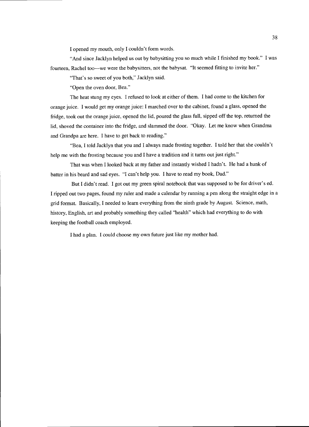I opened my mouth, only I couldn't form words.

"And since Jacklyn helped us out by babysitting you so much while I finished my book." I was fourteen, Rachel too---we were the babysitters, not the babysat. "It seemed fitting to invite her."

"That's so sweet of you both," Jacklyn said.

"Open the oven door, Bea."

The heat stung my eyes. I refused to look at either of them. I had come to the kitchen for orange juice. I would get my orange juice: I marched over to the cabinet, found a glass, opened the fridge, took out the orange juice, opened the lid, poured the glass full, sipped off the top, returned the lid, shoved the container into the fridge, and slammed the door. "Okay. Let me know when Grandma and Grandpa are here. I have to get back to reading."

"Bea, I told Jacklyn that you and I always made frosting together. I told her that she couldn't help me with the frosting because you and I have a tradition and it turns out just right."

That was when I looked back at my father and instantly wished I hadn't. He had a hunk of batter in his beard and sad eyes. "I can't help you. I have to read my book, Dad."

But I didn't read. I got out my green spiral notebook that was supposed to be for driver's ed. I ripped out two pages, found my ruler and made a calendar by running a pen along the straight edge in a grid format. Basically, I needed to learn everything from the ninth grade by August. Science, math, history, English, art and probably something they called "health" which had everything to do with keeping the football coach employed.

I had a plan. I could choose my own future just like my mother had.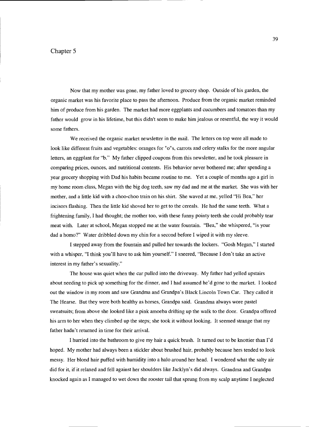## Chapter 5

Now that my mother was gone, my father loved to grocery shop. Outside of his garden, the organic market was his favorite place to pass the afternoon. Produce from the organic market reminded him of produce from his garden. The market had more eggplants and cucumbers and tomatoes than my father would grow in his lifetime, but this didn't seem to make him jealous or resentful, the way it would some fathers.

We received the organic market newsletter in the mail. The letters on top were all made to look like different fruits and vegetables: oranges for "o"s, carrots and celery stalks for the more angular letters, an eggplant for "b." My father clipped coupons from this newsletter, and he took pleasure in comparing prices, ounces, and nutritional contents. His behavior never bothered me; after spending a year grocery shopping with Dad his habits became routine to me. Yet a couple of months ago a girl in my home room class, Megan with the big dog teeth, saw my dad and me at the market. She was with her mother, and a little kid with a choo-choo train on his shirt. She waved at me, yelled "Hi Bea," her incisors flashing. Then the little kid shoved her to get to the cereals. He had the same teeth. What a frightening family, I had thought; the mother too, with these funny pointy teeth she could probably tear meat with. Later at school, Megan stopped me at the water fountain. "Bea," she whispered, "is your dad a homo?" Water dribbled down my chin for a second before I wiped it with my sleeve.

I stepped away from the fountain and pulled her towards the lockers. "Gosh Megan," I started with a whisper, "I think you'll have to ask him yourself." I sneered, "Because I don't take an active interest in my father's sexuality."

The house was quiet when the car pulled into the driveway. My father had yelled upstairs about needing to pick up something for the dinner, and I had assumed he'd gone to the market. I looked out the window in my room and saw Grandma and Grandpa's Black Lincoln Town Car. They called it The Hearse. But they were both healthy as horses, Grandpa said. Grandma always wore pastel sweatsuits; from above she looked like a pink amoeba drifting up the walk to the door. Grandpa offered his arm to her when they climbed up the steps; she took it without looking. It seemed strange that my father hadn't returned in time for their arrival.

I hurried into the bathroom to give my hair a quick brush. It turned out to be knottier than I'd hoped. My mother had always been a stickler about brushed hair, probably because hers tended to look messy. Her blond hair puffed with humidity into a halo around her head. I wondered what the salty air did for it, if it relaxed and fell against her shoulders like Jacklyn's did always. Grandma and Grandpa knocked again as I managed to wet down the rooster tail that sprung from my scalp anytime I neglected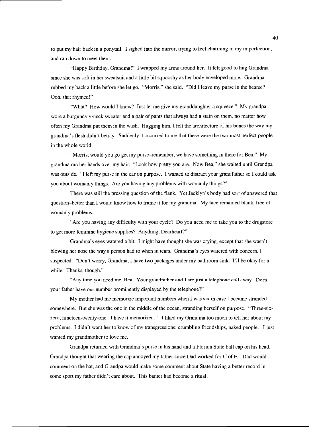to put my hair back in a ponytail. I sighed into the mirror, trying to feel charming in my imperfection, and ran down to meet them.

"Happy Birthday, Grandma!" I wrapped my arms around her. It felt good to hug Grandma since she was soft in her sweatsuit and a little bit squooshy as her body enveloped mine. Grandma rubbed my back a little before she let go. "Morris," she said. "Did I leave my purse in the hearse? Ooh, that rhymed!"

"What? How would I know? Just let me give my granddaughter a squeeze." My grandpa wore a burgundy v-neck sweater and a pair of pants that always had a stain on them, no matter how often my Grandma put them in the wash. Hugging him, I felt the architecture of his bones the way my grandma's flesh didn't betray. Suddenly it occurred to me that these were the two most perfect people in the whole world.

"Morris, would you go get my purse-remember, we have something in there for Bea." My grandma ran her hands over my hair. "Look how pretty you are. Now Bea," she waited until Grandpa was outside. "I left my purse in the car on purpose. I wanted to distract your grandfather so I could ask you about womanly things. Are you having any problems with womanly things?"

There was still the pressing question of the flank. Yet Jacklyn's body had sort of answered that question–better than I would know how to frame it for my grandma. My face remained blank, free of womanly problems.

"Are you having any difficulty with your cycle? Do you need me to take you to the drugstore to get more feminine hygiene supplies? Anything, Dearheart?"

Grandma's eyes watered a bit. I might have thought she was crying, except that she wasn't blowing her nose the way a person had to when in tears. Grandma's eyes watered with concern, I suspected. "Don't worry, Grandma, I have two packages under my bathroom sink. I'll be okay for a while. Thanks, though."

"Any time you need me, Bea. Your grandfather and I are just a telephone call away. Does your father have our number prominently displayed by the telephone?"

My mother had me memorize important numbers when I was six in case I became stranded somewhere. But she was the one in the middle of the ocean, stranding herself on purpose. "Three-sixzero, nineteen-twenty-one. I have it memorized." I liked my Grandma too much to tell her about my problems. I didn't want her to know of my transgressions: crumbling friendships, naked people. I just wanted my grandmother to love me.

Grandpa returned with Grandma's purse in his hand and a Florida State ball cap on his head. Grandpa thought that wearing the cap annoyed my father since Dad worked for U of F. Dad would comment on the hat, and Grandpa would make some comment about State having a better record in some sport my father didn't care about. This banter had become a ritual.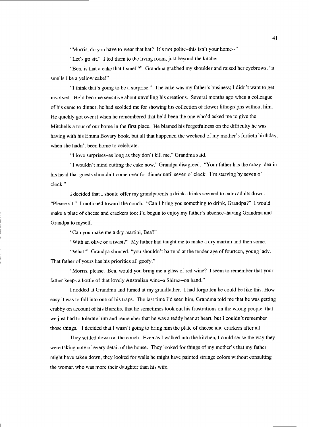"Morris, do you have to wear that hat? It's not polite-this isn't your home--"

"Let's go sit." I led them to the living room, just beyond the kitchen.

"Bea, is that a cake that I smell?" Grandma grabbed my shoulder and raised her eyebrows, "it smells like a yellow cake!"

"I think that's going to be a surprise." The cake was my father's business; I didn't want to get involved. He'd become sensitive about unveiling his creations. Several months ago when a colleague of his came to dinner, he had scolded me for showing his collection of flower lithographs without him. He quickly got over it when he remembered that he'd been the one who'd asked me to give the Mitchells a tour of our home in the first place. He blamed his forgetfulness on the difficulty he was having with his Emma Bovary book, but all that happened the weekend of my mother's fortieth birthday, when she hadn't been home to celebrate.

"I love surprises-as long as they don't kill me," Grandma said.

"I wouldn't mind cutting the cake now," Grandpa disagreed. "Your father has the crazy idea in his head that guests shouldn't come over for dinner until seven o' clock. I'm starving by seven o' clock."

I decided that I should offer my grandparents a drink-drinks seemed to calm adults down. "Please sit." I motioned toward the couch. "Can I bring you something to drink, Grandpa?" I would make a plate of cheese and crackers too; I'd begun to enjoy my father's absence-having Grandma and Grandpa to myself.

"Can you make me a dry martini, Bea?"

"With an olive or a twist?" My father had taught me to make a dry martini and then some.

"What!" Grandpa shouted, "you shouldn't bartend at the tender age of fourteen, young lady. That father of yours has his priorities all goofy."

"Morris, please. Bea, would you bring me a glass of red wine? I seem to remember that your father keeps a bottle of that lovely Australian wine-a Shiraz--on hand."

I nodded at Grandma and fumed at my grandfather. I had forgotten he could be like this. How easy it was to fall into one of his traps. The last time I'd seen him, Grandma told me that he was getting crabby on account of his Bursitis, that he sometimes took out his frustrations on the wrong people, that we just had to tolerate him and remember that he was a teddy bear at heart, but I couldn't remember those things. I decided that I wasn't going to bring him the plate of cheese and crackers after all.

They settled down on the couch. Even as I walked into the kitchen, I could sense the way they were taking note of every detail of the house. They looked for things of my mother's that my father might have taken down, they looked for walls he might have painted strange colors without consulting the woman who was more their daughter than his wife.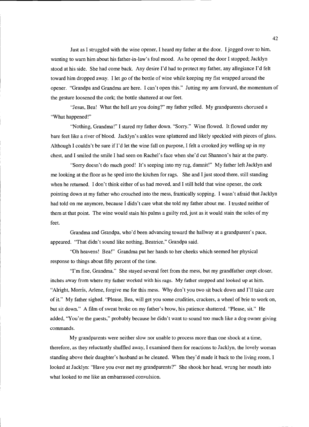Just as I struggled with the wine opener, I heard my father at the door. I jogged over to him, wanting to warn him about his father-in-law's foul mood. As he opened the door I stopped; Jacklyn stood at his side. She had come back. Any desire I'd had to protect my father, any allegiance I'd felt toward him dropped away. I let go of the bottle of wine while keeping my fist wrapped around the opener. "Grandpa and Grandma are here. I can't open this." Jutting my arm forward, the momentum of the gesture loosened the cork; the bottle shattered at our feet.

"Jesus, Bea! What the hell are you doing?" my father yelled. My grandparents chorused a "What happened!"

"Nothing, Grandma!" I stared my father down. "Sorry." Wine flowed. It flowed under my bare feet like a river of blood. Jacklyn's ankles were splattered and likely speckled with pieces of glass. Although I couldn't be sure if I'd let the wine fall on purpose, I felt a crooked joy welling up in my chest, and I smiled the smile I had seen on Rachel's face when she'd cut Shannon's hair at the party.

"Sorry doesn't do much good! It's seeping into my rug, damnit!" My father left Jacklyn and me looking at the floor as he sped into the kitchen for rags. She and I just stood there, still standing when he returned. I don't think either of us had moved, and I still held that wine opener, the cork pointing down at my father who crouched into the mess, frantically sopping. I wasn't afraid that Jacklyn had told on me anymore, because I didn't care what she told my father about me. I trusted neither of them at that point. The wine would stain his palms a guilty red, just as it would stain the soles of my feet.

Grandma and Grandpa, who'd been advancing toward the hallway at a grandparent's pace, appeared. "That didn't sound like nothing, Beatrice," Grandpa said.

"Oh heavens! Bea!" Grandma put her hands to her cheeks which seemed her physical response to things about fifty percent of the time.

"I'm fine, Grandma." She stayed several feet from the mess, but my grandfather crept closer, inches away from where my father worked with his rags. My father stopped and looked up at him. "Alright, Morris, Arlene, forgive me for this mess. Why don't you two sit back down and I'll take care of it." My father sighed. "Please, Bea, will get you some crudities, crackers, a wheel of brie to work on, but sit down." A film of sweat broke on my father's brow, his patience shattered. "Please, sit." He added, "You're the guests," probably because he didn't want to sound too much like a dog owner giving commands.

My grandparents were neither slow nor unable to process more than one shock at a time, therefore, as they reluctantly shuffled away, I examined them for reactions to Jacklyn, the lovely woman standing above their daughter's husband as he cleaned. When they'd made it back to the living room, I looked at Jacklyn: "Have you ever met my grandparents?" She shook her head, wrung her mouth into what looked to me like an embarrassed convulsion.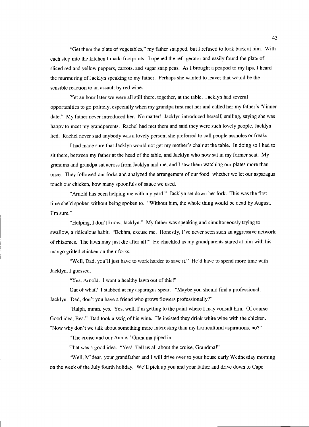"Get them the plate of vegetables," my father snapped, but I refused to look back at him. With each step into the kitchen I made footprints. I opened the refrigerator and easily found the plate of sliced red and yellow peppers, carrots, and sugar snap peas. As I brought a peapod to my lips, I heard the murmuring of Jacklyn speaking to my father. Perhaps she wanted to leave; that would be the sensible reaction to an assault by red wine.

Yet an hour later we were all still there, together, at the table. Jacklyn had several opportunities to go politely, especially when my grandpa first met her and called her my father's "dinner date." My father never introduced her. No matter! Jacklyn introduced herself, smiling, saying she was happy to meet my grandparents. Rachel had met them and said they were such lovely people, Jacklyn lied. Rachel never said anybody was a lovely person; she preferred to call people assholes or freaks.

I had made sure that Jacklyn would not get my mother's chair at the table. In doing so I had to sit there, between my father at the head of the table, and Jacklyn who now sat in my former seat. My grandma and grandpa sat across from Jacklyn and me, and I saw them watching our plates more than once. They followed our forks and analyzed the arrangement of our food: whether we let our asparagus touch our chicken, how many spoonfuls of sauce we used.

"Arnold has been helping me with my yard." Jacklyn set down her fork. This was the first time she'd spoken without being spoken to. "Without him, the whole thing would be dead by August, I'm sure."

"Helping, I don't know, Jacklyn." My father was speaking and simultaneously trying to swallow, a ridiculous habit. "Eckhm, excuse me. Honestly, I've never seen such an aggressive network of rhizomes. The lawn may just die after all!" He chuckled as my grandparents stared at him with his mango grilled chicken on their forks.

"Well, Dad, you'll just have to work harder to save it." He'd have to spend more time with Jacklyn, I guessed.

"Yes, Arnold. I want a healthy lawn out of this!"

Out of what? I stabbed at my asparagus spear. "Maybe you should find a professional, Jacklyn. Dad, don't you have a friend who grows flowers professionally?"

"Ralph, mmm, yes. Yes, well, I'm getting to the point where I may consult him. Of course. Good idea, Bea." Dad took a swig of his wine. He insisted they drink white wine with the chicken. "Now why don't we talk about something more interesting than my horticultural aspirations, no?"

"The cruise and our Annie," Grandma piped in.

That was a good idea. "Yes! Tell us all about the cruise, Grandma!"

"Well, M'dear, your grandfather and I will drive over to your house early Wednesday morning on the week of the July fourth holiday. We'll pick up you and your father and drive down to Cape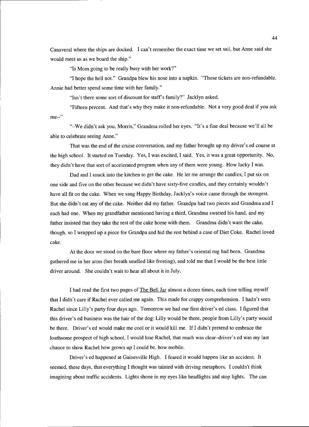Canaveral where the ships are docked. I can't remember the exact time we set sail, but Anne said she would meet us as we board the ship."

"Is Mom going to be really busy with her work?"

"I hope the hell not." Grandpa blew his nose into a napkin. "Those tickets are non-refundable. Annie had better spend some time with her family."

"Isn't there some sort of discount for staff's family?" Jacklyn asked.

"Fifteen percent. And that's why they make it non-refundable. Not a very good deal if you ask me--"

"-We didn't ask you, Morris," Grandma rolled her eyes. "It's a fine deal because we'll all be able to celebrate seeing Anne."

That was the end of the cruise conversation, and my father brought up my driver's ed course at the high school. It started on Tuesday. Yes, I was excited, I said. Yes, it was a great opportunity. No, they didn't have that sort of accelerated program when any of them were young. How lucky I was.

Dad and I snuck into the kitchen to get the cake. He let me arrange the candles; I put six on one side and five on the other because we didn't have sixty-five candles, and they certainly wouldn't have all fit on the cake. When we sang Happy Birthday, Jacklyn's voice came through the strongest. But she didn't eat any of the cake. Neither did my father. Grandpa had two pieces and Grandma and I each had one. When my grandfather mentioned having a third, Grandma swatted his hand, and my father insisted that they take the rest of the cake home with them. Grandma didn't want the cake, though, so I wrapped up a piece for Grandpa and hid the rest behind a case of Diet Coke. Rachel loved cake.

At the door we stood on the bare floor where my father's oriental rug had been. Grandma gathered me in her arms (her breath smelled like frosting), and told me that I would be the best little driver around. She couldn't wait to hear all about it in July.

I had read the first two pages of The Bell Jar almost a dozen times, each time telling myself that I didn't care if Rachel ever called me again. This made for crappy comprehension. I hadn't seen Rachel since Lilly's party four days ago. Tomorrow we had our first driver's ed class. I figured that this driver's ed business was the hair of the dog: Lilly would be there, people from Lilly's party would be there. Driver's ed would make me cool or it would kill me. If I didn't pretend to embrace the loathsome prospect of high school, I would lose Rachel, that much was clear-driver's ed was my last chance to show Rachel how grown up I could be, how mobile.

Driver's ed happened at Gainesville High. I feared it would happen like an accident. It seemed, these days, that everything I thought was tainted with driving metaphors. I couldn't think imagining about traffic accidents. Lights shone in my eyes like headlights and stop lights. The can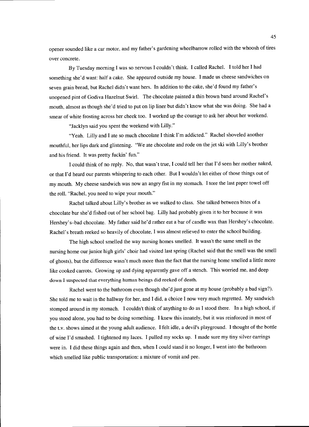opener sounded like a car motor, and my father's gardening wheelbarrow rolled with the whoosh of tires over concrete.

By Tuesday morning I was so nervous I couldn't think. I called Rachel. I told her I had something she'd want: half a cake. She appeared outside my house. I made us cheese sandwiches on seven grain bread, but Rachel didn't want hers. In addition to the cake, she'd found my father's unopened pint of Godiva Hazelnut Swirl. The chocolate painted a thin brown band around Rachel's mouth, almost as though she'd tried to put on lip liner but didn't know what she was doing. She had a smear of white frosting across her cheek too. I worked up the courage to ask her about her weekend.

"Jacklyn said you spent the weekend with Lilly."

"Yeah. Lilly and I ate so much chocolate I think I'm addicted." Rachel shoveled another mouthful, her lips dark and glistening. "We ate chocolate and rode on the jet ski with Lilly's brother and his friend. It was pretty fuckin' fun."

I could think of no reply. No, that wasn't true, I could tell her that I'd seen her mother naked, or that I'd heard our parents whispering to each other. But I wouldn't let either of those things out of my mouth. My cheese sandwich was now an angry fist in my stomach. I tore the last paper towel off the roll. "Rachel, you need to wipe your mouth."

Rachel talked about Lilly's brother as we walked to class. She talked between bites of a chocolate bar she'd fished out of her school bag. Lilly had probably given it to her because it was Hershey's-bad chocolate. My father said he'd rather eat a bar of candle wax than Hershey's chocolate. Rachel's breath reeked so heavily of chocolate, I was almost relieved to enter the school building.

The high school smelled the way nursing homes smelled. It wasn't the same smell as the nursing home our junior high girls' choir had visited last spring (Rachel said that the smell was the smell of ghosts), but the difference wasn't much more than the fact that the nursing home smelled a little more like cooked carrots. Growing up and dying apparently gave off a stench. This worried me, and deep down I suspected that everything human beings did reeked of death.

Rachel went to the bathroom even though she'd just gone at my house (probably a bad sign?). She told me to wait in the hallway for her, and I did, a choice I now very much regretted. My sandwich stomped around in my stomach. I couldn't think of anything to do as I stood there. In a high school, if you stood alone, you had to be doing something. I knew this innately, but it was reinforced in most of the t.v. shows aimed at the young adult audience. I felt idle, a devil's playground. I thought of the bottle of wine I'd smashed. I tightened my laces. I pulled my socks up. I made sure my tiny silver earrings were in. I did these things again and then, when I could stand it no longer, I went into the bathroom which smelled like public transportation: a mixture of vomit and pee.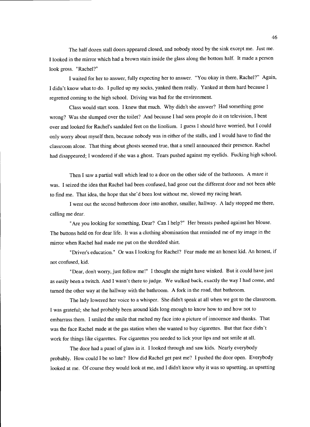The half dozen stall doors appeared closed, and nobody stood by the sink except me. Just me. I looked in the mirror which had a brown stain inside the glass along the bottom half. It made a person look gross. "Rachel?"

I waited for her to answer, fully expecting her to answer. "You okay in there, Rachel?" Again, I didn't know what to do. I pulled up my socks, yanked them really. Yanked at them hard because I regretted coming to the high school. Driving was bad for the environment.

Class would start soon. I knew that much. Why didn't she answer? Had something gone wrong? Was she slumped over the toilet? And because I had seen people do it on television, I bent over and looked for Rachel's sandaled feet on the linolium. I guess I should have worried, but I could only worry about myself then, because nobody was in either of the stalls, and I would have to find the classroom alone. That thing about ghosts seemed true, that a smell announced their presence. Rachel had disappeared; I wondered if she was a ghost. Tears pushed against my eyelids. Fucking high school.

Then I saw a partial wall which lead to a door on the other side of the bathroom. A maze it was. I seized the idea that Rachel had been confused, had gone out the different door and not been able to find me. That idea, the hope that she'd been lost without me, slowed my racing heart.

I went out the second bathroom door into another, smaller, hallway. A lady stopped me there, calling me dear.

"Are you looking for something, Dear? Can I help?" Her breasts pushed against her blouse. The buttons held on for dear life. It was a clothing abomination that reminded me of my image in the mirror when Rachel had made me put on the shredded shirt.

"Driver's education." Or was I looking for Rachel? Fear made me an honest kid. An honest, if not confused, kid.

"Dear, don't worry, just follow me!" I thought she might have winked. But it could have just as easily been a twitch. And I wasn't there to judge. We walked back, exactly the way I had come, and turned the other way at the hallway with the bathroom. A fork in the road, that bathroom.

The lady lowered her voice to a whisper. She didn't speak at all when we got to the classroom. I was grateful; she had probably been around kids long enough to know how to and how not to embarrass them. I smiled the smile that melted my face into a picture of innocence and thanks. That was the face Rachel made at the gas station when she wanted to buy cigarettes. But that face didn't work for things like cigarettes. For cigarettes you needed to lick your lips and not smile at all.

The door had a panel of glass in it. I looked through and saw kids. Nearly everybody probably. How could I be so late? How did Rachel get past me? I pushed the door open. Everybody looked at me. Of course they would look at me, and I didn't know why it was so upsetting, as upsetting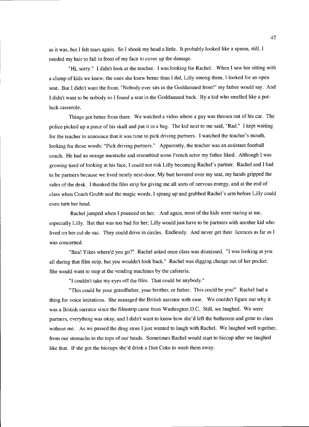as it was, but I felt tears again. So I shook my head a little. It probably looked like a spasm, still, I needed my hair to fall in front of my face to cover up the damage.

"Hi, sorry." I didn't look at the teacher. I was looking for Rachel. When I saw her sitting with a clump of kids we knew, the ones she knew better than I did, Lilly among them, I looked for an open seat. But I didn't want the front. "Nobody ever sits in the Goddamned front!" my father would say. And I didn't want to be nobody so I found a seat in the Goddamned back. By a kid who smelled like a potluck casserole.

Things got better from there. We watched a video where a guy was thrown out of his car. The police picked up a piece of his skull and put it in a bag. The kid next to me said, "Rad." I kept waiting for the teacher to announce that it was time to pick driving partners. I watched the teacher's mouth, looking for those words: "Pick driving partners." Apparently, the teacher was an assistant football coach. He had an orange mustache and resembled some French actor my father liked. Although I was growing tired of looking at his face, I could not risk Lilly becoming Rachel's partner. Rachel and I had to be partners because we lived nearly next-door. My butt hovered over my seat, my hands gripped the sides of the desk. I thanked the film strip for giving me all sorts of nervous energy, and at the end of class when Coach Grubb said the magic words, I sprang up and grabbed Rachel's arm before Lilly could even turn her head.

Rachel jumped when I pounced on her. And again, most of the kids were staring at me, especially Lilly. But that was too bad for her; Lilly would just have to be partners with another kid who lived on her cul-de-sac. They could drive in circles. Endlessly. And never get their licences as far as I was concerned.

"Bea! Yikes where'd you go?" Rachel asked once class was dismissed. "I was looking at you all during that film strip, but you wouldn't look back." Rachel was digging change out of her pocket. She would want to stop at the vending machines by the cafeteria.

"I couldn't take my eyes off the film. That could be anybody."

"This could be your grandfather, your brother, or father. This could be you!" Rachel had a thing for voice imitations. She managed the British narrator with ease. We couldn't figure out why it was a British narrator since the filmstrip came from Washington D.C. Still, we laughed. We were partners, everything was okay, and I didn't want to know how she'd left the bathroom and gone to class without me. As we passed the drug store I just wanted to laugh with Rachel. We laughed well together, from our stomachs to the tops of our heads. Sometimes Rachel would start to hiccup after we laughed like that. If she got the hiccups she'd drink a Diet Coke to wash them away.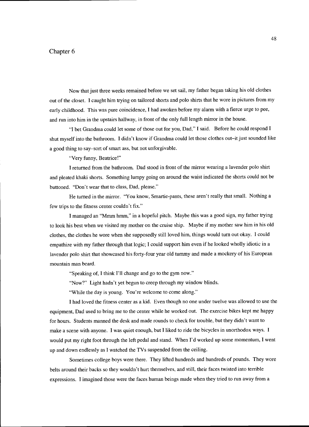## Chapter 6

Now that just three weeks remained before we set sail, my father began taking his old clothes out of the closet. I caught him trying on tailored shorts and poio shirts that he wore in pictures from my early childhood. This was pure coincidence, I had awoken before my alarm with a fierce urge to pee, and run into him in the upstairs hallway, in front of the only full length mirror in the house.

"I bet Grandma could let some of those out for you, Dad," I said. Before he could respond I shut myself into the bathroom. I didn't know if Grandma could let those clothes out-it just sounded like a good thing to say-sort of smart ass, but not unforgivable.

"Very funny, Beatrice!"

I returned from the bathroom. Dad stood in front of the mirror wearing a lavender poio shirt and pleated khaki shorts. Something lumpy going on around the waist indicated the shorts could not be buttoned. "Don't wear that to class, Dad, please."

He turned in the mirror. "You know, Smartie-pants, these aren't really that small. Nothing a few trips to the fitness center couldn't fix."

I managed an "Mmm hmm," in a hopeful pitch. Maybe this was a good sign, my father trying to look his best when we visited my mother on the cruise ship. Maybe if my mother saw him in his old clothes, the clothes he wore when she supposedly still loved him, things would turn out okay. I could empathize with my father through that logic; I could support him even if he looked wholly idiotic in a lavender polo shirt that showcased his forty-four year old tummy and made a mockery of his European mountain man beard.

"Speaking of, I think I'll change and go to the gym now."

"Now?" Light hadn't yet begun to creep through my window blinds.

"While the day is young. You're welcome to come along."

I had loved the fitness center as a kid. Even though no one under twelve was allowed to use the equipment, Dad used to bring me to the center while he worked out. The exercise bikes kept me happy for hours. Students manned the desk and made rounds to check for trouble, but they didn't want to make a scene with anyone. I was quiet enough, but I liked to ride the bicycles in unorthodox ways. I would put my right foot through the left pedal and stand. When I'd worked up some momentum, I went up and down endlessly as I watched the TVs suspended from the ceiling.

Sometimes college boys were there. They lifted hundreds and hundreds of pounds. They wore belts around their backs so they wouldn't hurt themselves, and still, their faces twisted into terrible expressions. I imagined those were the faces human beings made when they tried to run away from a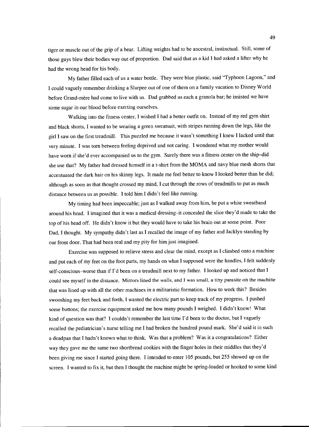tiger or muscle out of the grip of a bear. Lifting weights had to be ancestral, instinctual. Still, some of those guys blew their bodies way out of proportion. Dad said that as a kid I had asked a lifter why he had the wrong head for his body.

My father filled each of us a water bottle. They were blue plastic, said "Typhoon Lagoon," and I could vaguely remember drinking a Slurpee out of one of them on a family vacation to Disney World before Grand-mère had come to live with us. Dad grabbed us each a granola bar; he insisted we have some sugar in our blood before exerting ourselves.

Walking into the fitness center, I wished I had a better outfit on. Instead of my red gym shirt and black shorts, I wanted to be wearing a green sweatsuit, with stripes running down the legs, like the girl I saw on the first treadmill. This puzzled me because it wasn't something I knew I lacked until that very minute. I was torn between feeling deprived and not caring. I wondered what my mother would have worn if she'd ever accompanied us to the gym. Surely there was a fitness center on the ship-did she use that? My father had dressed himself in a t-shirt from the MOMA and navy blue mesh shorts that accentuated the dark hair on his skinny legs. It made me feel better to know I looked better than he did; although as soon as that thought crossed my mind, I cut through the rows of treadmills to put as much distance between us as possible. I told him I didn't feel like running.

My timing had been impeccable; just as I walked away from him, he put a white sweatband around his head. I imagined that it was a medical dressing-it concealed the slice they'd made to take the top of his head off. He didn't know it but they would have to take his brain out at some point. Poor Dad, I thought. My sympathy didn't last as I recalled the image of my father and JackJyn standing by our front door. That had been real and my pity for him just imagined.

Exercise was supposed to relieve stress and clear the mind, except as I climbed onto a machine and put each of my feet on the foot parts, my hands on what I supposed were the handles, I felt suddenly self-conscious-worse than if I'd been on a treadmill next to my father. I looked up and noticed that I could see myself in the distance. Mirrors lined the walls, and I was small, a tiny parasite on the machine that was lined up with all the other machines in a militaristic formation. How to work this? Besides swooshing my feet back and forth, I wanted the electric part to keep track of my progress. I pushed some buttons; the exercise equipment asked me how many pounds I weighed. I didn't know! What kind of question was that? I couldn't remember the last time I'd been to the doctor, but I vaguely recalled the pediatrician's nurse telling me I had broken the hundred pound mark. She'd said it in such a deadpan that I hadn't known what to think. Was that a problem? Was it a congratulations? Either way they gave me the same two shortbread cookies with the finger holes in their middles that they'd been giving me since I started going there. I intended to enter 105 pounds, but 255 showed up on the screen. I wanted to fix it, but then I thought the machine might be spring-loaded or hooked to some kind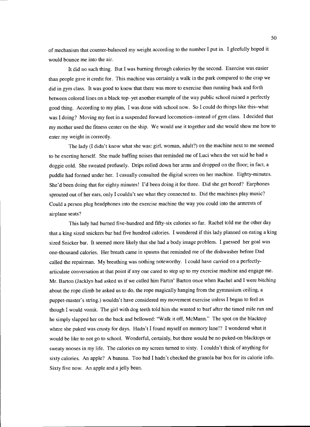of mechanism that counter-balanced my weight according to the number I put in. I gleefully hoped it would bounce me into the air.

It did no such thing. But I was burning through calories by the second. Exercise was easier than people gave it credit for. This machine was certainly a walk in the park compared to the crap we did in gym class. It was good to know that there was more to exercise than running back and forth between colored lines on a black top-yet another example of the way public school ruined a perfectly good thing. According to my plan, I was done with school now. So I could do things like this-what was I doing? Moving my feet in a suspended forward locomotion-instead of gym class. I decided that my mother used the fitness center on the ship. We would use it together and she would show me how to enter my weight in correctly.

The lady (I didn't know what she was: girl, woman, adult?) on the machine next to me seemed to be exerting herself. She made huffing noises that reminded me of Luci when the vet said he had a doggie cold. She sweated profusely. Drips rolled down her arms and dropped on the floor; in fact, a puddle had formed under her. I casually consulted the digital screen on her machine. Eighty-minutes. She'd been doing that for eighty minutes! I'd been doing it for three. Did she get bored? Earphones sprouted out of her ears, only I couldn't see what they connected to. Did the machines play music? Could a person plug headphones into the exercise machine the way you could into the armrests of airplane seats?

This lady had burned five-hundred and fifty-six calories so far. Rachel told me the other day that a king sized snickers bar had five hundred calories. I wondered if this lady planned on eating a king sized Snicker bar. It seemed more likely that she had a body image problem. I guessed her goal was one-thousand calories. Her breath came in spasms that reminded me of the dishwasher before Dad called the repairman. My breathing was nothing noteworthy. I could have carried on a perfectlyarticulate conversation at that point if any one cared to step up to my exercise machine and engage me. Mr. Barton (Jacklyn had asked us if we called him Fartin' Barton once when Rachel and I were bitching about the rope climb he asked us to do, the rope magically hanging from the gymnasium ceiling, a puppet-master's string.) wouldn't have considered my movement exercise unless I began to feel as though I would vomit. The girl with dog teeth told him she wanted to barf after the timed mile run and he simply slapped her on the back and bellowed: "Walk it off, McMann." The spot on the blacktop where she puked was crusty for days. Hadn't I found myself on memory lane!? I wondered what it would be like to not go to school. Wonderful, certainly, but there would be no puked-on blacktops or sweaty nooses in my life. The calories on my screen turned to sixty. I couldn't think of anything for sixty calories. An apple? A banana. Too bad I hadn't checked the granola bar box for its calorie info. Sixty five now. An apple and a jelly bean.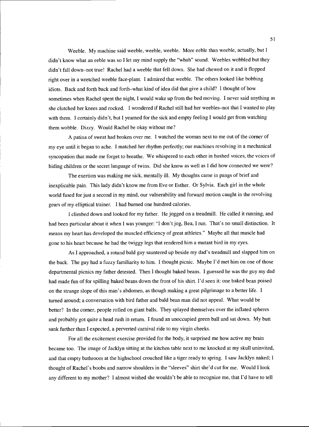Weeble. My machine said weeble, weeble, weeble. More eeble than weeble, actually, but I didn't know what an eeble was so I let my mind supply the "whah" sound. Weebles wobbled but they didn't fall down-not true! Rachel had a weeble that fell down. She had chewed on it and it flopped right over in a wretched weeble face-plant. I admired that weeble. The others looked like bobbing idiots. Back and forth back and forth-what kind of idea did that give a child? I thought of how sometimes when Rachel spent the night, I would wake up from the bed moving. I never said anything as she clutched her knees and rocked. I wondered if Rachel still had her weebles-not that I wanted to play with them. I certainly didn't, but I yearned for the sick and empty feeling I would get from watching them wobble. Dizzy. Would Rachel be okay without me?

A patina of sweat had broken over me. I watched the woman next to me out of the corner of my eye until it began to ache. I matched her rhythm perfectly; our machines revolving in a mechanical syncopation that made me forget to breathe. We whispered to each other in hushed voices, the voices of hiding children or the secret language of twins. Did she know as well as I did how connected we were?

The exertion was making me sick, mentally ill. My thoughts came in pangs of brief and inexplicable pain. This lady didn't know me from Eve or Esther. Or Sylvia. Each girl in the whole world fused for just a second in my mind, our vulnerability and forward motion caught in the revolving gears of my elliptical trainer. I had burned one hundred calories.

I climbed down and looked for my father. He jogged on a treadmill. He called it running, and had been particular about it when I was younger: "I don't jog, Bea, I run. That's no small distinction. It means my heart has developed the muscled efficiency of great athletes." Maybe all that muscle had gone to his heart because he had the twiggy legs that rendered him a mutant bird in my eyes.

As I approached, a rotund bald guy sauntered up beside my dad's treadmill and slapped him on the back. The guy had a fuzzy familiarity to him. I thought picnic. Maybe I'd met him on one of those departmental picnics my father detested. Then I thought baked beans. I guessed he was the guy my dad had made fun of for spilling baked beans down the front of his shirt. I'd seen it: one baked bean poised on the strange slope of this man's abdomen, as though making a great pilgrimage to a better life. I turned around; a conversation with bird father and bald bean man did not appeal. What would be better? In the corner, people rolled on giant balls. They splayed themselves over the inflated spheres and probably got quite a head rush in return. I found an unoccupied green ball and sat down. My butt sank further than I expected, a perverted carnival ride to my virgin cheeks.

For all the excitement exercise provided for the body, it surprised me how active my brain became too. The image of Jacklyn sitting at the kitchen table next to me knocked at my skull uninvited, and that empty bathroom at the highschool crouched like a tiger ready to spring. I saw Jacklyn naked; I thought of Rachel's boobs and narrow shoulders in the "sleeves" shirt she'd cut for me. Would I look any different to my mother? I almost wished she wouldn't be able to recognize me, that I'd have to tell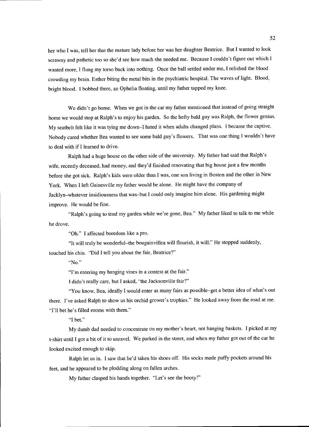her who I was, tell her that the mature lady before her was her daughter Beatrice. But I wanted to look scrawny and pathetic too so she'd see how much she needed me. Because I couldn't figure out which I wanted more, I flung my torso back into nothing. Once the ball settled under me, I relished the blood crowding my brain. Esther biting the metal bits in the psychiatric hospital. The waves of light. Blood, bright blood. I bobbed there, an Ophelia floating, until my father tapped my knee.

We didn't go home. When we got in the car my father mentioned that instead of going straight home we would stop at Ralph's to enjoy his garden. So the hefty bald guy was Ralph, the flower genius. My seatbelt felt like it was tying me down-I hated it when adults changed plans. I became the captive. Nobody cared whether Bea wanted to see some bald guy's flowers. That was one thing I wouldn't have to deal with if I learned to drive.

Ralph had a huge house on the other side of the university. My father had said that Ralph's wife, recently deceased, had money, and they'd finished renovating that big house just a few months before she got sick. Ralph's kids were older than I was, one son living in Boston and the other in New York. When I left Gainesville my father would be alone. He might have the company of Jacklyn-whatever insidiousness that was-but I could only imagine him alone. His gardening might improve. He would be fine.

"Ralph's going to tend my garden while we're gone, Bea." My father liked to talk to me while he drove.

"Oh." I affected boredom like a pro.

"It will truly be wonderful-the bougainvillea will flourish, it will." He stopped suddenly, touched his chin. "Did I tell you about the fair, Beatrice?"

"No."

"I'm entering my hanging vines in a contest at the fair."

I didn't really care, but I asked, "the Jacksonville fair?"

"You know, Bea, ideally I would enter as many fairs as possible-get a better idea of what's out there. I've asked Ralph to show us his orchid grower's trophies." He looked away from the road at me. "I'll bet he's filled rooms with them."

"I bet."

My dumb dad needed to concentrate on my mother's heart, not hanging baskets. I picked at my t-shirt until I got a bit of it to unravel. We parked in the street, and when my father got out of the car he looked excited enough to skip.

Ralph let us in. I saw that he'd taken his shoes off. His socks made puffy pockets around his feet, and he appeared to be plodding along on fallen arches.

My father clasped his hands together. "Let's see the booty!"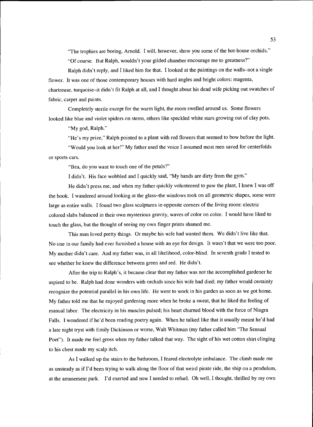"The trophies are boring, Arnold. I will, however, show you some of the hot-house orchids." "Of course. But Ralph, wouldn't your gilded chamber encourage me to greatness?"

Ralph didn't reply, and I liked him for that. I looked at the paintings on the walls-not a single flower. It was one of those contemporary houses with hard angles and bright colors: magenta, chartreuse, turquoise-it didn't fit Ralph at all, and I thought about his dead wife picking out swatches of fabric, carpet and paints.

Completely sterile except for the warm light, the room swelled around us. Some flowers looked like blue and violet spiders on stems, others like speckled white stars growing out of clay pots.

"My god, Ralph."

"He's my prize," Ralph pointed to a plant with red flowers that seemed to bow before the light.

"Would you look at her!" My father used the voice I assumed most men saved for centerfolds or sports cars.

"Bea, do you want to touch one of the petals?"

I didn't. His face wobbled and I quickly said, "My hands are dirty from the gym."

He didn't press me, and when my father quickly volunteered to paw the plant, I knew I was off the hook. I wandered around looking at the glass-the windows took on all geometric shapes, some were large as entire walls. I found two glass sculptures in opposite corners of the living room: electric colored slabs balanced in their own mysterious gravity, waves of color on color. I would have liked to touch the glass, but the thought of seeing my own finger prints shamed me.

This man loved pretty things. Or maybe his wife had wanted them. We didn't live like that. No one in our family had ever furnished a house with an eye for design. It wasn't that we were too poor. My mother didn't care. And my father was, in all likelihood, color-blind. In seventh grade I tested to see whether he knew the difference between green and red. He didn't.

After the trip to Ralph's, it became clear that my father was not the accomplished gardener he aspired to be. Ralph had done wonders with orchids since his wife had died; my father would certainly recognize the potential parallel in his own life. He went to work in his garden as soon as we got home. My father told me that he enjoyed gardening more when he broke a sweat, that he liked the feeling of manual labor. The electricity in his muscles pulsed; his heart churned blood with the force of Niagra Falls. I wondered if he'd been reading poetry again. When he talked like that it usually meant he'd had a late night tryst with Emily Dickinson or worse, Walt Whitman (my father called him "The Sensual Poet"). It made me feel gross when my father talked that way. The sight of his wet cotton shirt clinging to his chest made my scalp itch.

As I walked up the stairs to the bathroom, I feared electrolyte imbalance. The climb made me as unsteady as if I'd been trying to walk along the floor of that weird pirate ride, the ship on a pendulum, at the amusement park. I'd exerted and now I needed to refuel. Oh well, I thought, thrilled by my own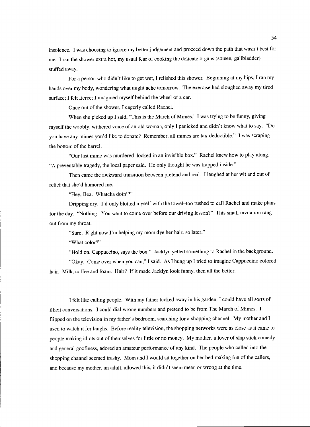insolence. I was choosing to ignore my better judgement and proceed down the path that wasn't best for me. I ran the shower extra hot, my usual fear of cooking the delicate organs (spleen, gallbladder) stuffed away.

For a person who didn't like to get wet, I relished this shower. Beginning at my hips, I ran my hands over my body, wondering what might ache tomorrow. The exercise had sloughed away my tired surface; I felt fierce; I imagined myself behind the wheel of a car.

Once out of the shower, I eagerly called Rachel.

When she picked up I said, "This is the March of Mimes." I was trying to be funny, giving myself the wobbly, withered voice of an old woman, only I panicked and didn't know what to say. "Do you have any mimes you'd like to donate? Remember, all mimes are tax-deductible." I was scraping the bottom of the barrel.

"Our last mime was murdered-locked in an invisible box." Rachel knew how to play along. "A preventable tragedy, the local paper said. He only thought he was trapped inside."

Then came the awkward transition between pretend and real. I laughed at her wit and out of relief that she'd humored me.

"Hey, Bea. Whatcha doin'?"

Dripping dry. I'd only blotted myself with the towel-too rushed to call Rachel and make plans for the day. "Nothing. You want to come over before our driving lesson?" This small invitation rang out from my throat.

"Sure. Right now I'm helping my mom dye her hair, so later."

"What color?"

"Hold on. Cappuccino, says the box." Jacklyn yelled something to Rachel in the background.

"Okay. Come over when you can," I said. As I hung up I tried to imagine Cappuccino colored hair. Milk, coffee and foam. Hair? If it made Jacklyn look funny, then all the better.

I felt like calling people. With my father tucked away in his garden, I could have all sorts of illicit conversations. I could dial wrong numbers and pretend to be from The March of Mimes. I flipped on the television in my father's bedroom, searching for a shopping channel. My mother and I used to watch it for laughs. Before reality television, the shopping networks were as close as it came to people making idiots out of themselves for little or no money. My mother, a lover of slap stick comedy and general goofiness, adored an amateur performance of any kind. The people who called into the shopping channel seemed trashy. Mom and I would sit together on her bed making fun of the callers, and because my mother, an adult, allowed this, it didn't seem mean or wrong at the time.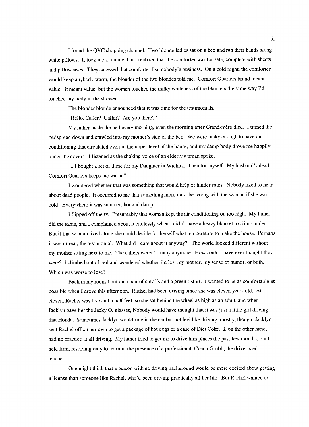I found the QVC shopping channel. Two blonde ladies sat on a bed and ran their hands along white pillows. It took me a minute, but I realized that the comforter was for sale, complete with sheets and pillowcases. They caressed that comforter like nobody's business. On a cold night, the comforter would keep anybody warm, the blonder of the two blondes told me. Comfort Quarters brand meant value. It meant value, but the women touched the milky whiteness of the blankets the same way I'd touched my body in the shower.

The blonder blonde announced that it was time for the testimonials.

"Hello, Caller? Caller? Are you there?"

My father made the bed every morning, even the morning after Grand-mere died. I turned the bedspread down and crawled into my mother's side of the bed. We were lucky enough to have airconditioning that circulated even in the upper level of the house, and my damp body drove me happily under the covers. I listened as the shaking voice of an elderly woman spoke.

"...I bought a set of these for my Daughter in Wichita. Then for myself. My husband's dead. Comfort Quarters keeps me warm."

I wondered whether that was something that would help or hinder sales. Nobody liked to hear about dead people. It occurred to me that something more must be wrong with the woman if she was cold. Everywhere it was summer, hot and damp.

I flipped off the tv. Presumably that woman kept the air conditioning on too high. My father did the same, and I complained about it endlessly when I didn't have a heavy blanket to climb under. But if that woman lived alone she could decide for herself what temperature to make the house. Perhaps it wasn't real, the testimonial. What did I care about it anyway? The world looked different without my mother sitting next to me. The callers weren't funny anymore. How could I have ever thought they were? I climbed out of bed and wondered whether I'd lost my mother, my sense of humor, or both. Which was worse to lose?

Back in my room I put on a pair of cutoffs and a green t-shirt. I wanted to be as comfortable as possible when I drove this afternoon. Rachel had been driving since she was eleven years old. At eleven, Rachel was five and a half feet, so she sat behind the wheel as high as an adult, and when Jacklyn gave her the Jacky 0. glasses, Nobody would have thought that it was just a little girl driving that Honda. Sometimes Jacklyn would ride in the car but not feel like driving, mostly, though, Jacklyn sent Rachel off on her own to get a package of hot dogs or a case of Diet Coke. I, on the other hand, had no practice at all driving. My father tried to get me to drive him places the past few months, but I held firm, resolving only to learn in the presence of a professional: Coach Grubb, the driver's ed teacher.

One might think that a person with no driving background would be more excited about getting a license than someone like Rachel, who'd been driving practically all her life. But Rachel wanted to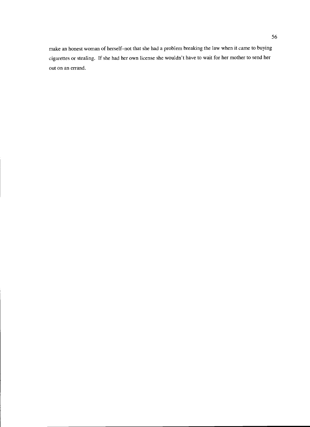make an honest woman of herself-not that she had a problem breaking the law when it came to buying cigarettes or stealing. If she had her own license she wouldn't have to wait for her mother to send her out on an errand.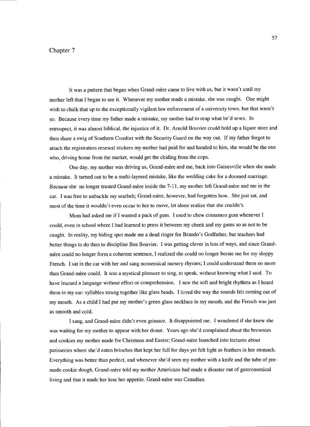## Chapter 7

It was a pattern that began when Grand-mère came to live with us, but it wasn't until my mother left that I began to see it. Whenever my mother made a mistake, she was caught. One might wish to chalk that up to the exceptionally vigilant law enforcement of a university town, but that wasn't so. Because every time my father made a mistake, my mother had to reap what he'd sewn. In retrospect, it was almost biblical, the injustice of it. Dr. Arnold Bouvier could hold up a liquor store and then share a swig of Southern Comfort with the Security Guard on the way out. If my father forgot to attach the registration renewal stickers my mother had paid for and handed to him, she would be the one who, driving home from the market, would get the chiding from the cops.

One day, my mother was driving us, Grand-mère and me, back into Gainesville when she made a mistake. It turned out to be a multi-layered mistake, like the wedding cake for a doomed marriage. Because she no longer trusted Grand-mere inside the 7-11, my mother left Grand-mere and me in the car. I was free to unbuckle my seatbelt; Grand-mère, however, had forgotten how. She just sat, and most of the time it wouldn't even occur to her to move, let alone realize that she couldn't.

Mom had asked me if I wanted a pack of gum. I used to chew cinnamon gum whenever I could, even in school where I had learned to press it between my cheek and my gums so as not to be caught. In reality, my hiding spot made me a dead ringer for Brando's Godfather, but teachers had better things to do than to discipline Bea Bouvier. I was getting clever in lots of ways, and since Grandmère could no longer form a coherent sentence, I realized she could no longer berate me for my sloppy French. I sat in the car with her and sang nonsensical nursery rhymes; I could understand them no more than Grand-mere could. It was a mystical pleasure to sing, to speak, without knowing what I said. To have learned a language without effort or comprehension. I saw the soft and bright rhythms as I heard them in my ear: syllables strung together like glass beads. I loved the way the sounds felt coming out of my mouth. As a child I had put my mother's green glass necklace in my mouth, and the French was just as smooth and cold.

I sang, and Grand-mere didn't even grimace. It disappointed me. I wondered if she knew she was waiting for my mother to appear with her donut. Years ago she'd complained about the brownies and cookies my mother made for Christmas and Easter; Grand-mere launched into lectures about patisseries where she'd eaten brioches that kept her full for days yet felt light as feathers in her stomach. Everything was better than perfect, and whenever she'd seen my mother with a knife and the tube of premade cookie dough, Grand-mere told my mother Americans had made a disaster out of gastronomical living and that it made her lose her appetite. Grand-mère was Canadian.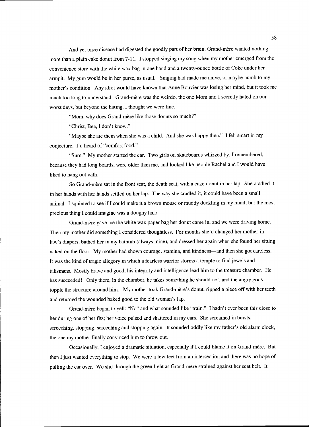And yet once disease had digested the goodly part of her brain, Grand-mere wanted nothing more than a plain cake donut from 7-11. I stopped singing my song when my mother emerged from the convenience store with the white wax bag in one hand and a twenty-ounce bottle of Coke under her armpit. My gum would be in her purse, as usual. Singing had made me naive, or maybe numb to my mother's condition. Any idiot would have known that Anne Bouvier was losing her mind, but it took me much too long to understand. Grand-mere was the weirdo, the one Mom and I secretly hated on our worst days, but beyond the hating, I thought we were fine.

"Mom, why does Grand-mère like those donuts so much?"

"Christ, Bea, I don't know."

"Maybe she ate them when she was a child. And she was happy then." I felt smart in my conjecture. I'd heard of "comfort food."

"Sure." My mother started the car. Two girls on skateboards whizzed by, I remembered, because they had long boards, were older than me, and looked like people Rachel and I would have liked to hang out with.

So Grand-mère sat in the front seat, the death seat, with a cake donut in her lap. She cradled it in her hands with her hands settled on her lap. The way she cradled it, it could have been a small animal. I squinted to see if I could make it a brown mouse or muddy duckling in my mind, but the most precious thing I could imagine was a doughy halo.

Grand-mère gave me the white wax paper bag her donut came in, and we were driving home. Then my mother did something I considered thoughtless. For months she'd changed her mother-inlaw's diapers, bathed her in my bathtub (always mine), and dressed her again when she found her sitting naked on the floor. My mother had shown courage, stamina, and kindness—and then she got careless. It was the kind of tragic allegory in which a fearless warrior storms a temple to find jewels and talismans. Mostly brave and good, his integrity and intelligence lead him to the treasure chamber. He has succeeded! Only there, in the chamber, he takes something he should not, and the angry gods topple the structure around him. My mother took Grand-mère's donut, ripped a piece off with her teeth and returned the wounded baked good to the old woman's lap.

Grand-mere began to yell: "No" and what sounded like "train." I hadn't ever been this close to her during one of her fits; her voice pulsed and shattered in my ears. She screamed in bursts, screeching, stopping, screeching and stopping again. It sounded oddly like my father's old alarm clock, the one my mother finally convinced him to throw out.

Occasionally, I enjoyed a dramatic situation, especially if I could blame it on Grand-mere. But then I just wanted everything to stop. We were a few feet from an intersection and there was no hope of pulling the car over. We slid through the green light as Grand-mère strained against her seat belt. It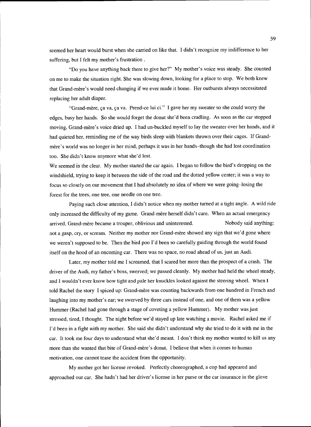seemed her heart would burst when she carried on like that. I didn't recognize my indifference to her suffering, but I felt my mother's frustration.

"Do you have anything back there to give her?" My mother's voice was steady. She counted on me to make the situation right. She was slowing down, looking for a place to stop. We both knew that Grand-mere's would need changing if we ever made it home. Her outbursts always necessitated replacing her adult diaper.

"Grand-mere, ça va, ça Va. Prend-ce lui ci." I gave her my sweater so she could worry the edges, busy her hands. So she would forget the donut she'd been cradling. As soon as the car stopped moving, Grand-mère's voice dried up. I had un-buckled myself to lay the sweater over her hands, and it had quieted her, reminding me of the way birds sleep with blankets thrown over their cages. If Grandmère's world was no longer in her mind, perhaps it was in her hands-though she had lost coordination too. She didn't know anymore what she'd lost.

We seemed in the clear. My mother started the car again. I began to follow the bird's dropping on the windshield, trying to keep it between the side of the road and the dotted yellow center; it was a way to focus so closely on our movement that I had absolutely no idea of where we were going-losing the forest for the trees, one tree, one needle on one tree.

Paying such close attention, I didn't notice when my mother turned at a tight angle. A wild ride only increased the difficulty of my game. Grand-mère herself didn't care. When an actual emergency arrived, Grand-mère became a trouper, oblivious and uninterested. Nobody said anything: not a gasp, cry, or scream. Neither my mother nor Grand-mere showed any sign that we'd gone where we weren't supposed to be. Then the bird poo I'd been so carefully guiding through the world found itself on the hood of an oncoming car. There was no space, no road ahead of us, just an Audi.

Later, my mother told me I screamed, that I scared her more than the prospect of a crash. The driver of the Audi, my father's boss, swerved; we passed cleanly. My mother had held the wheel steady, and I wouldn't ever know how tight and pale her knuckles looked against the steering wheel. When I told Rachel the story I spiced up: Grand-mère was counting backwards from one hundred in French and laughing into my mother's ear; we swerved by three cars instead of one, and one of them was a yellow Hummer (Rachel had gone through a stage of coveting a yellow Hummer). My mother was just stressed, tired, I thought. The night before we'd stayed up late watching a movie. Rachel asked me if I'd been in a fight with my mother. She said she didn't understand why she tried to do it with me in the car. It took me four days to understand what she'd meant. I don't think my mother wanted to kill us any more than she wanted that bite of Grand-mere's donut. I believe that when it comes to human motivation, one cannot tease the accident from the opportunity.

My mother got her license revoked. Perfectly choreographed, a cop had appeared and approached our car. She hadn't had her driver's license in her purse or the car insurance in the glove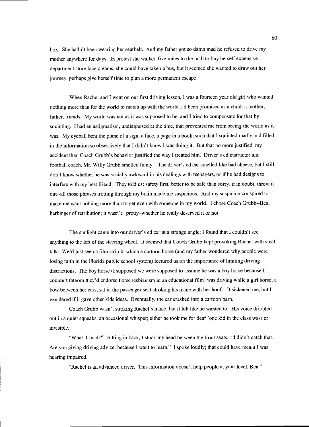box. She hadn't been wearing her seatbelt. And my father got so damn mad he refused to drive my mother anywhere for days. In protest she walked five miles to the mall to buy herself expensive department store face creams; she could have taken a bus, but it seemed she wanted to draw out her journey, perhaps give herself time to plan a more permanent escape.

When Rachel and I went on our first driving lesson, I was a fourteen year old girl who wanted nothing more than for the world to match up with the world I'd been promised as a child: a mother, father, friends. My world was not as it was supposed to be, and I tried to compensate for that by squinting. I had an astigmatism, undiagnosed at the time, that prevented me from seeing the world as it was. My eyeball bent the plane of a sign, a face, a page in a book, such that I squinted madly and filled in the information so obsessively that I didn't know I was doing it. But that no more justified my accident than Coach Grubb's behavior justified the way I treated him. Driver's ed instructor and football coach, Mr. Willy Grubb smelled funny. The driver's ed car smelled like bad cheese, but I still don't know whether he was socially awkward in his dealings with teenagers, or if he had designs to interfere with my best friend. They told us: safety first, better to be safe than sorry, if in doubt, throw it out--all those phrases trotting through my brain made me suspicious. And my suspicion conspired to make me want nothing more than to get even with someone in my world. I chose Coach Grubb--Bea, harbinger of retribution; it wasn't pretty-whether he really deserved it or not.

The sunlight came into our driver's ed car at a strange angle; I found that I couldn't see anything to the left of the steering wheel. It seemed that Couch Grubb kept provoking Rachel with small talk. We'd just seen a film strip in which a cartoon horse (and my father wondered why people were losing faith in the Florida public school system) lectured us on the importance of limiting driving distractions. The boy horse (I supposed we were supposed to assume he was a boy horse because I couldn't fathom they'd endorse horse lesbianism in an educational film) was driving while a girl horse, a bow between her ears, sat in the passenger seat stroking his mane with her hoof. It sickened me, but I wondered if it gave other kids ideas. Eventually, the car crashed into a cartoon barn.

Coach Grubb wasn't stroking Rachel's mane, but it felt like he wanted to. His voice dribbled out in a quiet squeaks, an occasional whisper; either he took me for deaf (one kid in the class was) or invisible.

"What, Coach?" Sitting in back, I stuck my head between the front seats. "I didn't catch that. Are you giving driving advice, because I want to learn." I spoke loudly; that could have meant I was hearing impaired.

"Rachel is an advanced driver. This information doesn't help people at your level, Bea."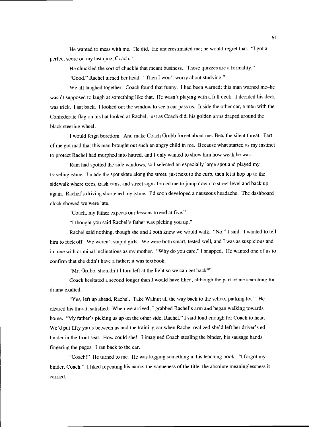He wanted to mess with me. He did. He underestimated me; he would regret that. "I got a perfect score on my last quiz, Coach."

He chuckled the sort of chuckle that meant business. "Those quizzes are a formality."

"Good." Rachel turned her head. "Then I won't worry about studying."

We all laughed together. Coach found that funny. I had been warned; this man warned me-he wasn't supposed to laugh at something like that. He wasn't playing with a full deck. I decided his deck was trick. I sat back. I looked out the window to see a car pass us. Inside the other car, a man with the Confederate flag on his hat looked at Rachel, just as Coach did, his golden arms draped around the black steering wheel.

I would feign boredom. And make Coach Grubb forget about me: Bea, the silent threat. Part of me got mad that this man brought out such an angry child in me. Because what started as my instinct to protect Rachel had morphed into hatred, and I only wanted to show him how weak he was.

Rain had spotted the side windows, so I selected an especially large spot and played my traveling game. I made the spot skate along the street, just next to the curb, then let it hop up to the sidewalk where trees, trash cans, and street signs forced me to jump down to street level and back up again. Rachel's driving shortened my game. I'd soon developed a nauseous headache. The dashboard clock showed we were late.

"Coach, my father expects our lessons to end at five."

"I thought you said Rachel's father was picking you up."

Rachel said nothing, though she and I both knew we would walk. "No," I said. I wanted to tell him to fuck off. We weren't stupid girls. We were both smart, tested well, and I was as suspicious and in tune with criminal inclinations as my mother. "Why do you care," I snapped. He wanted one of us to confirm that she didn't have a father; it was textbook.

"Mr. Grubb, shouldn't I turn left at the light so we can get back?"

Coach hesitated a second longer than I would have liked, although the part of me searching for drama exalted.

"Yes, left up ahead, Rachel. Take Walnut all the way back to the school parking lot." He cleared his throat, satisfied. When we arrived, I grabbed Rachel's arm and began walking towards home. "My father's picking us up on the other side, Rachel," I said loud enough for Coach to hear. We'd put fifty yards between us and the training car when Rachel realized she'd left her driver's ed binder in the front seat. How could she! I imagined Coach stealing the binder, his sausage hands fingering the pages. I ran back to the car.

"Coach!" He turned to me. He was logging something in his teaching book. "I forgot my binder, Coach." I liked repeating his name, the vagueness of the title, the absolute meaninglessness it carried.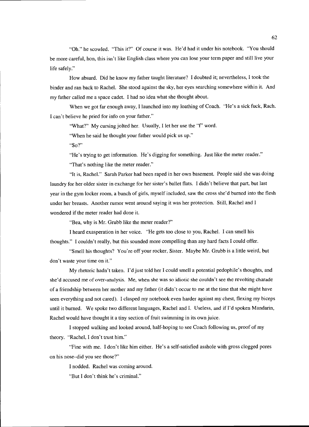"Oh." he scowled. "This it?" Of course it was. He'd had it under his notebook. "You should be more careful, hon, this isn't like English class where you can lose your term paper and still live your life safely."

How absurd. Did he know my father taught literature? I doubted it; nevertheless, I took the binder and ran back to Rachel. She stood against the sky, her eyes searching somewhere within it. And my father called me a space cadet. I had no idea what she thought about.

When we got far enough away, I launched into my loathing of Coach. "He's a sick fuck, Rach. I can't believe he pried for info on your father."

"What?" My cursing jolted her. Usually, I let her use the "f" word.

"When he said he thought your father would pick us up."

"So?"

"He's trying to get information. He's digging for something. Just like the meter reader."

"That's nothing like the meter reader."

"It is, Rachel." Sarah Parker had been raped in her own basement. People said she was doing laundry for her older sister in exchange for her sister's ballet flats. I didn't believe that part, but last year in the gym locker room, a bunch of girls, myself included, saw the cross she'd burned into the flesh under her breasts. Another rumor went around saying it was her protection. Still, Rachel and I wondered if the meter reader had done it.

"Bea, why is Mr. Grubb like the meter reader?"

I heard exasperation in her voice. "He gets too close to you, Rachel. I can smell his thoughts." I couldn't really, but this sounded more compelling than any hard facts I could offer.

"Smell his thoughts? You're off your rocker, Sister. Maybe Mr. Grubb is a little weird, but don't waste your time on it."

My rhetoric hadn't taken. I'd just told her I could smell a potential pedophile's thoughts, and she'd accused me of over-analysis. Me, when she was so idiotic she couldn't see the revolting charade of a friendship between her mother and my father (it didn't occur to me at the time that she might have seen everything and not cared). I clasped my notebook even harder against my chest, flexing my biceps until it burned. We spoke two different languages, Rachel and I. Useless, and if I'd spoken Mandarin, Rachel would have thought it a tiny section of fruit swimming in its own juice.

I stopped walking and looked around, half-hoping to see Coach following us, proof of my theory. "Rachel, I don't trust him."

"Fine with me. I don't like him either. He's a self-satisfied asshole with gross clogged pores on his nose-did you see those?"

I nodded. Rachel was coming around.

"But I don't think he's criminal."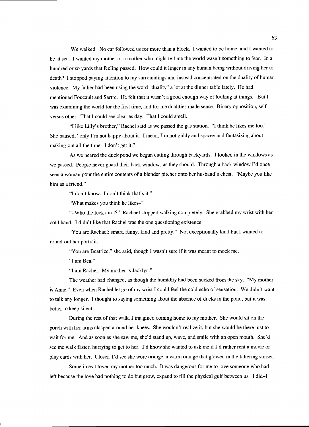We walked. No car followed us for more than a block. I wanted to be home, and I wanted to be at sea. I wanted my mother or a mother who might tell me the world wasn't something to fear. In a hundred or so yards that feeling passed. How could it linger in any human being without driving her to death? I stopped paying attention to my surroundings and instead concentrated on the duality of human violence. My father had been using the word "duality" a lot at the dinner table lately. He had mentioned Foucault and Sartre. He felt that it wasn't a good enough way of looking at things. But I was examining the world for the first time, and for me dualities made sense. Binary opposition, self versus other. That I could see clear as day. That I could smell.

"I like Lilly's brother," Rachel said as we passed the gas station. "I think he likes me too." She paused, "only I'm not happy about it. I mean, I'm not giddy and spacey and fantasizing about making-out all the time. I don't get it."

As we neared the duck pond we began cutting through backyards. I looked in the windows as we passed. People never guard their back windows as they should. Through a back window I'd once seen a woman pour the entire contents of a blender pitcher onto her husband's chest. "Maybe you like him as a friend."

"I don't know. I don't think that's it."

"What makes you think he likes-"

"-Who the fuck am I?" Rachael stopped walking completely. She grabbed my wrist with her cold hand. I didn't like that Rachel was the one questioning existence.

"You are Rachael: smart, funny, kind and pretty." Not exceptionally kind but I wanted to round-out her portrait.

"You are Beatrice," she said, though I wasn't sure if it was meant to mock me.

"I am Bea."

"I am Rachel. My mother is Jacklyn."

The weather had changed, as though the humidity had been sucked from the sky. "My mother is Anne." Even when Rachel let go of my wrist I could feel the cold echo of sensation. We didn't want to talk any longer. I thought to saying something about the absence of ducks in the pond, but it was better to keep silent.

During the rest of that walk, I imagined coming home to my mother. She would sit on the porch with her arms clasped around her knees. She wouldn't realize it, but she would be there just to wait for me. And as soon as she saw me, she'd stand up, wave, and smile with an open mouth. She'd see me walk faster, hurrying to get to her. I'd know she wanted to ask me if I'd rather rent a movie or play cards with her. Closer, I'd see she wore orange, a warm orange that glowed in the faltering sunset.

Sometimes I loved my mother too much. It was dangerous for me to love someone who had left because the love had nothing to do but grow, expand to fill the physical gulf between us. I did $-I$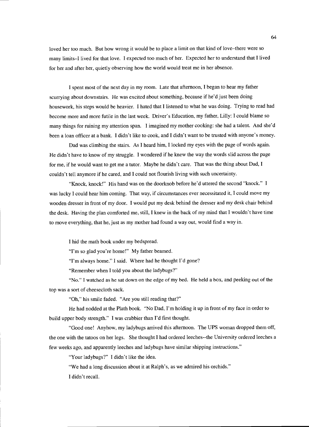loved her too much. But how wrong it would be to place a limit on that kind of love-there were so many limits-I lived for that love. I expected too much of her. Expected her to understand that I lived for her and after her, quietly observing how the world would treat me in her absence.

I spent most of the next day in my room. Late that afternoon, I began to hear my father scurrying about downstairs. He was excited about something, because if he'd just been doing housework, his steps would be heavier. I hated that I listened to what he was doing. Trying to read had become more and more futile in the last week. Driver's Education, my father, Lilly: I could blame so many things for ruining my attention span. I imagined my mother cooking: she had a talent. And she'd been a loan officer at a bank. I didn't like to cook, and I didn't want to be trusted with anyone's money.

Dad was climbing the stairs. As I heard him, I locked my eyes with the page of words again. He didn't have to know of my struggle. I wondered if he knew the way the words slid across the page for me, if he would want to get me a tutor. Maybe he didn't care. That was the thing about Dad, I couldn't tell anymore if he cared, and I could not flourish living with such uncertainty.

"Knock, knock!" His hand was on the doorknob before he'd uttered the second "knock." I was lucky I could hear him coming. That way, if circumstances ever necessitated it, I could move my wooden dresser in front of my door. I would put my desk behind the dresser and my desk chair behind the desk. Having the plan comforted me, still, I knew in the back of my mind that I wouldn't have time to move everything, that he, just as my mother had found a way out, would find a way in.

I hid the math book under my bedspread.

"I'm so glad you're home!" My father beamed.

"I'm always home." I said. Where had he thought I'd gone?

"Remember when I told you about the ladybugs?"

"No." I watched as he sat down on the edge of my bed. He held a box, and peeking out of the top was a sort of cheesecloth sack.

"Oh," his smile faded. "Are you still reading that?"

He had nodded at the Plath book. "No Dad, I'm holding it up in front of my face in order to build upper body strength." I was crabbier than I'd first thought.

"Good one! Anyhow, my ladybugs arrived this afternoon. The UPS woman dropped them off, the one with the tatoos on her legs. She thought I had ordered leeches--the University ordered leeches a few weeks ago, and apparently leeches and ladybugs have similar shipping instructions."

"Your ladybugs?" I didn't like the idea.

"We had a long discussion about it at Ralph's, as we admired his orchids."

I didn't recall.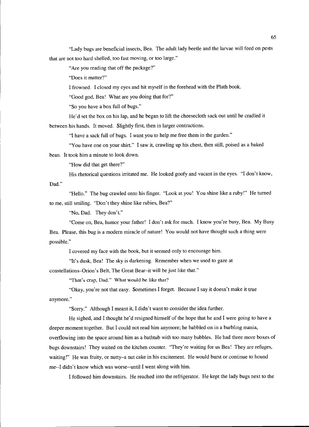"Lady bugs are beneficial insects, Bea. The adult lady beetle and the larvae will feed on pests that are not too hard shelled, too fast moving, or too large."

"Are you reading that off the package?"

"Does it matter?"

I frowned. I closed my eyes and hit myself in the forehead with the Plath book.

"Good god, Bea! What are you doing that for?"

"So you have a box full of bugs."

He'd set the box on his lap, and he began to lift the cheesecloth sack out until he cradled it between his hands. It moved. Slightly first, then in larger contractions.

"I have a sack full of bugs. I want you to help me free them in the garden."

"You have one on your shirt." I saw it, crawling up his chest, then still, poised as a baked

bean. It took him a minute to look down.

Dad."

"How did that get there?"

His rhetorical questions irritated me. He looked goofy and vacant in the eyes. "I don't know,

"Hello." The bug crawled onto his finger. "Look at you! You shine like a ruby!" He turned to me, still smiling. "Don't they shine like rubies, Bea?"

"No, Dad. They don't."

"Come on, Bea, humor your father! I don't ask for much. I know you're busy, Bea. My Busy Bea. Please, this bug is a modem miracle of nature! You would not have thought such a thing were possible."

I covered my face with the book, but it seemed only to encourage him.

"It's dusk, Bea! The sky is darkening. Remember when we used to gaze at

constellations-Orion's Belt, The Great Bear-it will be just like that."

"That's crap, Dad." What would be like that?

"Okay, you're not that easy. Sometimes I forget. Because I say it doesn't make it true anymore."

"Sorry." Although I meant it, I didn't want to consider the idea further.

He sighed, and I thought he'd resigned himself of the hope that he and I were going to have a deeper moment together. But I could not read him anymore; he babbled on in a burbling mania, overflowing into the space around him as a bathtub with too many bubbles. He had three more boxes of bugs downstairs! They waited on the kitchen counter. "They're waiting for us Bea! They are refuges, waiting!" He was fruity, or nutty-a nut cake in his excitement. He would burst or continue to hound me--I didn't know which was worse--until I went along with him.

I followed him downstairs. He reached into the refrigerator. He kept the lady bugs next to the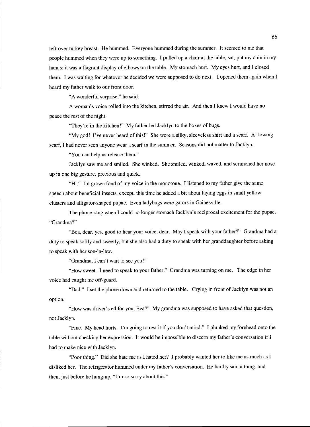left-over turkey breast. He hummed. Everyone hummed during the summer. It seemed to me that people hummed when they were up to something. I pulled up a chair at the table, sat, put my chin in my hands; it was a flagrant display of elbows on the table. My stomach hurt. My eyes hurt, and I closed them. I was waiting for whatever he decided we were supposed to do next. I opened them again when I heard my father walk to our front door.

"A wonderful surprise," he said.

A woman's voice rolled into the kitchen, stirred the air. And then I knew I would have no peace the rest of the night.

"They're in the kitchen!" My father led Jacklyn to the boxes of bugs.

"My god! I've never heard of this!" She wore a silky, sleeveless shirt and a scarf. A flowing scarf, I had never seen anyone wear a scarf in the summer. Seasons did not matter to Jacklyn.

"You can help us release them."

Jacklyn saw me and smiled. She winked. She smiled, winked, waved, and scrunched her nose up in one big gesture, precious and quick.

"Hi." I'd grown fond of my voice in the monotone. I listened to my father give the same speech about beneficial insects, except, this time he added a bit about laying eggs in small yellow clusters and alligator-shaped pupae. Even ladybugs were gators in Gainesville.

The phone rang when I could no longer stomach Jacklyn's reciprocal excitement for the pupae. "Grandma?"

"Bea, dear, yes, good to hear your voice, dear. May I speak with your father?" Grandma had a duty to speak softly and sweetly, but she also had a duty to speak with her granddaughter before asking to speak with her son-in-law.

"Grandma, I can't wait to see you!"

"How sweet. I need to speak to your father." Grandma was turning on me. The edge in her voice had caught me off-guard.

option. "Dad." I set the phone down and returned to the table. Crying in front of Jacklyn was not an

"How was driver's ed for you, Bea?" My grandma was supposed to have asked that question, not Jacklyn.

"Fine. My head hurts. I'm going to rest it if you don't mind." I plunked my forehead onto the table without checking her expression. It would be impossible to discern my father's conversation if I had to make nice with Jacklyn.

"Poor thing." Did she hate me as I hated her? I probably wanted her to like me as much as I disliked her. The refrigerator hummed under my father's conversation. He hardly said a thing, and then, just before he hung-up, "I'm so sorry about this."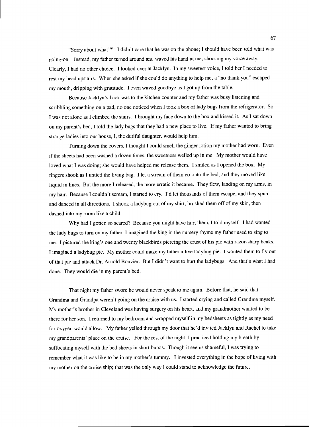"Sorry about what!?" I didn't care that he was on the phone; I should have been told what was going-on. Instead, my father turned around and waved his hand at me, shoo-ing my voice away. Clearly, I had no other choice. I looked over at Jacklyn. In my sweetest voice, I told her I needed to rest my head upstairs. When she asked if she could do anything to help me, a "no thank you" escaped my mouth, dripping with gratitude. I even waved goodbye as I got up from the table.

Because Jacklyn's back was to the kitchen counter and my father was busy listening and scribbling something on a pad, no one noticed when I took a box of lady bugs from the refrigerator. So I was not alone as I climbed the stairs. I brought my face down to the box and kissed it. As I sat down on my parent's bed, I told the lady bugs that they had a new place to live. If my father wanted to bring strange ladies into our house, I, the dutiful daughter, would help him.

Turning down the covers, I thought I could smell the ginger lotion my mother had worn. Even if the sheets had been washed a dozen times, the sweetness welled up in me. My mother would have loved what I was doing; she would have helped me release them. I smiled as I opened the box. My fingers shook as I untied the living bag. I let a stream of them go onto the bed, and they moved like liquid in lines. But the more I released, the more erratic it became. They flew, landing on my arms, in my hair. Because I couldn't scream, I started to cry. I'd let thousands of them escape, and they spun and danced in all directions. I shook a ladybug out of my shirt, brushed them off of my skin, then dashed into my room like a child.

Why had I gotten so scared? Because you might have hurt them, I told myself. I had wanted the lady bugs to turn on my father. I imagined the king in the nursery rhyme my father used to sing to me. I pictured the king's one and twenty blackbirds piercing the crust of his pie with razor-sharp beaks. I imagined a ladybug pie. My mother could make my father a live ladybug pie. I wanted them to fly out of that pie and attack Dr. Arnold Bouvier. But I didn't want to hurt the ladybugs. And that's what I had done. They would die in my parent's bed.

That night my father swore he would never speak to me again. Before that, he said that Grandma and Grandpa weren't going on the cruise with us. I started crying and called Grandma myself. My mother's brother in Cleveland was having surgery on his heart, and my grandmother wanted to be there for her son. I returned to my bedroom and wrapped myself in my bedsheets as tightly as my need for oxygen would allow. My father yelled through my door that he'd invited Jacklyn and Rachel to take my grandparents' place on the cruise. For the rest of the night, I practiced holding my breath by suffocating myself with the bed sheets in short bursts. Though it seems shameful, I was trying to remember what it was like to be in my mother's tummy. I invested everything in the hope of living with my mother on the cruise ship; that was the only way I could stand to acknowledge the future.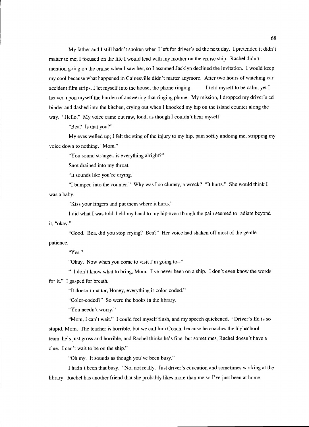My father and I still hadn't spoken when I left for driver's ed the next day. I pretended it didn't matter to me; I focused on the life I would lead with my mother on the cruise ship. Rachel didn't mention going on the cruise when I saw her, so I assumed Jacklyn declined the invitation. I would keep my cool because what happened in Gainesville didn't matter anymore. After two hours of watching car accident film strips, I let myself into the house, the phone ringing. I told myself to be calm, yet I heaved upon myself the burden of answering that ringing phone. My mission, I dropped my driver's ed binder and dashed into the kitchen, crying out when I knocked my hip on the island counter along the way. "Hello." My voice came out raw, loud, as though I couldn't hear myself.

"Bea? Is that you?"

My eyes welled up; I felt the sting of the injury to my hip, pain softly undoing me, stripping my voice down to nothing, "Mom."

"You sound strange.. .is everything alright?"

Snot drained into my throat.

"It sounds like you're crying."

"I bumped into the counter." Why was I so clumsy, a wreck? "It hurts." She would think I was a baby.

"Kiss your fingers and put them where it hurts."

I did what I was told, held my hand to my hip even though the pain seemed to radiate beyond it, "okay."

patience. "Good. Bea, did you stop crying? Bea?" Her voice had shaken off most of the gentle

"Yes."

"Okay. Now when you come to visit I'm going to--"

"-I don't know what to bring, Mom. I've never been on a ship. I don't even know the words for it." I gasped for breath.

"It doesn't matter, Honey, everything is color-coded."

"Color-coded?" So were the books in the library.

"You needn't worry."

"Mom, I can't wait." I could feel myself flush, and my speech quickened. "Driver's Ed is so stupid, Mom. The teacher is horrible, but we call him Coach, because he coaches the highschool teamhe's just gross and horrible, and Rachel thinks he's fine, but sometimes, Rachel doesn't have a clue. I can't wait to be on the ship."

"Oh my. It sounds as though you've been busy."

I hadn't been that busy. "No, not really. Just driver's education and sometimes working at the library. Rachel has another friend that she probably likes more than me so I've just been at home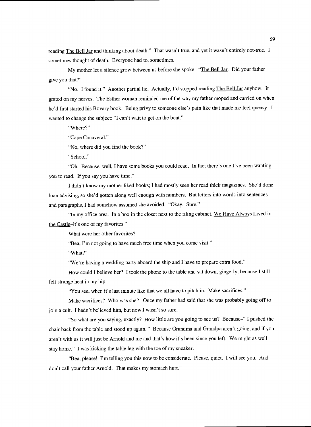reading The Bell Jar and thinking about death." That wasn't true, and yet it wasn't entirely not-true. I sometimes thought of death. Everyone had to, sometimes.

My mother let a silence grow between us before she spoke. "The Bell Jar. Did your father give you that?"

"No. I found it." Another partial lie. Actually, I'd stopped reading The Bell Jar anyhow. It grated on my nerves. The Esther woman reminded me of the way my father moped and carried on when he'd first started his Bovary book. Being privy to someone else's pain like that made me feel queasy. I wanted to change the subject: "I can't wait to get on the boat."

"Where?"

"Cape Canaveral."

"No, where did you find the book?"

"School."

"Oh. Because, well, I have some books you could read. In fact there's one I've been wanting you to read. If you say you have time."

I didn't know my mother liked books; I had mostly seen her read thick magazines. She'd done loan advising, so she'd gotten along well enough with numbers. But letters into words into sentences and paragraphs, I had somehow assumed she avoided. "Okay. Sure."

"In my office area. In a box in the closet next to the filing cabinet, We Have Always Lived in the Castle-it's one of my favorites."

What were her other favorites?

"Bea, I'm not going to have much free time when you come visit."

"What?"

"We're having a wedding party aboard the ship and I have to prepare extra food."

How could I believe her? I took the phone to the table and sat down, gingerly, because I still felt strange heat in my hip.

"You see, when it's last minute like that we all have to pitch in. Make sacrifices."

Make sacrifices? Who was she? Once my father had said that she was probably going off to join a cult. I hadn't believed him, but now I wasn't so sure.

"So what are you saying, exactly? How little are you going to see us? Because-" I pushed the chair back from the table and stood up again. "-Because Grandma and Grandpa aren't going, and if you aren't with us it will just be Arnold and me and that's how it's been since you left. We might as well stay home." I was kicking the table leg with the toe of my sneaker.

"Bea, please! I'm telling you this now to be considerate. Please, quiet. I will see you. And don't call your father Arnold. That makes my stomach hurt."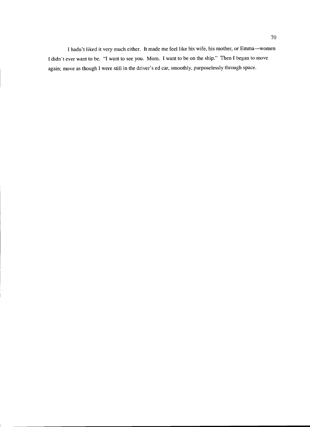I hadn't liked it very much either. It made me feel like his wife, his mother, or Emma--women I didn't ever want to be. "I want to see you. Mom. I want to be on the ship." Then I began to move again; move as though I were still in the driver's ed car, smoothly, purposelessly through space.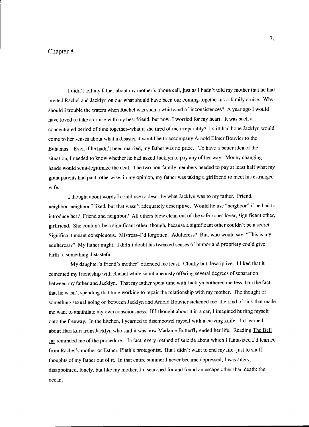## Chapter 8

I didn't tell my father about my mother's phone call, just as I hadn't told my mother that he had invited Rachel and Jacklyn on our what should have been our coming-together-as-a-family cruise. Why should I trouble the waters when Rachel was such a whirlwind of inconsistences? A year ago I would have loved to take a cruise with my best friend, but now, I worried for my heart. It was such a concentrated period of time together-what if she tired of me irreparably? I still had hope Jacklyn would come to her senses about what a disaster it would be to accompany Arnold Elmer Bouvier to the Bahamas. Even if he hadn't been married, my father was no prize. To have a better idea of the situation, I needed to know whether he had asked Jacklyn to pay any of her way. Money changing hands would semi-legitimize the deal. The two non-family members needed to pay at least half what my grandparents had paid, otherwise, in my opinion, my father was taking a girlfriend to meet his estranged wife.

I thought about words I could use to describe what Jacklyn was to my father. Friend, neighbor-neighbor I liked, but that wasn't adequately descriptive. Would he use "neighbor" if he had to introduce her? Friend and neighbor? All others blew clean out of the safe zone: lover, significant other, girlfriend. She couldn't be a significant other, though, because a significant other couldn't be a secret. Significant meant conspicuous. Mistress-I'd forgotten. Adulteress? But, who would say: "This is my adulteress?" My father might. I didn't doubt his tweaked senses of humor and propriety could give birth to something distasteful.

"My daughter's friend's mother" offended me least. Clunky but descriptive. I liked that it cemented my friendship with Rachel while simultaneously offering several degrees of separation between my father and Jacklyn. That my father spent time with Jacklyn bothered me less than the fact that he wasn't spending that time working to repair the relationship with my mother. The thought of something sexual going on between Jacklyn and Arnold Bouvier sickened me-the kind of sick that made me want to annihilate my own consciousness. If I thought about it in a car, I imagined hurling myself onto the freeway. In the kitchen, I yearned to disembowel myself with a carving knife. I'd learned about Hari kuri from Jacklyn who said it was how Madame Butterfly ended her life. Reading The Bell Jar reminded me of the procedure. In fact, every method of suicide about which I fantasized I'd learned from Rachel's mother or Esther, Plath's protagonist. But I didn't want to end my life-just to snuff thoughts of my father out of it. In that entire summer I never became depressed; I was angry, disappointed, lonely, but like my mother, I'd searched for and found an escape other than death: the ocean.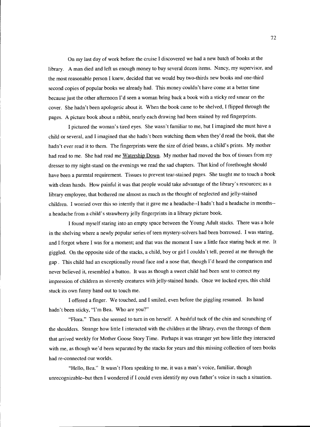On my last day of work before the cruise I discovered we had a new batch of books at the library. A man died and left us enough money to buy several dozen items. Nancy, my supervisor, and the most reasonable person I knew, decided that we would buy two-thirds new books and one-third second copies of popular books we already had. This money couldn't have come at a better time because just the other afternoon I'd seen a woman bring back a book with a sticky red smear on the cover. She hadn't been apologetic about it. When the book came to be shelved, I flipped through the pages. A picture book about a rabbit, nearly each drawing had been stained by red fingerprints.

I pictured the woman's tired eyes. She wasn't familiar to me, but I imagined she must have a child or several, and I imagined that she hadn't been watching them when they'd read the book, that she hadn't ever read it to them. The fingerprints were the size of dried beans, a child's prints. My mother had read to me. She had read me Watership Down. My mother had moved the box of tissues from my dresser to my night-stand on the evenings we read the sad chapters. That kind of forethought should have been a parental requirement. Tissues to prevent tear-stained pages. She taught me to touch a book with clean hands. How painful it was that people would take advantage of the library's resources; as a library employee, that bothered me almost as much as the thought of neglected and jelly-stained children. I worried over this so intently that it gave me a headache--I hadn't had a headache in months- a headache from a child's strawberry jelly fingerprints in a library picture book.

I found myself staring into an empty space between the Young Adult stacks. There was a hole in the shelving where a newly popular series of teen mystery-solvers had been borrowed. I was staring, and I forgot where I was for a moment; and that was the moment I saw a little face staring back at me. It giggled. On the opposite side of the stacks, a child, boy or girl I couldn't tell, peered at me through the gap. This child had an exceptionally round face and a nose that, though I'd heard the comparison and never believed it, resembled a button. It was as though a sweet child had been sent to correct my impression of children as slovenly creatures with jelly-stained hands. Once we locked eyes, this child stuck its own funny hand out to touch me.

I offered a finger. We touched, and I smiled, even before the giggling resumed. Its hand hadn't been sticky, "I'm Bea. Who are you?"

"Flora." Then she seemed to turn in on herself. A bashful tuck of the chin and scrunching of the shoulders. Strange how little I interacted with the children at the library, even the throngs of them that arrived weekly for Mother Goose Story Time. Perhaps it was stranger yet how little they interacted with me, as though we'd been separated by the stacks for years and this missing collection of teen books had re-connected our worlds.

"Hello, Bea." It wasn't Flora speaking to me, it was a man's voice, familiar, though unrecognizable-but then I wondered if I could even identify my own father's voice in such a situation.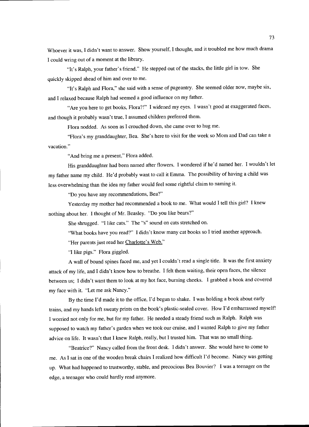Whoever it was, I didn't want to answer. Show yourself, I thought, and it troubled me how much drama I could wring out of a moment at the library.

"It's Ralph, your father's friend." He stepped out of the stacks, the little girl in tow. She quickly skipped ahead of him and over to me.

"It's Ralph and Flora," she said with a sense of pageantry. She seemed older now, maybe six, and I relaxed because Ralph had seemed a good influence on my father.

"Are you here to get books, Flora?!" I widened my eyes. I wasn't good at exaggerated faces, and though it probably wasn't true, I assumed children preferred them.

Flora nodded. As soon as I crouched down, she came over to hug me.

"Flora's my granddaughter, Bea, She's here to visit for the week so Mom and Dad can take a vacation."

"And bring me a present," Flora added.

His granddaughter had been named after flowers. I wondered if he'd named her. I wouldn't let my father name my child. He'd probably want to call it Emma. The possibility of having a child was less overwhelming than the idea my father would feel some rightful claim to naming it.

"Do you have any recommendations, Bea?"

Yesterday my mother had recommended a book to me. What would I tell this girl? I knew nothing about her. I thought of Mr. Beasley. "Do you like bears?"

She shrugged. "I like cats." The "s" sound on cats stretched on.

"What books have you read?" I didn't know many cat books so I tried another approach.

"Her parents just read her Charlotte's Web."

"I like pigs." Flora giggled.

A wall of bound spines faced me, and yet I couldn't read a single title. It was the first anxiety attack of my life, and I didn't know how to breathe. I felt them waiting, their open faces, the silence between us; I didn't want them to look at my hot face, burning cheeks. I grabbed a book and covered my face with it. "Let me ask Nancy."

By the time I'd made it to the office, I'd begun to shake. I was holding a book about early trains, and my hands left sweaty prints on the book's plastic-sealed cover. How I'd embarrassed myself! I worried not only for me, but for my father. He needed a steady friend such as Ralph. Ralph was supposed to watch my father's garden when we took our cruise, and I wanted Ralph to give my father advice on life. It wasn't that I knew Ralph, really, but I trusted him. That was no small thing.

"Beatrice?" Nancy called from the front desk. I didn't answer. She would have to come to me. As I sat in one of the wooden break chairs I realized how difficult I'd become. Nancy was getting up. What had happened to trustworthy, stable, and precocious Bea Bouvier? I was a teenager on the edge, a teenager who could hardly read anymore.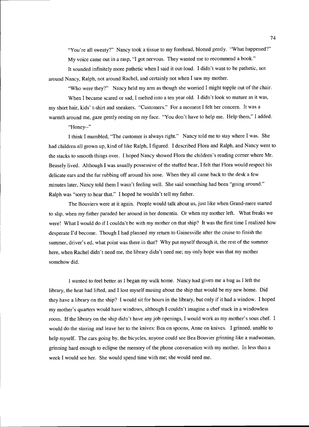"You're all sweaty?" Nancy took a tissue to my forehead, blotted gently. "What happened?" My voice came out in a rasp, "I got nervous. They wanted me to recommend a book." It sounded infinitely more pathetic when I said it out-loud. I didn't want to be pathetic, not

around Nancy, Ralph, not around Rachel, and certainly not when I saw my mother.

"Who were they?" Nancy held my arm as though she worried I might topple out of the chair.

When I became scared or sad, I melted into a ten year old. I didn't look so mature as it was, my short hair, kids' t-shirt and sneakers. "Customers." For a moment I felt her concern. It was a warmth around me, gaze gently resting on my face. "You don't have to help me. Help them," I added. "Honey--"

I think I mumbled, "The customer is always right." Nancy told me to stay where I was. She had children all grown up, kind of like Ralph, I figured. I described Flora and Ralph, and Nancy went to the stacks to smooth things over. I hoped Nancy showed Flora the children's reading corner where Mr. Beasely lived. Although I was usually possessive of the stuffed bear, I felt that Flora would respect his delicate ears and the fur rubbing off around his nose. When they all came back to the desk a few minutes later, Nancy told them I wasn't feeling well. She said something had been "going around." Ralph was "sony to hear that." I hoped he wouldn't tell my father.

The Bouviers were at it again. People would talk about us, just like when Grand-mere started to slip, when my father paraded her around in her dementia. Or when my mother left. What freaks we were! What I would do jf I couldn't be with my mother on that ship? It was the first time I realized how desperate I'd become. Though I had planned my return to Gainesville after the cruise to finish the summer, driver's ed, what point was there in that? Why put myself through it, the rest of the summer here, when Rachel didn't need me, the library didn't need me; my only hope was that my mother somehow did.

I wanted to feel better as I began my walk home. Nancy had given me a hug as I left the library, the heat had lifted, and I lost myself musing about the ship that would be my new home. Did they have a library on the ship? I would sit for hours in the library, but only if it had a window. I hoped my mother's quarters would have windows, although I couldn't imagine a chef stuck in a windowless room. If the library on the ship didn't have any job openings, I would work as my mother's sous chef. I would do the stirring and leave her to the knives: Bea on spoons, Anne on knives. I grinned, unable to help myself. The cars going by, the bicycles, anyone could see Bea Bouvier grinning like a madwoman, grinning hard enough to eclipse the memory of the phone conversation with my mother. In less than a week I would see her. She would spend time with me; she would need me.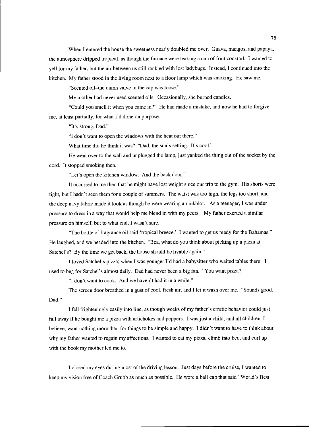When I entered the house the sweetness nearly doubled me over. Guava, mangos, and papaya, the atmosphere dripped tropical, as though the furnace were leaking a can of fruit cocktail. I wanted to yell for my father, but the air between us still rankled with lost ladybugs. Instead, I continued into the kitchen. My father stood in the living room next to a floor lamp which was smoking. He saw me.

"Scented oil-the damn valve in the cap was loose."

My mother had never used scented oils. Occasionally, she burned candles.

"Could you smell it when you came in?" He had made a mistake, and now he had to forgive me, at least partially, for what I'd done on purpose.

"It's strong, Dad."

"I don't want to open the windows with the heat out there."

What time did he think it was? "Dad, the sun's setting. It's cool."

He went over to the wall and unplugged the lamp, just yanked the thing out of the socket by the cord. It stopped smoking then.

"Let's open the kitchen window. And the back door."

It occurred to me then that he might have lost weight since our trip to the gym. His shorts were tight, but I hadn't seen them for a couple of summers. The waist was too high, the legs too short, and the deep navy fabric made it look as though he were wearing an inkblot. As a teenager, I was under pressure to dress in a way that would help me blend in with my peers. My father exerted a similar pressure on himself, but to what end, I wasn't sure.

"The bottle of fragrance oil said 'tropical breeze.' I wanted to get us ready for the Bahamas." He laughed, and we headed into the kitchen. "Bea, what do you think about picking up a pizza at Satchel's? By the time we get back, the house should be livable again."

I loved Satchel's pizza; when I was younger I'd had a babysitter who waited tables there. I used to beg for Satchel's almost daily. Dad had never been a big fan. "You want pizza?"

"I don't want to cook. And we haven't had it in a while."

Dad." The screen door breathed in a gust of cool, fresh air, and I let it wash over me. "Sounds good,

I fell frighteningly easily into line, as though weeks of my father's erratic behavior could just fall away if he bought me a pizza with artichokes and peppers. I was just a child, and all children, I believe, want nothing more than for things to be simple and happy. I didn't want to have to think about why my father wanted to regain my affections. I wanted to eat my pizza, climb into bed, and curl up with the book my mother led me to.

I closed my eyes during most of the driving lesson. Just days before the cruise, I wanted to keep my vision free of Coach Grubb as much as possible. He wore a ball cap that said "World's Best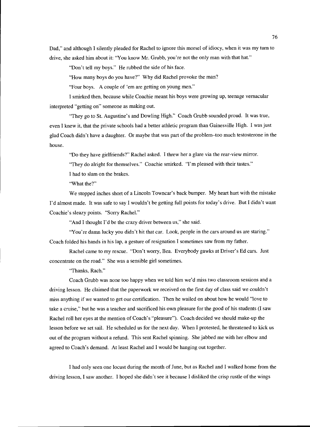Dad," and although I silently pleaded for Rachel to ignore this morsel of idiocy, when it was my turn to drive, she asked him about it: "You know Mr. Grubb, you're not the only man with that hat."

"Don't tell my boys." He rubbed the side of his face.

"How many boys do you have?" Why did Rachel provoke the man?

"Four boys. A couple of 'em are getting on young men."

I smirked then, because while Coachie meant his boys were growing up, teenage vernacular interpreted "getting on" someone as making out.

"They go to St. Augustine's and Dowling High." Coach Grubb sounded proud. It was true, even I knew it, that the private schools had a better athletic program than Gainesville High. I was just glad Coach didn't have a daughter. Or maybe that was part of the problem-too much testosterone in the house.

"Do they have girlfriends?" Rachel asked. I threw her a glare via the rear-view mirror.

"They do alright for themselves." Coachie smirked. "I'm pleased with their tastes."

I had to slam on the brakes.

"What the?"

We stopped inches short of a Lincoln Towncar's back bumper. My heart hurt with the mistake I'd almost made. It was safe to say I wouldn't be getting full points for today's drive. But I didn't want Coachie's sleazy points. "Sorry Rachel."

"And I thought I'd be the crazy driver between us," she said.

"You're damn lucky you didn't hit that car. Look, people in the cars around us are staring." Coach folded his hands in his lap, a gesture of resignation I sometimes saw from my father.

Rachel came to my rescue. "Don't worry, Bea. Everybody gawks at Driver's Ed cars. Just concentrate on the road." She was a sensible girl sometimes.

"Thanks, Rach."

Coach Grubb was none too happy when we told him we'd miss two classroom sessions and a driving lesson. He claimed that the paperwork we received on the first day of class said we couldn't miss anything if we wanted to get our certification. Then he wailed on about how he would "love to take a cruise," but he was a teacher and sacrificed his own pleasure for the good of his students (I saw Rachel roll her eyes at the mention of Coach's "pleasure"). Coach decided we should make-up the lesson before we set sail. He scheduled us for the next day. When I protested, he threatened to kick us out of the program without a refund. This sent Rachel spinning. She jabbed me with her elbow and agreed to Coach's demand. At least Rachel and I would be hanging out together.

I had only seen one locust during the month of June, but as Rachel and I walked home from the driving lesson, I saw another. I hoped she didn't see it because I disliked the crisp rustle of the wings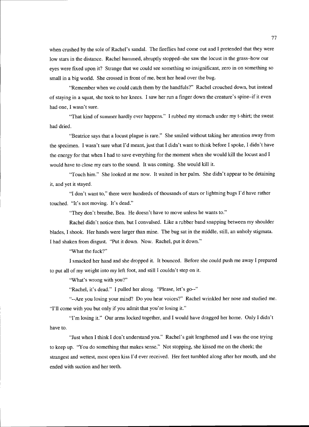when crushed by the sole of Rachel's sandal. The fireflies had come out and I pretended that they were low stars in the distance. Rachel hummed, abruptly stopped-she saw the locust in the grass-how our eyes were fixed upon it? Strange that we could see something so insignificant, zero in on something so small in a big world. She crossed in front of me, bent her head over the bug.

"Remember when we could catch them by the handfuls?" Rachel crouched down, but instead of staying in a squat, she took to her knees. I saw her run a finger down the creature's spine-if it even had one, I wasn't sure.

"That kind of summer hardly ever happens." I rubbed my stomach under my t-shirt; the sweat had dried.

"Beatrice says that a locust plague is rare." She smiled without taking her attention away from the specimen. I wasn't sure what I'd meant, just that I didn't want to think before I spoke, I didn't have the energy for that when I had to save everything for the moment when she would kill the locust and I would have to close my ears to the sound. It was coming. She would kill it.

"Touch him." She looked at me now. It waited in her palm. She didn't appear to be detaining it, and yet it stayed.

"I don't want to," there were hundreds of thousands of stars or lightning bugs I'd have rather touched. "It's not moving. It's dead."

"They don't breathe, Bea. He doesn't have to move unless he wants to."

Rachel didn't notice then, but I convulsed. Like a rubber band snapping between my shoulder blades, I shook. Her hands were larger than mine. The bug sat in the middle, still, an unholy stigmata. I had shaken from disgust. "Put it down. Now. Rachel, put it down."

"What the fuck?"

I smacked her hand and she dropped it. It bounced. Before she could push me away I prepared to put all of my weight into my left foot, and still I couldn't step on it.

"What's wrong with you?"

"Rachel, it's dead." I pulled her along. "Please, let's go--"

"--Are you losing your mind? Do you hear voices?" Rachel wrinkled her nose and studied me. "I'll come with you but only if you admit that you're losing it."

have to. "I'm losing it." Our arms locked together, and I would have dragged her home. Only I didn't

"Just when I think I don't understand you." Rachel's gait lengthened and I was the one trying to keep up. "You do something that makes sense." Not stopping, she kissed me on the cheek; the strangest and wettest, most open kiss I'd ever received. Her feet tumbled along after her mouth, and she ended with suction and her teeth.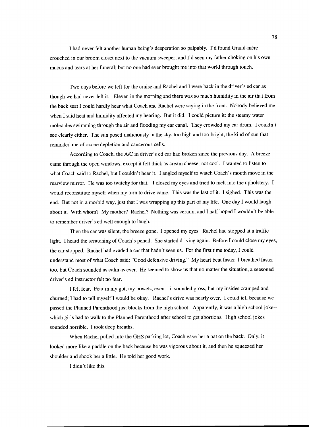I had never felt another human being's desperation so palpably. I'd found Grand-mère crouched in our broom closet next to the vacuum sweeper, and I'd seen my father choking on his own mucus and tears at her funeral; but no one had ever brought me into that world through touch.

Two days before we left for the cruise and Rachel and I were back in the driver's ed car as though we had never left it. Eleven in the morning and there was so much humidity in the air that from the back seat I could hardly hear what Coach and Rachel were saying in the front. Nobody believed me when I said heat and humidity affected my hearing. But it did. I could picture it: the steamy water molecules swimming through the air and flooding my ear canal. They crowded my ear drum. I couldn't see clearly either. The sun posed maliciously in the sky, too high and too bright, the kind of sun that reminded me of ozone depletion and cancerous cells.

According to Coach, the A/C in driver's ed car had broken since the previous day. A breeze came through the open windows, except it felt thick as cream cheese, not cool. I wanted to listen to what Coach said to Rachel, but I couldn't hear it. I angled myself to watch Coach's mouth move in the rearview mirror. He was too twitchy for that. I closed my eyes and tried to melt into the upholstery. I would reconstitute myself when my turn to drive came. This was the last of it. I sighed. This was the end. But not in a morbid way, just that I was wrapping up this part of my life. One day I would laugh about it. With whom? My mother? Rachel? Nothing was certain, and I half hoped I wouldn't be able to remember driver's ed well enough to laugh.

Then the car was silent, the breeze gone. I opened my eyes. Rachel had stopped at a traffic light. I heard the scratching of Coach's pencil. She started driving again. Before I could close my eyes, the car stopped. Rachel had evaded a car that hadn't seen us. For the first time today, I could understand most of what Coach said: "Good defensive driving." My heart beat faster, I breathed faster too, but Coach sounded as calm as ever. He seemed to show us that no matter the situation, a seasoned driver's ed instructor felt no fear.

I felt fear. Fear in my gut, my bowels, even-it sounded gross, but my insides cramped and churned; I had to tell myself I would be okay. Rachel's drive was nearly over. I could tell because we passed the Planned Parenthood just blocks from the high school. Apparently, it was a high school joke- which girls had to walk to the Planned Parenthood after school to get abortions. High school jokes sounded horrible. I took deep breaths.

When Rachel pulled into the GHS parking lot, Coach gave her a pat on the back. Only, it looked more like a paddle on the back because he was vigorous about it, and then he squeezed her shoulder and shook her a little. He told her good work.

I didn't like this.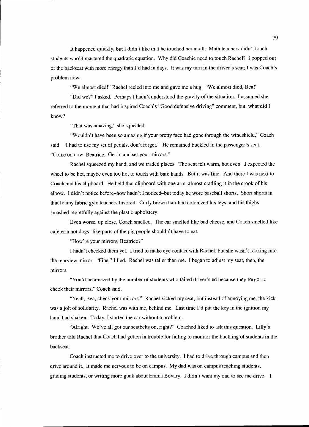It happened quickly, but I didn't like that he touched her at all. Math teachers didn't touch students who'd mastered the quadratic equation. Why did Coachie need to touch Rachel? I popped out of the backseat with more energy than I'd had in days. It was my turn in the driver's seat; I was Coach's problem now.

"We almost died!" Rachel reeled into me and gave me a hug. "We almost died, Bea!"

"Did we?" I asked. Perhaps I hadn't understood the gravity of the situation. I assumed she referred to the moment that had inspired Coach's "Good defensive driving" comment, but, what did I know?

"That was amazing," she squealed.

"Wouldn't have been so amazing if your pretty face had gone through the windshield," Coach said. "I had to use my set of pedals, don't forget." He remained buckled in the passenger's seat. "Come on now, Beatrice. Get in and set your mirrors."

Rachel squeezed my hand, and we traded places. The seat felt warm, hot even. I expected the wheel to be hot, maybe even too hot to touch with bare hands. But it was fine. And there I was next to Coach and his clipboard. He held that clipboard with one arm, almost cradling it in the crook of his elbow. I didn't notice before-how hadn't I noticed-but today he wore baseball shorts. Short shorts in that foamy fabric gym teachers favored. Curly brown hair had colonized his legs, and his thighs smashed regretfully against the plastic upholstery.

Even worse, up close, Coach smelled. The car smelled like bad cheese, and Coach smelled like cafeteria hot dogs--like parts of the pig people shouldn't have to eat.

"How're your mirrors, Beatrice?"

I hadn't checked them yet. I tried to make eye contact with Rachel, but she wasn't looking into the rearview mirror. "Fine," I lied. Rachel was taller than me. I began to adjust my seat, then, the mirrors.

"You'd be amazed by the number of students who failed driver's ed because they forgot to check their mirrors," Coach said.

"Yeah, Bea, check your mirrors." Rachel kicked my seat, but instead of annoying me, the kick was a jolt of solidarity. Rachel was with me, behind me. Last time I'd put the key in the ignition my hand had shaken. Today, I started the car without a problem.

"Airight. We've all got our seatbelts on, right?" Coached liked to ask this question. Lilly's brother told Rachel that Coach had gotten in trouble for failing to monitor the buckling of students in the backseat.

Coach instructed me to drive over to the university. I had to drive through campus and then drive around it. It made me nervous to be on campus. My dad was on campus teaching students, grading students, or writing more gunk about Emma Bovary. I didn't want my dad to see me drive. I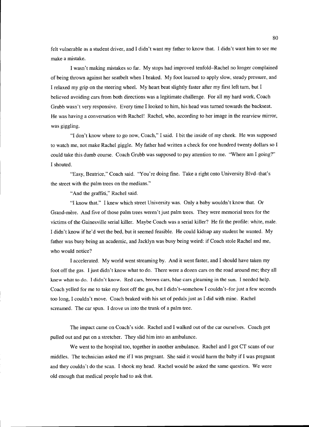felt vulnerable as a student driver, and I didn't want my father to know that. I didn't want him to see me make a mistake.

I wasn't making mistakes so far. My stops had improved tenfold-Rachel no longer complained of being thrown against her seatbelt when I braked. My foot learned to apply slow, steady pressure, and I relaxed my grip on the steering wheel. My heart beat slightly faster after my first left turn, but I believed avoiding cars from both directions was a legitimate challenge. For all my hard work, Coach Grubb wasn't very responsive. Every time I looked to him, his head was turned towards the backseat. He was having a conversation with Rachel! Rachel, who, according to her image in the rearview mirror, was giggling.

"I don't know where to go now, Coach," I said. I bit the inside of my cheek. He was supposed to watch me, not make Rachel giggle. My father had written a check for one hundred twenty dollars so I could take this dumb course. Coach Grubb was supposed to pay attention to me. "Where am I going?" I shouted.

"Easy, Beatrice," Coach said. "You're doing fine. Take a right onto University Blvd-that's the street with the palm trees on the medians."

"And the graffiti," Rachel said.

"I know that." I knew which street University was. Only a baby wouldn't know that. Or Grand-mere. And five of those palm trees weren't just palm trees. They were memorial trees for the victims of the Gainesville serial killer. Maybe Coach was a serial killer? He fit the profile: white, male. I didn't know if he'd wet the bed, but it seemed feasible. He could kidnap any student he wanted. My father was busy being an academic, and Jacklyn was busy being weird: if Coach stole Rachel and me, who would notice?

I accelerated. My world went streaming by. And it went faster, and I should have taken my foot off the gas. I just didn't know what to do. There were a dozen cars on the road around me; they all knew what to do. I didn't know. Red cars, brown cars, blue cars gleaming in the sun. I needed help. Coach yelled for me to take my foot off the gas, but I didn't-somehow I couldn't-for just a few seconds too long, I couldn't move. Coach braked with his set of pedals just as I did with mine. Rachel screamed. The car spun. I drove us into the trunk of a palm tree.

The impact came on Coach's side. Rachel and I walked out of the car ourselves. Coach got pulled out and put on a stretcher. They slid him into an ambulance.

We went to the hospital too, together in another ambulance. Rachel and I got CT scans of our middles. The technician asked me if I was pregnant. She said it would harm the baby if I was pregnant and they couldn't do the scan. I shook my head. Rachel would be asked the same question. We were old enough that medical people had to ask that.